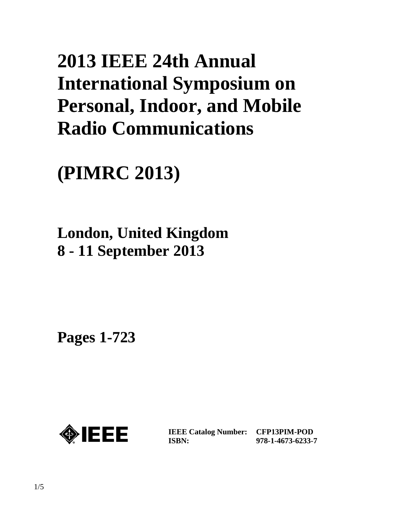# **2013 IEEE 24th Annual International Symposium on Personal, Indoor, and Mobile Radio Communications**

**(PIMRC 2013)**

# **London, United Kingdom 8 - 11 September 2013**

**Pages 1-723** 



**IEEE Catalog Number: CFP13PIM-POD ISBN:** 

**978-1-4673-6233-7**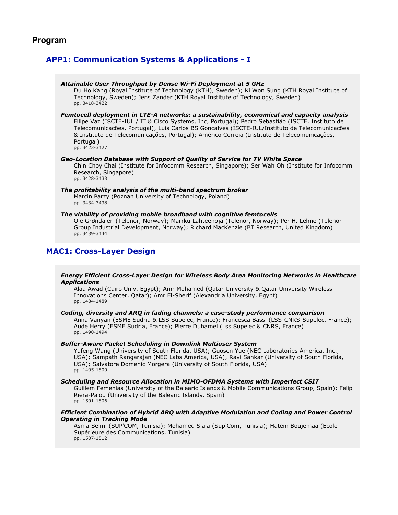# **Program**

# **APP1: Communication Systems & Applications - I**

| Attainable User Throughput by Dense Wi-Fi Deployment at 5 GHz<br>Du Ho Kang (Royal Institute of Technology (KTH), Sweden); Ki Won Sung (KTH Royal Institute of<br>Technology, Sweden); Jens Zander (KTH Royal Institute of Technology, Sweden)<br>pp. 3418-3422                                                                                                                                                               |
|-------------------------------------------------------------------------------------------------------------------------------------------------------------------------------------------------------------------------------------------------------------------------------------------------------------------------------------------------------------------------------------------------------------------------------|
| Femtocell deployment in LTE-A networks: a sustainability, economical and capacity analysis<br>Filipe Vaz (ISCTE-IUL / IT & Cisco Systems, Inc, Portugal); Pedro Sebastião (ISCTE, Instituto de<br>Telecomunicações, Portugal); Luis Carlos BS Goncalves (ISCTE-IUL/Instituto de Telecomunicações<br>& Instituto de Telecomunicações, Portugal); Américo Correia (Instituto de Telecomunicações,<br>Portugal)<br>pp. 3423-3427 |
| Geo-Location Database with Support of Quality of Service for TV White Space<br>Chin Choy Chai (Institute for Infocomm Research, Singapore); Ser Wah Oh (Institute for Infocomm<br>Research, Singapore)<br>pp. 3428-3433                                                                                                                                                                                                       |
| The profitability analysis of the multi-band spectrum broker<br>Marcin Parzy (Poznan University of Technology, Poland)<br>pp. 3434-3438                                                                                                                                                                                                                                                                                       |
| The viability of providing mobile broadband with cognitive femtocells<br>Ole Grøndalen (Telenor, Norway); Marrku Lähteenoja (Telenor, Norway); Per H. Lehne (Telenor<br>Group Industrial Development, Norway); Richard MacKenzie (BT Research, United Kingdom)<br>pp. 3439-3444                                                                                                                                               |
| <b>MAC1: Cross-Layer Design</b>                                                                                                                                                                                                                                                                                                                                                                                               |

# *Energy Efficient Cross-Layer Design for Wireless Body Area Monitoring Networks in Healthcare Applications*

Alaa Awad (Cairo Univ, Egypt); Amr Mohamed (Qatar University & Qatar University Wireless Innovations Center, Qatar); Amr El-Sherif (Alexandria University, Egypt) pp. 1484-1489

### *Coding, diversity and ARQ in fading channels: a case-study performance comparison*

Anna Vanyan (ESME Sudria & LSS Supelec, France); Francesca Bassi (LSS-CNRS-Supelec, France); Aude Herry (ESME Sudria, France); Pierre Duhamel (Lss Supelec & CNRS, France) pp. 1490-1494

### *Buffer-Aware Packet Scheduling in Downlink Multiuser System*

Yufeng Wang (University of South Florida, USA); Guosen Yue (NEC Laboratories America, Inc., USA); Sampath Rangarajan (NEC Labs America, USA); Ravi Sankar (University of South Florida, USA); Salvatore Domenic Morgera (University of South Florida, USA) pp. 1495-1500

#### *Scheduling and Resource Allocation in MIMO-OFDMA Systems with Imperfect CSIT*

Guillem Femenias (University of the Balearic Islands & Mobile Communications Group, Spain); Felip Riera-Palou (University of the Balearic Islands, Spain) pp. 1501-1506

# *Efficient Combination of Hybrid ARQ with Adaptive Modulation and Coding and Power Control Operating in Tracking Mode*

Asma Selmi (SUP'COM, Tunisia); Mohamed Siala (Sup'Com, Tunisia); Hatem Boujemaa (Ecole Supérieure des Communications, Tunisia) pp. 1507-1512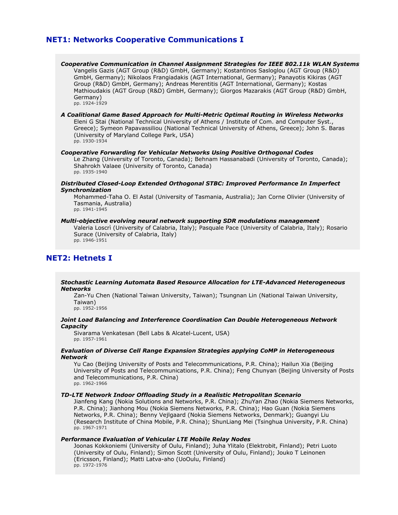# **NET1: Networks Cooperative Communications I**

*Cooperative Communication in Channel Assignment Strategies for IEEE 802.11k WLAN Systems* Vangelis Gazis (AGT Group (R&D) GmbH, Germany); Kostantinos Sasloglou (AGT Group (R&D) GmbH, Germany); Nikolaos Frangiadakis (AGT International, Germany); Panayotis Kikiras (AGT Group (R&D) GmbH, Germany); Andreas Merentitis (AGT International, Germany); Kostas Mathioudakis (AGT Group (R&D) GmbH, Germany); Giorgos Mazarakis (AGT Group (R&D) GmbH, Germany) pp. 1924-1929

#### *A Coalitional Game Based Approach for Multi-Metric Optimal Routing in Wireless Networks* Eleni G Stai (National Technical University of Athens / Institute of Com. and Computer Syst., Greece); Symeon Papavassiliou (National Technical University of Athens, Greece); John S. Baras (University of Maryland College Park, USA) pp. 1930-1934

#### *Cooperative Forwarding for Vehicular Networks Using Positive Orthogonal Codes*

Le Zhang (University of Toronto, Canada); Behnam Hassanabadi (University of Toronto, Canada); Shahrokh Valaee (University of Toronto, Canada) pp. 1935-1940

*Distributed Closed-Loop Extended Orthogonal STBC: Improved Performance In Imperfect Synchronization*

Mohammed-Taha O. El Astal (University of Tasmania, Australia); Jan Corne Olivier (University of Tasmania, Australia) pp. 1941-1945

#### *Multi-objective evolving neural network supporting SDR modulations management*

Valeria Loscrì (University of Calabria, Italy); Pasquale Pace (University of Calabria, Italy); Rosario Surace (University of Calabria, Italy)

pp. 1946-1951

# **NET2: Hetnets I**

# *Stochastic Learning Automata Based Resource Allocation for LTE-Advanced Heterogeneous Networks*

Zan-Yu Chen (National Taiwan University, Taiwan); Tsungnan Lin (National Taiwan University, Taiwan)

pp. 1952-1956

# *Joint Load Balancing and Interference Coordination Can Double Heterogeneous Network Capacity*

Sivarama Venkatesan (Bell Labs & Alcatel-Lucent, USA) pp. 1957-1961

# *Evaluation of Diverse Cell Range Expansion Strategies applying CoMP in Heterogeneous Network*

Yu Cao (Beijing University of Posts and Telecommunications, P.R. China); Hailun Xia (Beijing University of Posts and Telecommunications, P.R. China); Feng Chunyan (Beijing University of Posts and Telecommunications, P.R. China) pp. 1962-1966

### *TD-LTE Network Indoor Offloading Study in a Realistic Metropolitan Scenario*

Jianfeng Kang (Nokia Solutions and Networks, P.R. China); ZhuYan Zhao (Nokia Siemens Networks, P.R. China); Jianhong Mou (Nokia Siemens Networks, P.R. China); Hao Guan (Nokia Siemens Networks, P.R. China); Benny Vejlgaard (Nokia Siemens Networks, Denmark); Guangyi Liu (Research Institute of China Mobile, P.R. China); ShunLiang Mei (Tsinghua University, P.R. China) pp. 1967-1971

# *Performance Evaluation of Vehicular LTE Mobile Relay Nodes*

Joonas Kokkoniemi (University of Oulu, Finland); Juha Ylitalo (Elektrobit, Finland); Petri Luoto (University of Oulu, Finland); Simon Scott (University of Oulu, Finland); Jouko T Leinonen (Ericsson, Finland); Matti Latva-aho (UoOulu, Finland) pp. 1972-1976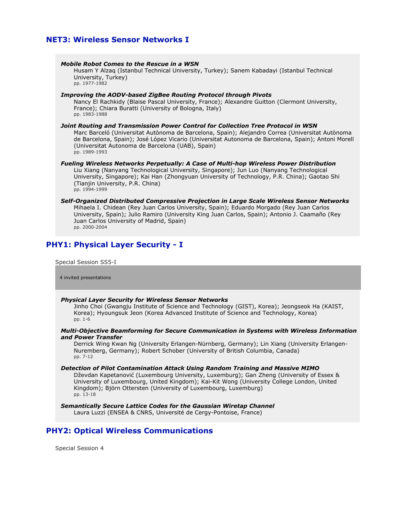# **NET3: Wireless Sensor Networks I**

| <b>Mobile Robot Comes to the Rescue in a WSN</b><br>Husam Y Alzaq (Istanbul Technical University, Turkey); Sanem Kabadayi (Istanbul Technical<br>University, Turkey)<br>pp. 1977-1982                                                                                                                                                                          |
|----------------------------------------------------------------------------------------------------------------------------------------------------------------------------------------------------------------------------------------------------------------------------------------------------------------------------------------------------------------|
| <b>Improving the AODV-based ZigBee Routing Protocol through Pivots</b><br>Nancy El Rachkidy (Blaise Pascal University, France); Alexandre Guitton (Clermont University,<br>France); Chiara Buratti (University of Bologna, Italy)<br>pp. 1983-1988                                                                                                             |
| Joint Routing and Transmission Power Control for Collection Tree Protocol in WSN<br>Marc Barceló (Universitat Autònoma de Barcelona, Spain); Alejandro Correa (Universitat Autònoma<br>de Barcelona, Spain); José López Vicario (Universitat Autonoma de Barcelona, Spain); Antoni Morell<br>(Universitat Autonoma de Barcelona (UAB), Spain)<br>pp. 1989-1993 |
| <b>Fueling Wireless Networks Perpetually: A Case of Multi-hop Wireless Power Distribution</b><br>Liu Xiang (Nanyang Technological University, Singapore); Jun Luo (Nanyang Technological<br>University, Singapore); Kai Han (Zhongyuan University of Technology, P.R. China); Gaotao Shi<br>(Tianjin University, P.R. China)<br>pp. 1994-1999                  |
| Self-Organized Distributed Compressive Projection in Large Scale Wireless Sensor Networks<br>Mihaela I. Chidean (Rey Juan Carlos University, Spain); Eduardo Morgado (Rey Juan Carlos<br>University, Spain); Julio Ramiro (University King Juan Carlos, Spain); Antonio J. Caamaño (Rey<br>Juan Carlos University of Madrid, Spain)<br>pp. 2000-2004           |
| <b>PHY1: Physical Layer Security - I</b>                                                                                                                                                                                                                                                                                                                       |

Special Session SS5-I

4 invited presentations

# *Physical Layer Security for Wireless Sensor Networks*

Jinho Choi (Gwangju Institute of Science and Technology (GIST), Korea); Jeongseok Ha (KAIST, Korea); Hyoungsuk Jeon (Korea Advanced Institute of Science and Technology, Korea) pp. 1-6

# *Multi-Objective Beamforming for Secure Communication in Systems with Wireless Information and Power Transfer*

Derrick Wing Kwan Ng (University Erlangen-Nürnberg, Germany); Lin Xiang (University Erlangen-Nuremberg, Germany); Robert Schober (University of British Columbia, Canada) pp. 7-12

# *Detection of Pilot Contamination Attack Using Random Training and Massive MIMO*

Dževdan Kapetanović (Luxembourg University, Luxemburg); Gan Zheng (University of Essex & University of Luxembourg, United Kingdom); Kai-Kit Wong (University College London, United Kingdom); Björn Ottersten (University of Luxembourg, Luxemburg) pp. 13-18

*Semantically Secure Lattice Codes for the Gaussian Wiretap Channel*

Laura Luzzi (ENSEA & CNRS, Université de Cergy-Pontoise, France)

# **PHY2: Optical Wireless Communications**

Special Session 4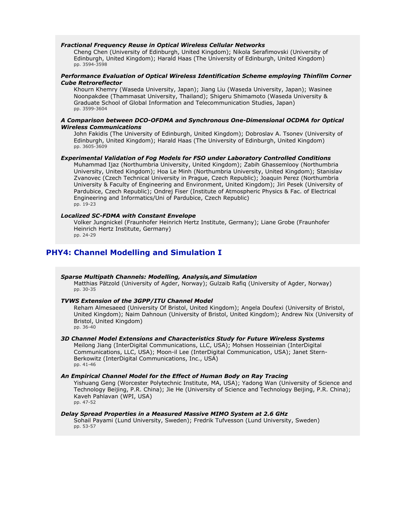### *Fractional Frequency Reuse in Optical Wireless Cellular Networks*

Cheng Chen (University of Edinburgh, United Kingdom); Nikola Serafimovski (University of Edinburgh, United Kingdom); Harald Haas (The University of Edinburgh, United Kingdom) pp. 3594-3598

### *Performance Evaluation of Optical Wireless Identification Scheme employing Thinfilm Corner Cube Retroreflector*

Khourn Khemry (Waseda University, Japan); Jiang Liu (Waseda University, Japan); Wasinee Noonpakdee (Thammasat University, Thailand); Shigeru Shimamoto (Waseda University & Graduate School of Global Information and Telecommunication Studies, Japan) pp. 3599-3604

### *A Comparison between DCO-OFDMA and Synchronous One-Dimensional OCDMA for Optical Wireless Communications*

John Fakidis (The University of Edinburgh, United Kingdom); Dobroslav A. Tsonev (University of Edinburgh, United Kingdom); Harald Haas (The University of Edinburgh, United Kingdom) pp. 3605-3609

# *Experimental Validation of Fog Models for FSO under Laboratory Controlled Conditions*

Muhammad Ijaz (Northumbria University, United Kingdom); Zabih Ghassemlooy (Northumbria University, United Kingdom); Hoa Le Minh (Northumbria University, United Kingdom); Stanislav Zvanovec (Czech Technical University in Prague, Czech Republic); Joaquin Perez (Northumbria University & Faculty of Engineering and Environment, United Kingdom); Jiri Pesek (University of Pardubice, Czech Republic); Ondrej Fiser (Institute of Atmospheric Physics & Fac. of Electrical Engineering and Informatics/Uni of Pardubice, Czech Republic) pp. 19-23

# *Localized SC-FDMA with Constant Envelope*

Volker Jungnickel (Fraunhofer Heinrich Hertz Institute, Germany); Liane Grobe (Fraunhofer Heinrich Hertz Institute, Germany) pp. 24-29

# **PHY4: Channel Modelling and Simulation I**

# *Sparse Multipath Channels: Modelling, Analysis,and Simulation*

Matthias Pätzold (University of Agder, Norway); Gulzaib Rafiq (University of Agder, Norway) pp. 30-35

#### *TVWS Extension of the 3GPP/ITU Channel Model*

Reham Almesaeed (University Of Bristol, United Kingdom); Angela Doufexi (University of Bristol, United Kingdom); Naim Dahnoun (University of Bristol, United Kingdom); Andrew Nix (University of Bristol, United Kingdom) pp. 36-40

### *3D Channel Model Extensions and Characteristics Study for Future Wireless Systems*

Meilong Jiang (InterDigital Communications, LLC, USA); Mohsen Hosseinian (InterDigital Communications, LLC, USA); Moon-il Lee (InterDigital Communication, USA); Janet Stern-Berkowitz (InterDigital Communications, Inc., USA) pp. 41-46

# *An Empirical Channel Model for the Effect of Human Body on Ray Tracing*

Yishuang Geng (Worcester Polytechnic Institute, MA, USA); Yadong Wan (University of Science and Technology Beijing, P.R. China); Jie He (University of Science and Technology Beijing, P.R. China); Kaveh Pahlavan (WPI, USA) pp. 47-52

# *Delay Spread Properties in a Measured Massive MIMO System at 2.6 GHz*

Sohail Payami (Lund University, Sweden); Fredrik Tufvesson (Lund University, Sweden) pp. 53-57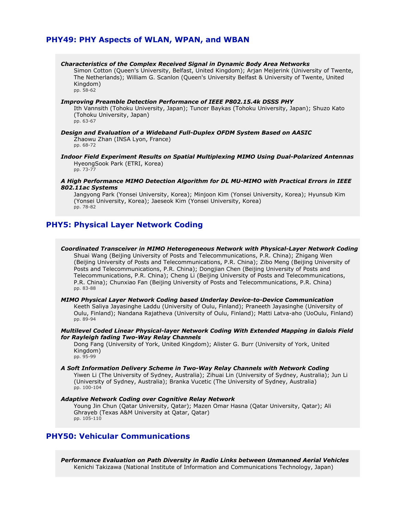# **PHY49: PHY Aspects of WLAN, WPAN, and WBAN**

# *Characteristics of the Complex Received Signal in Dynamic Body Area Networks*

Simon Cotton (Queen's University, Belfast, United Kingdom); Arjan Meijerink (University of Twente, The Netherlands); William G. Scanlon (Queen's University Belfast & University of Twente, United Kingdom) pp. 58-62

#### *Improving Preamble Detection Performance of IEEE P802.15.4k DSSS PHY*

Ith Vannsith (Tohoku University, Japan); Tuncer Baykas (Tohoku University, Japan); Shuzo Kato (Tohoku University, Japan) pp. 63-67

*Design and Evaluation of a Wideband Full-Duplex OFDM System Based on AASIC* Zhaowu Zhan (INSA Lyon, France) pp. 68-72

*Indoor Field Experiment Results on Spatial Multiplexing MIMO Using Dual-Polarized Antennas* HyeongSook Park (ETRI, Korea) pp. 73-77

*A High Performance MIMO Detection Algorithm for DL MU-MIMO with Practical Errors in IEEE 802.11ac Systems*

Jangyong Park (Yonsei University, Korea); Minjoon Kim (Yonsei University, Korea); Hyunsub Kim (Yonsei University, Korea); Jaeseok Kim (Yonsei University, Korea) pp. 78-82

# **PHY5: Physical Layer Network Coding**

*Coordinated Transceiver in MIMO Heterogeneous Network with Physical-Layer Network Coding* Shuai Wang (Beijing University of Posts and Telecommunications, P.R. China); Zhigang Wen (Beijing University of Posts and Telecommunications, P.R. China); Zibo Meng (Beijing University of Posts and Telecommunications, P.R. China); Dongjian Chen (Beijing University of Posts and Telecommunications, P.R. China); Cheng Li (Beijing University of Posts and Telecommunications, P.R. China); Chunxiao Fan (Beijing University of Posts and Telecommunications, P.R. China) pp. 83-88

*MIMO Physical Layer Network Coding based Underlay Device-to-Device Communication* Keeth Saliya Jayasinghe Laddu (University of Oulu, Finland); Praneeth Jayasinghe (University of Oulu, Finland); Nandana Rajatheva (University of Oulu, Finland); Matti Latva-aho (UoOulu, Finland) pp. 89-94

*Multilevel Coded Linear Physical-layer Network Coding With Extended Mapping in Galois Field for Rayleigh fading Two-Way Relay Channels*

Dong Fang (University of York, United Kingdom); Alister G. Burr (University of York, United Kingdom) pp. 95-99

*A Soft Information Delivery Scheme in Two-Way Relay Channels with Network Coding* Yiwen Li (The University of Sydney, Australia); Zihuai Lin (University of Sydney, Australia); Jun Li (University of Sydney, Australia); Branka Vucetic (The University of Sydney, Australia) pp. 100-104

#### *Adaptive Network Coding over Cognitive Relay Network* Young Jin Chun (Qatar University, Qatar); Mazen Omar Hasna (Qatar University, Qatar); Ali Ghrayeb (Texas A&M University at Qatar, Qatar) pp. 105-110

# **PHY50: Vehicular Communications**

*Performance Evaluation on Path Diversity in Radio Links between Unmanned Aerial Vehicles* Kenichi Takizawa (National Institute of Information and Communications Technology, Japan)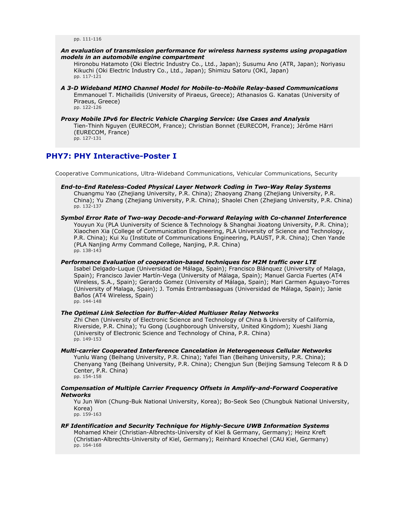pp. 111-116

### *An evaluation of transmission performance for wireless harness systems using propagation models in an automobile engine compartment*

Hironobu Hatamoto (Oki Electric Industry Co., Ltd., Japan); Susumu Ano (ATR, Japan); Noriyasu Kikuchi (Oki Electric Industry Co., Ltd., Japan); Shimizu Satoru (OKI, Japan) pp. 117-121

- *A 3-D Wideband MIMO Channel Model for Mobile-to-Mobile Relay-based Communications* Emmanouel T. Michailidis (University of Piraeus, Greece); Athanasios G. Kanatas (University of Piraeus, Greece) pp. 122-126
- *Proxy Mobile IPv6 for Electric Vehicle Charging Service: Use Cases and Analysis* Tien-Thinh Nguyen (EURECOM, France); Christian Bonnet (EURECOM, France); Jérôme Härri (EURECOM, France) pp. 127-131

# **PHY7: PHY Interactive-Poster I**

Cooperative Communications, Ultra-Wideband Communications, Vehicular Communications, Security

- *End-to-End Rateless-Coded Physical Layer Network Coding in Two-Way Relay Systems* Chuangmu Yao (Zhejiang University, P.R. China); Zhaoyang Zhang (Zhejiang University, P.R. China); Yu Zhang (Zhejiang University, P.R. China); Shaolei Chen (Zhejiang University, P.R. China) pp. 132-137
- *Symbol Error Rate of Two-way Decode-and-Forward Relaying with Co-channel Interference* Youyun Xu (PLA Uuniversity of Science & Technology & Shanghai Jioatong University, P.R. China); Xiaochen Xia (College of Communication Engineering, PLA University of Science and Technology, P.R. China); Kui Xu (Institute of Communications Engineering, PLAUST, P.R. China); Chen Yande (PLA Nanjing Army Command College, Nanjing, P.R. China) pp. 138-143

*Performance Evaluation of cooperation-based techniques for M2M traffic over LTE* Isabel Delgado-Luque (Universidad de Málaga, Spain); Francisco Blánquez (University of Malaga, Spain); Francisco Javier Martín-Vega (University of Málaga, Spain); Manuel Garcia Fuertes (AT4 Wireless, S.A., Spain); Gerardo Gomez (University of Málaga, Spain); Mari Carmen Aguayo-Torres (University of Malaga, Spain); J. Tomás Entrambasaguas (Universidad de Málaga, Spain); Janie Baños (AT4 Wireless, Spain) pp. 144-148

*The Optimal Link Selection for Buffer-Aided Multiuser Relay Networks*

Zhi Chen (University of Electronic Science and Technology of China & University of California, Riverside, P.R. China); Yu Gong (Loughborough University, United Kingdom); Xueshi Jiang (University of Electronic Science and Technology of China, P.R. China) pp. 149-153

- *Multi-carrier Cooperated Interference Cancelation in Heterogeneous Cellular Networks* Yunlu Wang (Beihang University, P.R. China); Yafei Tian (Beihang University, P.R. China); Chenyang Yang (Beihang University, P.R. China); Chengjun Sun (Beijing Samsung Telecom R & D Center, P.R. China) pp. 154-158
- *Compensation of Multiple Carrier Frequency Offsets in Amplify-and-Forward Cooperative Networks*

Yu Jun Won (Chung-Buk National University, Korea); Bo-Seok Seo (Chungbuk National University, Korea)

pp. 159-163

*RF Identification and Security Technique for Highly-Secure UWB Information Systems* Mohamed Kheir (Christian-Albrechts-University of Kiel & Germany, Germany); Heinz Kreft (Christian-Albrechts-University of Kiel, Germany); Reinhard Knoechel (CAU Kiel, Germany) pp. 164-168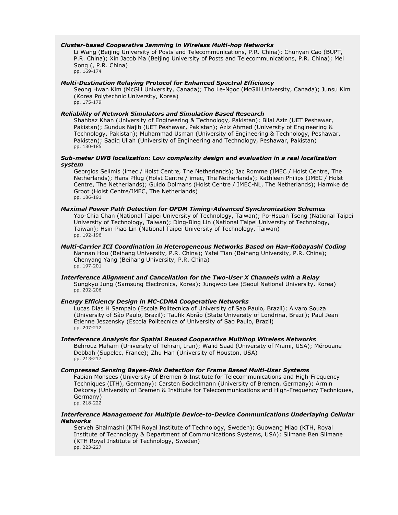# *Cluster-based Cooperative Jamming in Wireless Multi-hop Networks*

Li Wang (Beijing University of Posts and Telecommunications, P.R. China); Chunyan Cao (BUPT, P.R. China); Xin Jacob Ma (Beijing University of Posts and Telecommunications, P.R. China); Mei Song (, P.R. China) pp. 169-174

#### *Multi-Destination Relaying Protocol for Enhanced Spectral Efficiency*

Seong Hwan Kim (McGill University, Canada); Tho Le-Ngoc (McGill University, Canada); Junsu Kim (Korea Polytechnic University, Korea) pp. 175-179

### *Reliability of Network Simulators and Simulation Based Research*

Shahbaz Khan (University of Engineering & Technology, Pakistan); Bilal Aziz (UET Peshawar, Pakistan); Sundus Najib (UET Peshawar, Pakistan); Aziz Ahmed (University of Engineering & Technology, Pakistan); Muhammad Usman (University of Engineering & Technology, Peshawar, Pakistan); Sadiq Ullah (University of Engineering and Technology, Peshawar, Pakistan) pp. 180-185

# *Sub-meter UWB localization: Low complexity design and evaluation in a real localization system*

Georgios Selimis (imec / Holst Centre, The Netherlands); Jac Romme (IMEC / Holst Centre, The Netherlands); Hans Pflug (Holst Centre / imec, The Netherlands); Kathleen Philips (IMEC / Holst Centre, The Netherlands); Guido Dolmans (Holst Centre / IMEC-NL, The Netherlands); Harmke de Groot (Holst Centre/IMEC, The Netherlands) pp. 186-191

# *Maximal Power Path Detection for OFDM Timing-Advanced Synchronization Schemes*

Yao-Chia Chan (National Taipei University of Technology, Taiwan); Po-Hsuan Tseng (National Taipei University of Technology, Taiwan); Ding-Bing Lin (National Taipei University of Technology, Taiwan); Hsin-Piao Lin (National Taipei University of Technology, Taiwan) pp. 192-196

#### *Multi-Carrier ICI Coordination in Heterogeneous Networks Based on Han-Kobayashi Coding* Nannan Hou (Beihang University, P.R. China); Yafei Tian (Beihang University, P.R. China); Chenyang Yang (Beihang University, P.R. China) pp. 197-201

#### *Interference Alignment and Cancellation for the Two-User X Channels with a Relay* Sungkyu Jung (Samsung Electronics, Korea); Jungwoo Lee (Seoul National University, Korea) pp. 202-206

#### *Energy Efficiency Design in MC-CDMA Cooperative Networks*

Lucas Dias H Sampaio (Escola Politecnica of University of Sao Paulo, Brazil); Alvaro Souza (University of São Paulo, Brazil); Taufik Abrão (State University of Londrina, Brazil); Paul Jean Etienne Jeszensky (Escola Politecnica of University of Sao Paulo, Brazil) pp. 207-212

#### *Interference Analysis for Spatial Reused Cooperative Multihop Wireless Networks*

Behrouz Maham (University of Tehran, Iran); Walid Saad (University of Miami, USA); Mérouane Debbah (Supelec, France); Zhu Han (University of Houston, USA) pp. 213-217

#### *Compressed Sensing Bayes-Risk Detection for Frame Based Multi-User Systems*

Fabian Monsees (University of Bremen & Institute for Telecommunications and High-Frequency Techniques (ITH), Germany); Carsten Bockelmann (University of Bremen, Germany); Armin Dekorsy (University of Bremen & Institute for Telecommunications and High-Frequency Techniques, Germany) pp. 218-222

#### *Interference Management for Multiple Device-to-Device Communications Underlaying Cellular Networks*

Serveh Shalmashi (KTH Royal Institute of Technology, Sweden); Guowang Miao (KTH, Royal Institute of Technology & Department of Communications Systems, USA); Slimane Ben Slimane (KTH Royal Institute of Technology, Sweden) pp. 223-227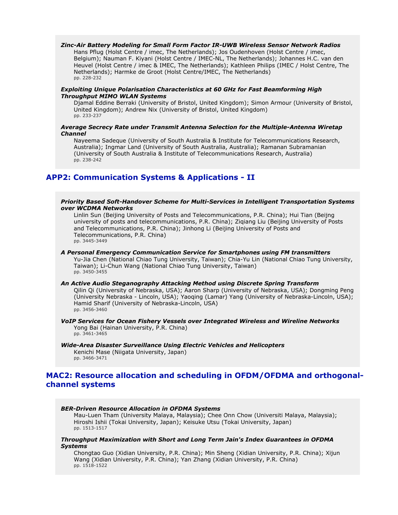### *Zinc-Air Battery Modeling for Small Form Factor IR-UWB Wireless Sensor Network Radios*

Hans Pflug (Holst Centre / imec, The Netherlands); Jos Oudenhoven (Holst Centre / imec, Belgium); Nauman F. Kiyani (Holst Centre / IMEC-NL, The Netherlands); Johannes H.C. van den Heuvel (Holst Centre / imec & IMEC, The Netherlands); Kathleen Philips (IMEC / Holst Centre, The Netherlands); Harmke de Groot (Holst Centre/IMEC, The Netherlands) pp. 228-232

## *Exploiting Unique Polarisation Characteristics at 60 GHz for Fast Beamforming High Throughput MIMO WLAN Systems*

Djamal Eddine Berraki (University of Bristol, United Kingdom); Simon Armour (University of Bristol, United Kingdom); Andrew Nix (University of Bristol, United Kingdom) pp. 233-237

# *Average Secrecy Rate under Transmit Antenna Selection for the Multiple-Antenna Wiretap Channel*

Nayeema Sadeque (University of South Australia & Institute for Telecommunications Research, Australia); Ingmar Land (University of South Australia, Australia); Ramanan Subramanian (University of South Australia & Institute of Telecommunications Research, Australia) pp. 238-242

# **APP2: Communication Systems & Applications - II**

#### *Priority Based Soft-Handover Scheme for Multi-Services in Intelligent Transportation Systems over WCDMA Networks*

Linlin Sun (Beijing University of Posts and Telecommunications, P.R. China); Hui Tian (Beijng university of posts and telecommunications, P.R. China); Ziqiang Liu (Beijing University of Posts and Telecommunications, P.R. China); Jinhong Li (Beijing University of Posts and Telecommunications, P.R. China) pp. 3445-3449

#### *A Personal Emergency Communication Service for Smartphones using FM transmitters*

Yu-Jia Chen (National Chiao Tung University, Taiwan); Chia-Yu Lin (National Chiao Tung University, Taiwan); Li-Chun Wang (National Chiao Tung University, Taiwan) pp. 3450-3455

# *An Active Audio Steganography Attacking Method using Discrete Spring Transform*

Qilin Qi (University of Nebraska, USA); Aaron Sharp (University of Nebraska, USA); Dongming Peng (University Nebraska - Lincoln, USA); Yaoqing (Lamar) Yang (University of Nebraska-Lincoln, USA); Hamid Sharif (University of Nebraska-Lincoln, USA) pp. 3456-3460

#### *VoIP Services for Ocean Fishery Vessels over Integrated Wireless and Wireline Networks* Yong Bai (Hainan University, P.R. China) pp. 3461-3465

# *Wide-Area Disaster Surveillance Using Electric Vehicles and Helicopters*

Kenichi Mase (Niigata University, Japan) pp. 3466-3471

# **MAC2: Resource allocation and scheduling in OFDM/OFDMA and orthogonalchannel systems**

# *BER-Driven Resource Allocation in OFDMA Systems*

Mau-Luen Tham (University Malaya, Malaysia); Chee Onn Chow (Universiti Malaya, Malaysia); Hiroshi Ishii (Tokai University, Japan); Keisuke Utsu (Tokai University, Japan) pp. 1513-1517

### *Throughput Maximization with Short and Long Term Jain's Index Guarantees in OFDMA Systems*

Chongtao Guo (Xidian University, P.R. China); Min Sheng (Xidian University, P.R. China); Xijun Wang (Xidian University, P.R. China); Yan Zhang (Xidian University, P.R. China) pp. 1518-1522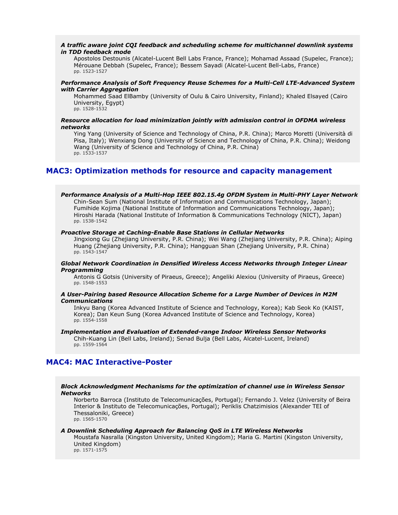## *A traffic aware joint CQI feedback and scheduling scheme for multichannel downlink systems in TDD feedback mode*

Apostolos Destounis (Alcatel-Lucent Bell Labs France, France); Mohamad Assaad (Supelec, France); Mérouane Debbah (Supelec, France); Bessem Sayadi (Alcatel-Lucent Bell-Labs, France) pp. 1523-1527

# *Performance Analysis of Soft Frequency Reuse Schemes for a Multi-Cell LTE-Advanced System with Carrier Aggregation*

Mohammed Saad ElBamby (University of Oulu & Cairo University, Finland); Khaled Elsayed (Cairo University, Egypt) pp. 1528-1532

*Resource allocation for load minimization jointly with admission control in OFDMA wireless networks*

Ying Yang (University of Science and Technology of China, P.R. China); Marco Moretti (Università di Pisa, Italy); Wenxiang Dong (University of Science and Technology of China, P.R. China); Weidong Wang (University of Science and Technology of China, P.R. China) pp. 1533-1537

# **MAC3: Optimization methods for resource and capacity management**

# *Performance Analysis of a Multi-Hop IEEE 802.15.4g OFDM System in Multi-PHY Layer Network*

Chin-Sean Sum (National Institute of Information and Communications Technology, Japan); Fumihide Kojima (National Institute of Information and Communications Technology, Japan); Hiroshi Harada (National Institute of Information & Communications Technology (NICT), Japan) pp. 1538-1542

#### *Proactive Storage at Caching-Enable Base Stations in Cellular Networks*

Jingxiong Gu (Zhejiang University, P.R. China); Wei Wang (Zhejiang University, P.R. China); Aiping Huang (Zhejiang University, P.R. China); Hangguan Shan (Zhejiang University, P.R. China) pp. 1543-1547

# *Global Network Coordination in Densified Wireless Access Networks through Integer Linear Programming*

Antonis G Gotsis (University of Piraeus, Greece); Angeliki Alexiou (University of Piraeus, Greece) pp. 1548-1553

#### *A User-Pairing based Resource Allocation Scheme for a Large Number of Devices in M2M Communications*

Inkyu Bang (Korea Advanced Institute of Science and Technology, Korea); Kab Seok Ko (KAIST, Korea); Dan Keun Sung (Korea Advanced Institute of Science and Technology, Korea) pp. 1554-1558

# *Implementation and Evaluation of Extended-range Indoor Wireless Sensor Networks*

Chih-Kuang Lin (Bell Labs, Ireland); Senad Bulja (Bell Labs, Alcatel-Lucent, Ireland) pp. 1559-1564

# **MAC4: MAC Interactive-Poster**

# *Block Acknowledgment Mechanisms for the optimization of channel use in Wireless Sensor Networks*

Norberto Barroca (Instituto de Telecomunicações, Portugal); Fernando J. Velez (University of Beira Interior & Instituto de Telecomunicações, Portugal); Periklis Chatzimisios (Alexander TEI of Thessaloniki, Greece) pp. 1565-1570

#### *A Downlink Scheduling Approach for Balancing QoS in LTE Wireless Networks*

Moustafa Nasralla (Kingston University, United Kingdom); Maria G. Martini (Kingston University, United Kingdom) pp. 1571-1575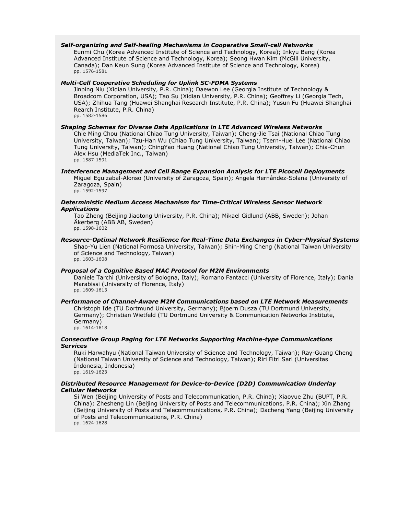### *Self-organizing and Self-healing Mechanisms in Cooperative Small-cell Networks*

Eunmi Chu (Korea Advanced Institute of Science and Technology, Korea); Inkyu Bang (Korea Advanced Institute of Science and Technology, Korea); Seong Hwan Kim (McGill University, Canada); Dan Keun Sung (Korea Advanced Institute of Science and Technology, Korea) pp. 1576-1581

# *Multi-Cell Cooperative Scheduling for Uplink SC-FDMA Systems*

Jinping Niu (Xidian University, P.R. China); Daewon Lee (Georgia Institute of Technology & Broadcom Corporation, USA); Tao Su (Xidian University, P.R. China); Geoffrey Li (Georgia Tech, USA); Zhihua Tang (Huawei Shanghai Research Institute, P.R. China); Yusun Fu (Huawei Shanghai Rearch Institute, P.R. China) pp. 1582-1586

#### *Shaping Schemes for Diverse Data Applications in LTE Advanced Wireless Networks*

Chie Ming Chou (National Chiao Tung University, Taiwan); Cheng-Jie Tsai (National Chiao Tung University, Taiwan); Tzu-Han Wu (Chiao Tung University, Taiwan); Tsern-Huei Lee (National Chiao Tung University, Taiwan); ChingYao Huang (National Chiao Tung University, Taiwan); Chia-Chun Alex Hsu (MediaTek Inc., Taiwan) pp. 1587-1591

#### *Interference Management and Cell Range Expansion Analysis for LTE Picocell Deployments* Miguel Eguizabal-Alonso (University of Zaragoza, Spain); Angela Hernández-Solana (University of Zaragoza, Spain) pp. 1592-1597

#### *Deterministic Medium Access Mechanism for Time-Critical Wireless Sensor Network Applications*

Tao Zheng (Beijing Jiaotong University, P.R. China); Mikael Gidlund (ABB, Sweden); Johan Åkerberg (ABB AB, Sweden) pp. 1598-1602

#### *Resource-Optimal Network Resilience for Real-Time Data Exchanges in Cyber-Physical Systems* Shao-Yu Lien (National Formosa University, Taiwan); Shin-Ming Cheng (National Taiwan University of Science and Technology, Taiwan) pp. 1603-1608

#### *Proposal of a Cognitive Based MAC Protocol for M2M Environments*

Daniele Tarchi (University of Bologna, Italy); Romano Fantacci (University of Florence, Italy); Dania Marabissi (University of Florence, Italy) pp. 1609-1613

#### *Performance of Channel-Aware M2M Communications based on LTE Network Measurements*

Christoph Ide (TU Dortmund University, Germany); Bjoern Dusza (TU Dortmund University, Germany); Christian Wietfeld (TU Dortmund University & Communication Networks Institute, Germany) pp. 1614-1618

# *Consecutive Group Paging for LTE Networks Supporting Machine-type Communications Services*

Ruki Harwahyu (National Taiwan University of Science and Technology, Taiwan); Ray-Guang Cheng (National Taiwan University of Science and Technology, Taiwan); Riri Fitri Sari (Universitas Indonesia, Indonesia)

pp. 1619-1623

# *Distributed Resource Management for Device-to-Device (D2D) Communication Underlay Cellular Networks*

Si Wen (Beijing University of Posts and Telecommunication, P.R. China); Xiaoyue Zhu (BUPT, P.R. China); Zhesheng Lin (Beijing University of Posts and Telecommunications, P.R. China); Xin Zhang (Beijing University of Posts and Telecommunications, P.R. China); Dacheng Yang (Beijing University of Posts and Telecommunications, P.R. China) pp. 1624-1628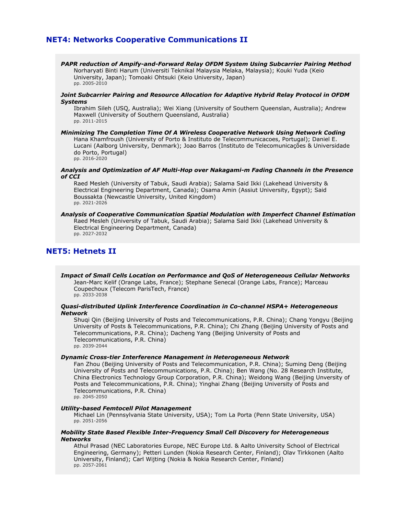# **NET4: Networks Cooperative Communications II**

*PAPR reduction of Ampify-and-Forward Relay OFDM System Using Subcarrier Pairing Method* Norharyati Binti Harum (Universiti Teknikal Malaysia Melaka, Malaysia); Kouki Yuda (Keio University, Japan); Tomoaki Ohtsuki (Keio University, Japan) pp. 2005-2010

#### *Joint Subcarrier Pairing and Resource Allocation for Adaptive Hybrid Relay Protocol in OFDM Systems*

Ibrahim Sileh (USQ, Australia); Wei Xiang (University of Southern Queenslan, Australia); Andrew Maxwell (University of Southern Queensland, Australia) pp. 2011-2015

*Minimizing The Completion Time Of A Wireless Cooperative Network Using Network Coding* Hana Khamfroush (University of Porto & Instituto de Telecommunicacoes, Portugal); Daniel E. Lucani (Aalborg University, Denmark); Joao Barros (Instituto de Telecomunicações & Universidade do Porto, Portugal) pp. 2016-2020

#### *Analysis and Optimization of AF Multi-Hop over Nakagami-m Fading Channels in the Presence of CCI*

Raed Mesleh (University of Tabuk, Saudi Arabia); Salama Said Ikki (Lakehead University & Electrical Engineering Department, Canada); Osama Amin (Assiut University, Egypt); Said Boussakta (Newcastle University, United Kingdom) pp. 2021-2026

*Analysis of Cooperative Communication Spatial Modulation with Imperfect Channel Estimation* Raed Mesleh (University of Tabuk, Saudi Arabia); Salama Said Ikki (Lakehead University & Electrical Engineering Department, Canada) pp. 2027-2032

# **NET5: Hetnets II**

*Impact of Small Cells Location on Performance and QoS of Heterogeneous Cellular Networks* Jean-Marc Kelif (Orange Labs, France); Stephane Senecal (Orange Labs, France); Marceau Coupechoux (Telecom ParisTech, France) pp. 2033-2038

# *Quasi-distributed Uplink Interference Coordination in Co-channel HSPA+ Heterogeneous Network*

Shuqi Qin (Beijing University of Posts and Telecommunications, P.R. China); Chang Yongyu (Beijing University of Posts & Telecommunications, P.R. China); Chi Zhang (Beijing University of Posts and Telecommunications, P.R. China); Dacheng Yang (Beijing University of Posts and Telecommunications, P.R. China) pp. 2039-2044

#### *Dynamic Cross-tier Interference Management in Heterogeneous Network*

Fan Zhou (Beijing University of Posts and Telecommunication, P.R. China); Suming Deng (Beijing University of Posts and Telecommunications, P.R. China); Ben Wang (No. 28 Research Institute, China Electronics Technology Group Corporation, P.R. China); Weidong Wang (Beijing Unversity of Posts and Telecommunications, P.R. China); Yinghai Zhang (Beijing University of Posts and Telecommunications, P.R. China)

pp. 2045-2050

# *Utility-based Femtocell Pilot Management*

Michael Lin (Pennsylvania State University, USA); Tom La Porta (Penn State University, USA) pp. 2051-2056

# *Mobility State Based Flexible Inter-Frequency Small Cell Discovery for Heterogeneous Networks*

Athul Prasad (NEC Laboratories Europe, NEC Europe Ltd. & Aalto University School of Electrical Engineering, Germany); Petteri Lunden (Nokia Research Center, Finland); Olav Tirkkonen (Aalto University, Finland); Carl Wijting (Nokia & Nokia Research Center, Finland) pp. 2057-2061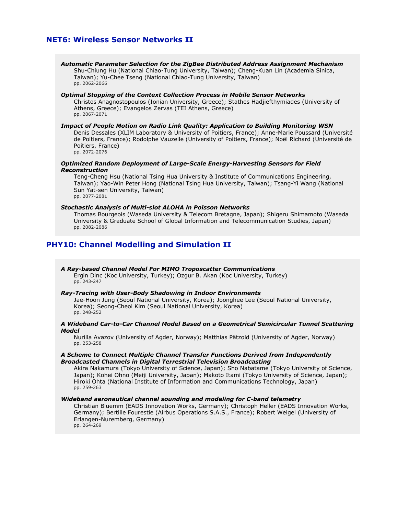# **NET6: Wireless Sensor Networks II**

*Automatic Parameter Selection for the ZigBee Distributed Address Assignment Mechanism* Shu-Chiung Hu (National Chiao-Tung University, Taiwan); Cheng-Kuan Lin (Academia Sinica, Taiwan); Yu-Chee Tseng (National Chiao-Tung University, Taiwan) pp. 2062-2066

*Optimal Stopping of the Context Collection Process in Mobile Sensor Networks* Christos Anagnostopoulos (Ionian University, Greece); Stathes Hadjiefthymiades (University of Athens, Greece); Evangelos Zervas (TEI Athens, Greece) pp. 2067-2071

# *Impact of People Motion on Radio Link Quality: Application to Building Monitoring WSN*

Denis Dessales (XLIM Laboratory & University of Poitiers, France); Anne-Marie Poussard (Université de Poitiers, France); Rodolphe Vauzelle (University of Poitiers, France); Noël Richard (Université de Poitiers, France) pp. 2072-2076

### *Optimized Random Deployment of Large-Scale Energy-Harvesting Sensors for Field Reconstruction*

Teng-Cheng Hsu (National Tsing Hua University & Institute of Communications Engineering, Taiwan); Yao-Win Peter Hong (National Tsing Hua University, Taiwan); Tsang-Yi Wang (National Sun Yat-sen University, Taiwan) pp. 2077-2081

### *Stochastic Analysis of Multi-slot ALOHA in Poisson Networks*

Thomas Bourgeois (Waseda University & Telecom Bretagne, Japan); Shigeru Shimamoto (Waseda University & Graduate School of Global Information and Telecommunication Studies, Japan) pp. 2082-2086

# **PHY10: Channel Modelling and Simulation II**

#### *A Ray-based Channel Model For MIMO Troposcatter Communications* Ergin Dinc (Koc University, Turkey); Ozgur B. Akan (Koc University, Turkey)

pp. 243-247

# *Ray-Tracing with User-Body Shadowing in Indoor Environments*

Jae-Hoon Jung (Seoul National University, Korea); Joonghee Lee (Seoul National University, Korea); Seong-Cheol Kim (Seoul National University, Korea) pp. 248-252

#### *A Wideband Car-to-Car Channel Model Based on a Geometrical Semicircular Tunnel Scattering Model*

Nurilla Avazov (University of Agder, Norway); Matthias Pätzold (University of Agder, Norway) pp. 253-258

# *A Scheme to Connect Multiple Channel Transfer Functions Derived from Independently Broadcasted Channels in Digital Terrestrial Television Broadcasting*

Akira Nakamura (Tokyo University of Science, Japan); Sho Nabatame (Tokyo University of Science, Japan); Kohei Ohno (Meiji University, Japan); Makoto Itami (Tokyo University of Science, Japan); Hiroki Ohta (National Institute of Information and Communications Technology, Japan) pp. 259-263

# *Wideband aeronautical channel sounding and modeling for C-band telemetry*

Christian Bluemm (EADS Innovation Works, Germany); Christoph Heller (EADS Innovation Works, Germany); Bertille Fourestie (Airbus Operations S.A.S., France); Robert Weigel (University of Erlangen-Nuremberg, Germany) pp. 264-269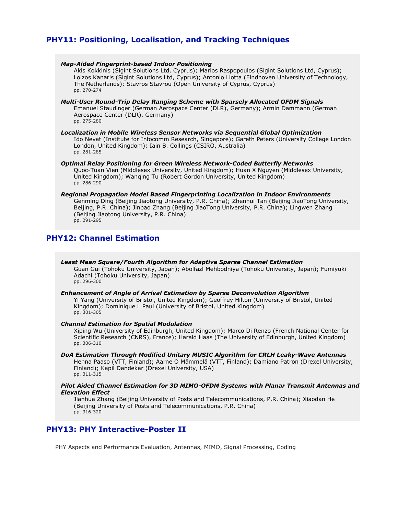# **PHY11: Positioning, Localisation, and Tracking Techniques**

#### *Map-Aided Fingerprint-based Indoor Positioning*

Akis Kokkinis (Sigint Solutions Ltd, Cyprus); Marios Raspopoulos (Sigint Solutions Ltd, Cyprus); Loizos Kanaris (Sigint Solutions Ltd, Cyprus); Antonio Liotta (Eindhoven University of Technology, The Netherlands); Stavros Stavrou (Open University of Cyprus, Cyprus) pp. 270-274

*Multi-User Round-Trip Delay Ranging Scheme with Sparsely Allocated OFDM Signals* Emanuel Staudinger (German Aerospace Center (DLR), Germany); Armin Dammann (German Aerospace Center (DLR), Germany) pp. 275-280

*Localization in Mobile Wireless Sensor Networks via Sequential Global Optimization* Ido Nevat (Institute for Infocomm Research, Singapore); Gareth Peters (University College London London, United Kingdom); Iain B. Collings (CSIRO, Australia) pp. 281-285

*Optimal Relay Positioning for Green Wireless Network-Coded Butterfly Networks* Quoc-Tuan Vien (Middlesex University, United Kingdom); Huan X Nguyen (Middlesex University, United Kingdom); Wanqing Tu (Robert Gordon University, United Kingdom) pp. 286-290

*Regional Propagation Model Based Fingerprinting Localization in Indoor Environments* Genming Ding (Beijing Jiaotong University, P.R. China); Zhenhui Tan (Beijing JiaoTong University, Beijing, P.R. China); Jinbao Zhang (Beijing JiaoTong University, P.R. China); Lingwen Zhang (Beijing Jiaotong University, P.R. China) pp. 291-295

# **PHY12: Channel Estimation**

*Least Mean Square/Fourth Algorithm for Adaptive Sparse Channel Estimation* Guan Gui (Tohoku University, Japan); Abolfazl Mehbodniya (Tohoku University, Japan); Fumiyuki Adachi (Tohoku University, Japan) pp. 296-300

*Enhancement of Angle of Arrival Estimation by Sparse Deconvolution Algorithm*

Yi Yang (University of Bristol, United Kingdom); Geoffrey Hilton (University of Bristol, United Kingdom); Dominique L Paul (University of Bristol, United Kingdom) pp. 301-305

#### *Channel Estimation for Spatial Modulation*

Xiping Wu (University of Edinburgh, United Kingdom); Marco Di Renzo (French National Center for Scientific Research (CNRS), France); Harald Haas (The University of Edinburgh, United Kingdom) pp. 306-310

# *DoA Estimation Through Modified Unitary MUSIC Algorithm for CRLH Leaky-Wave Antennas*

Henna Paaso (VTT, Finland); Aarne O Mämmelä (VTT, Finland); Damiano Patron (Drexel University, Finland); Kapil Dandekar (Drexel University, USA) pp. 311-315

# *Pilot Aided Channel Estimation for 3D MIMO-OFDM Systems with Planar Transmit Antennas and Elevation Effect*

Jianhua Zhang (Beijing University of Posts and Telecommunications, P.R. China); Xiaodan He (Beijing University of Posts and Telecommunications, P.R. China) pp. 316-320

# **PHY13: PHY Interactive-Poster II**

PHY Aspects and Performance Evaluation, Antennas, MIMO, Signal Processing, Coding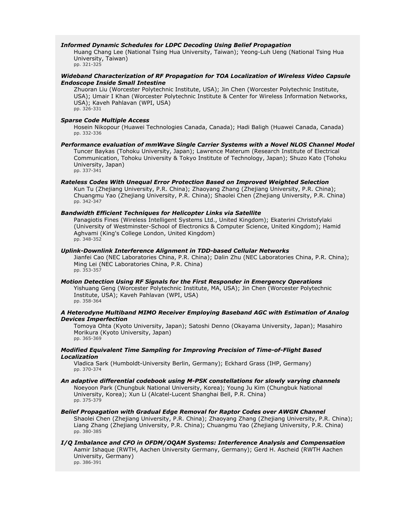### *Informed Dynamic Schedules for LDPC Decoding Using Belief Propagation*

Huang Chang Lee (National Tsing Hua University, Taiwan); Yeong-Luh Ueng (National Tsing Hua University, Taiwan) pp. 321-325

### *Wideband Characterization of RF Propagation for TOA Localization of Wireless Video Capsule Endoscope Inside Small Intestine*

Zhuoran Liu (Worcester Polytechnic Institute, USA); Jin Chen (Worcester Polytechnic Institute, USA); Umair I Khan (Worcester Polytechnic Institute & Center for Wireless Information Networks, USA); Kaveh Pahlavan (WPI, USA) pp. 326-331

#### *Sparse Code Multiple Access*

Hosein Nikopour (Huawei Technologies Canada, Canada); Hadi Baligh (Huawei Canada, Canada) pp. 332-336

# *Performance evaluation of mmWave Single Carrier Systems with a Novel NLOS Channel Model*

Tuncer Baykas (Tohoku University, Japan); Lawrence Materum (Research Institute of Electrical Communication, Tohoku University & Tokyo Institute of Technology, Japan); Shuzo Kato (Tohoku University, Japan) pp. 337-341

#### *Rateless Codes With Unequal Error Protection Based on Improved Weighted Selection*

Kun Tu (Zhejiang University, P.R. China); Zhaoyang Zhang (Zhejiang University, P.R. China); Chuangmu Yao (Zhejiang University, P.R. China); Shaolei Chen (Zhejiang University, P.R. China) pp. 342-347

# *Bandwidth Efficient Techniques for Helicopter Links via Satellite*

Panagiotis Fines (Wireless Intelligent Systems Ltd., United Kingdom); Ekaterini Christofylaki (University of Westminster-School of Electronics & Computer Science, United Kingdom); Hamid Aghvami (King's College London, United Kingdom) pp. 348-352

#### *Uplink-Downlink Interference Alignment in TDD-based Cellular Networks*

Jianfei Cao (NEC Laboratories China, P.R. China); Dalin Zhu (NEC Laboratories China, P.R. China); Ming Lei (NEC Laboratories China, P.R. China) pp. 353-357

# *Motion Detection Using RF Signals for the First Responder in Emergency Operations*

Yishuang Geng (Worcester Polytechnic Institute, MA, USA); Jin Chen (Worcester Polytechnic Institute, USA); Kaveh Pahlavan (WPI, USA) pp. 358-364

# *A Heterodyne Multiband MIMO Receiver Employing Baseband AGC with Estimation of Analog Devices Imperfection*

Tomoya Ohta (Kyoto University, Japan); Satoshi Denno (Okayama University, Japan); Masahiro Morikura (Kyoto University, Japan) pp. 365-369

#### *Modified Equivalent Time Sampling for Improving Precision of Time-of-Flight Based Localization*

Vladica Sark (Humboldt-University Berlin, Germany); Eckhard Grass (IHP, Germany) pp. 370-374

*An adaptive differential codebook using M-PSK constellations for slowly varying channels* Noeyoon Park (Chungbuk National University, Korea); Young Ju Kim (Chungbuk National University, Korea); Xun Li (Alcatel-Lucent Shanghai Bell, P.R. China) pp. 375-379

#### *Belief Propagation with Gradual Edge Removal for Raptor Codes over AWGN Channel*

Shaolei Chen (Zhejiang University, P.R. China); Zhaoyang Zhang (Zhejiang University, P.R. China); Liang Zhang (Zhejiang University, P.R. China); Chuangmu Yao (Zhejiang University, P.R. China) pp. 380-385

# *I/Q Imbalance and CFO in OFDM/OQAM Systems: Interference Analysis and Compensation*

Aamir Ishaque (RWTH, Aachen University Germany, Germany); Gerd H. Ascheid (RWTH Aachen University, Germany)

pp. 386-391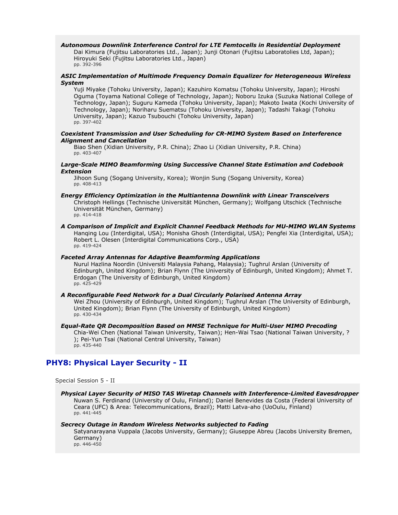#### *Autonomous Downlink Interference Control for LTE Femtocells in Residential Deployment*

Dai Kimura (Fujitsu Laboratories Ltd., Japan); Junji Otonari (Fujitsu Laboratolies Ltd, Japan); Hiroyuki Seki (Fujitsu Laboratories Ltd., Japan) pp. 392-396

### *ASIC Implementation of Multimode Frequency Domain Equalizer for Heterogeneous Wireless System*

Yuji Miyake (Tohoku University, Japan); Kazuhiro Komatsu (Tohoku University, Japan); Hiroshi Oguma (Toyama National College of Technology, Japan); Noboru Izuka (Suzuka National College of Technology, Japan); Suguru Kameda (Tohoku University, Japan); Makoto Iwata (Kochi University of Technology, Japan); Noriharu Suematsu (Tohoku University, Japan); Tadashi Takagi (Tohoku University, Japan); Kazuo Tsubouchi (Tohoku University, Japan) pp. 397-402

#### *Coexistent Transmission and User Scheduling for CR-MIMO System Based on Interference Alignment and Cancellation*

Biao Shen (Xidian University, P.R. China); Zhao Li (Xidian University, P.R. China) pp. 403-407

### *Large-Scale MIMO Beamforming Using Successive Channel State Estimation and Codebook Extension*

Jihoon Sung (Sogang University, Korea); Wonjin Sung (Sogang University, Korea) pp. 408-413

### *Energy Efficiency Optimization in the Multiantenna Downlink with Linear Transceivers*

Christoph Hellings (Technische Universität München, Germany); Wolfgang Utschick (Technische Universität München, Germany) pp. 414-418

#### *A Comparison of Implicit and Explicit Channel Feedback Methods for MU-MIMO WLAN Systems* Hanqing Lou (Interdigital, USA); Monisha Ghosh (Interdigital, USA); Pengfei Xia (Interdigital, USA); Robert L. Olesen (Interdigital Communications Corp., USA) pp. 419-424

### *Faceted Array Antennas for Adaptive Beamforming Applications*

Nurul Hazlina Noordin (Universiti Malaysia Pahang, Malaysia); Tughrul Arslan (University of Edinburgh, United Kingdom); Brian Flynn (The University of Edinburgh, United Kingdom); Ahmet T. Erdogan (The University of Edinburgh, United Kingdom) pp. 425-429

#### *A Reconfigurable Feed Network for a Dual Circularly Polarised Antenna Array*

Wei Zhou (University of Edinburgh, United Kingdom); Tughrul Arslan (The University of Edinburgh, United Kingdom); Brian Flynn (The University of Edinburgh, United Kingdom) pp. 430-434

# *Equal-Rate QR Decomposition Based on MMSE Technique for Multi-User MIMO Precoding*

Chia-Wei Chen (National Taiwan University, Taiwan); Hen-Wai Tsao (National Taiwan University, ? ); Pei-Yun Tsai (National Central University, Taiwan) pp. 435-440

# **PHY8: Physical Layer Security - II**

Special Session 5 - II

# *Physical Layer Security of MISO TAS Wiretap Channels with Interference-Limited Eavesdropper*

Nuwan S. Ferdinand (University of Oulu, Finland); Daniel Benevides da Costa (Federal University of Ceara (UFC) & Area: Telecommunications, Brazil); Matti Latva-aho (UoOulu, Finland) pp. 441-445

### *Secrecy Outage in Random Wireless Networks subjected to Fading*

Satyanarayana Vuppala (Jacobs University, Germany); Giuseppe Abreu (Jacobs University Bremen, Germany)

pp. 446-450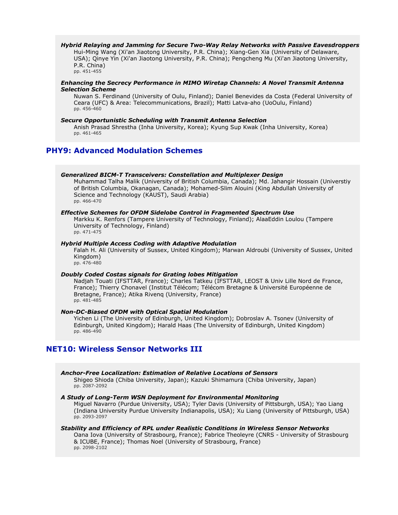#### *Hybrid Relaying and Jamming for Secure Two-Way Relay Networks with Passive Eavesdroppers* Hui-Ming Wang (Xi'an Jiaotong University, P.R. China); Xiang-Gen Xia (University of Delaware, USA); Qinye Yin (Xi'an Jiaotong University, P.R. China); Pengcheng Mu (Xi'an Jiaotong University, P.R. China) pp. 451-455

# *Enhancing the Secrecy Performance in MIMO Wiretap Channels: A Novel Transmit Antenna Selection Scheme*

Nuwan S. Ferdinand (University of Oulu, Finland); Daniel Benevides da Costa (Federal University of Ceara (UFC) & Area: Telecommunications, Brazil); Matti Latva-aho (UoOulu, Finland) pp. 456-460

### *Secure Opportunistic Scheduling with Transmit Antenna Selection*

Anish Prasad Shrestha (Inha University, Korea); Kyung Sup Kwak (Inha University, Korea) pp. 461-465

# **PHY9: Advanced Modulation Schemes**

### *Generalized BICM-T Transceivers: Constellation and Multiplexer Design*

Muhammad Talha Malik (University of British Columbia, Canada); Md. Jahangir Hossain (Universtiy of British Columbia, Okanagan, Canada); Mohamed-Slim Alouini (King Abdullah University of Science and Technology (KAUST), Saudi Arabia) pp. 466-470

#### *Effective Schemes for OFDM Sidelobe Control in Fragmented Spectrum Use*

Markku K. Renfors (Tampere University of Technology, Finland); AlaaEddin Loulou (Tampere University of Technology, Finland) pp. 471-475

#### *Hybrid Multiple Access Coding with Adaptive Modulation*

Falah H. Ali (University of Sussex, United Kingdom); Marwan Aldroubi (University of Sussex, United Kingdom) pp. 476-480

#### *Doubly Coded Costas signals for Grating lobes Mitigation*

Nadjah Touati (IFSTTAR, France); Charles Tatkeu (IFSTTAR, LEOST & Univ Lille Nord de France, France); Thierry Chonavel (Institut Télécom; Télécom Bretagne & Université Européenne de Bretagne, France); Atika Rivenq (University, France) pp. 481-485

#### *Non-DC-Biased OFDM with Optical Spatial Modulation*

Yichen Li (The University of Edinburgh, United Kingdom); Dobroslav A. Tsonev (University of Edinburgh, United Kingdom); Harald Haas (The University of Edinburgh, United Kingdom) pp. 486-490

# **NET10: Wireless Sensor Networks III**

# *Anchor-Free Localization: Estimation of Relative Locations of Sensors*

Shigeo Shioda (Chiba University, Japan); Kazuki Shimamura (Chiba University, Japan) pp. 2087-2092

# *A Study of Long-Term WSN Deployment for Environmental Monitoring*

Miguel Navarro (Purdue University, USA); Tyler Davis (University of Pittsburgh, USA); Yao Liang (Indiana University Purdue University Indianapolis, USA); Xu Liang (University of Pittsburgh, USA) pp. 2093-2097

# *Stability and Efficiency of RPL under Realistic Conditions in Wireless Sensor Networks*

Oana Iova (University of Strasbourg, France); Fabrice Theoleyre (CNRS - University of Strasbourg & ICUBE, France); Thomas Noel (University of Strasbourg, France) pp. 2098-2102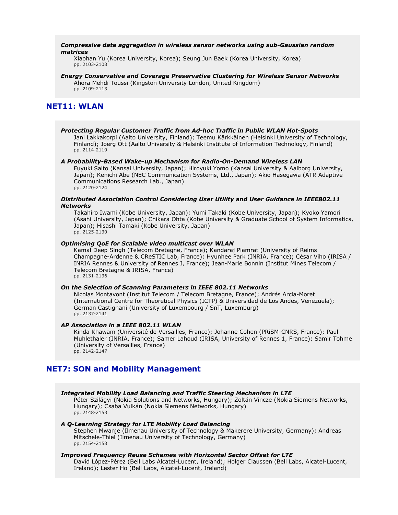#### *Compressive data aggregation in wireless sensor networks using sub-Gaussian random matrices*

Xiaohan Yu (Korea University, Korea); Seung Jun Baek (Korea University, Korea) pp. 2103-2108

# *Energy Conservative and Coverage Preservative Clustering for Wireless Sensor Networks*

Ahora Mehdi Toussi (Kingston University London, United Kingdom) pp. 2109-2113

# **NET11: WLAN**

# *Protecting Regular Customer Traffic from Ad-hoc Traffic in Public WLAN Hot-Spots*

Jani Lakkakorpi (Aalto University, Finland); Teemu Kärkkäinen (Helsinki University of Technology, Finland); Joerg Ott (Aalto University & Helsinki Institute of Information Technology, Finland) pp. 2114-2119

#### *A Probability-Based Wake-up Mechanism for Radio-On-Demand Wireless LAN*

Fuyuki Saito (Kansai University, Japan); Hiroyuki Yomo (Kansai University & Aalborg University, Japan); Kenichi Abe (NEC Communication Systems, Ltd., Japan); Akio Hasegawa (ATR Adaptive Communications Research Lab., Japan) pp. 2120-2124

# *Distributed Association Control Considering User Utility and User Guidance in IEEE802.11 Networks*

Takahiro Iwami (Kobe University, Japan); Yumi Takaki (Kobe University, Japan); Kyoko Yamori (Asahi University, Japan); Chikara Ohta (Kobe University & Graduate School of System Informatics, Japan); Hisashi Tamaki (Kobe University, Japan) pp. 2125-2130

# *Optimising QoE for Scalable video multicast over WLAN*

Kamal Deep Singh (Telecom Bretagne, France); Kandaraj Piamrat (University of Reims Champagne-Ardenne & CReSTIC Lab, France); Hyunhee Park (INRIA, France); César Viho (IRISA / INRIA Rennes & University of Rennes I, France); Jean-Marie Bonnin (Institut Mines Telecom / Telecom Bretagne & IRISA, France) pp. 2131-2136

#### *On the Selection of Scanning Parameters in IEEE 802.11 Networks*

Nicolas Montavont (Institut Telecom / Telecom Bretagne, France); Andrés Arcia-Moret (International Centre for Theoretical Physics (ICTP) & Universidad de Los Andes, Venezuela); German Castignani (University of Luxembourg / SnT, Luxemburg) pp. 2137-2141

# *AP Association in a IEEE 802.11 WLAN*

Kinda Khawam (Université de Versailles, France); Johanne Cohen (PRiSM-CNRS, France); Paul Muhlethaler (INRIA, France); Samer Lahoud (IRISA, University of Rennes 1, France); Samir Tohme (University of Versailles, France) pp. 2142-2147

# **NET7: SON and Mobility Management**

# *Integrated Mobility Load Balancing and Traffic Steering Mechanism in LTE*

Péter Szilágyi (Nokia Solutions and Networks, Hungary); Zoltán Vincze (Nokia Siemens Networks, Hungary); Csaba Vulkán (Nokia Siemens Networks, Hungary) pp. 2148-2153

### *A Q-Learning Strategy for LTE Mobility Load Balancing*

Stephen Mwanje (Ilmenau University of Technology & Makerere University, Germany); Andreas Mitschele-Thiel (Ilmenau University of Technology, Germany) pp. 2154-2158

# *Improved Frequency Reuse Schemes with Horizontal Sector Offset for LTE*

David López-Pérez (Bell Labs Alcatel-Lucent, Ireland); Holger Claussen (Bell Labs, Alcatel-Lucent, Ireland); Lester Ho (Bell Labs, Alcatel-Lucent, Ireland)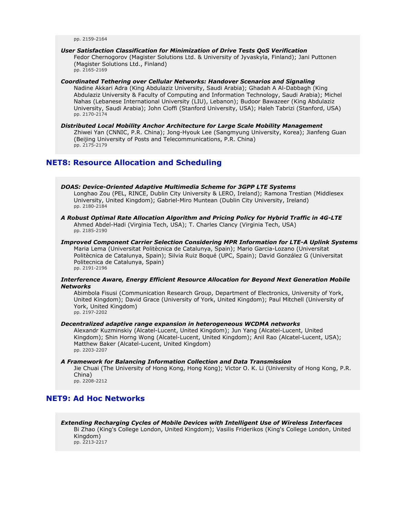pp. 2159-2164

# *User Satisfaction Classification for Minimization of Drive Tests QoS Verification*

Fedor Chernogorov (Magister Solutions Ltd. & University of Jyvaskyla, Finland); Jani Puttonen (Magister Solutions Ltd., Finland) pp. 2165-2169

# *Coordinated Tethering over Cellular Networks: Handover Scenarios and Signaling*

Nadine Akkari Adra (King Abdulaziz University, Saudi Arabia); Ghadah A Al-Dabbagh (King Abdulaziz University & Faculty of Computing and Information Technology, Saudi Arabia); Michel Nahas (Lebanese International University (LIU), Lebanon); Budoor Bawazeer (King Abdulaziz University, Saudi Arabia); John Cioffi (Stanford University, USA); Haleh Tabrizi (Stanford, USA) pp. 2170-2174

*Distributed Local Mobility Anchor Architecture for Large Scale Mobility Management* Zhiwei Yan (CNNIC, P.R. China); Jong-Hyouk Lee (Sangmyung University, Korea); Jianfeng Guan (Beijing University of Posts and Telecommunications, P.R. China) pp. 2175-2179

# **NET8: Resource Allocation and Scheduling**

*DOAS: Device-Oriented Adaptive Multimedia Scheme for 3GPP LTE Systems* Longhao Zou (PEL, RINCE, Dublin City University & LERO, Ireland); Ramona Trestian (Middlesex University, United Kingdom); Gabriel-Miro Muntean (Dublin City University, Ireland) pp. 2180-2184

- *A Robust Optimal Rate Allocation Algorithm and Pricing Policy for Hybrid Traffic in 4G-LTE* Ahmed Abdel-Hadi (Virginia Tech, USA); T. Charles Clancy (Virginia Tech, USA) pp. 2185-2190
- *Improved Component Carrier Selection Considering MPR Information for LTE-A Uplink Systems* Maria Lema (Universitat Politècnica de Catalunya, Spain); Mario Garcia-Lozano (Universitat Politècnica de Catalunya, Spain); Silvia Ruiz Boqué (UPC, Spain); David González G (Universitat Politecnica de Catalunya, Spain) pp. 2191-2196

### *Interference Aware, Energy Efficient Resource Allocation for Beyond Next Generation Mobile Networks*

Abimbola Fisusi (Communication Research Group, Department of Electronics, University of York, United Kingdom); David Grace (University of York, United Kingdom); Paul Mitchell (University of York, United Kingdom) pp. 2197-2202

#### *Decentralized adaptive range expansion in heterogeneous WCDMA networks*

Alexandr Kuzminskiy (Alcatel-Lucent, United Kingdom); Jun Yang (Alcatel-Lucent, United Kingdom); Shin Horng Wong (Alcatel-Lucent, United Kingdom); Anil Rao (Alcatel-Lucent, USA); Matthew Baker (Alcatel-Lucent, United Kingdom) pp. 2203-2207

#### *A Framework for Balancing Information Collection and Data Transmission*

Jie Chuai (The University of Hong Kong, Hong Kong); Victor O. K. Li (University of Hong Kong, P.R. China) pp. 2208-2212

# **NET9: Ad Hoc Networks**

*Extending Recharging Cycles of Mobile Devices with Intelligent Use of Wireless Interfaces* Bi Zhao (King's College London, United Kingdom); Vasilis Friderikos (King's College London, United Kingdom) pp. 2213-2217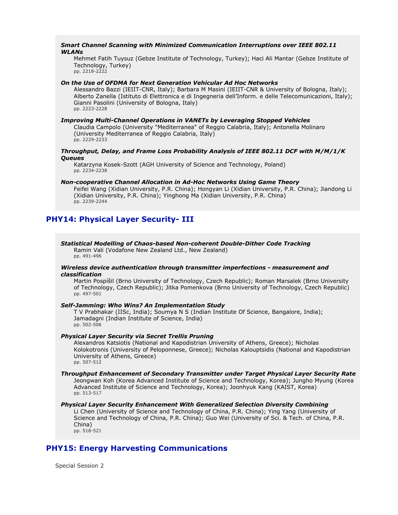### *Smart Channel Scanning with Minimized Communication Interruptions over IEEE 802.11 WLANs*

Mehmet Fatih Tuysuz (Gebze Institute of Technology, Turkey); Haci Ali Mantar (Gebze Institute of Technology, Turkey) pp. 2218-2222

#### *On the Use of OFDMA for Next Generation Vehicular Ad Hoc Networks*

Alessandro Bazzi (IEIIT-CNR, Italy); Barbara M Masini (IEIIT-CNR & University of Bologna, Italy); Alberto Zanella (Istituto di Elettronica e di Ingegneria dell'Inform. e delle Telecomunicazioni, Italy); Gianni Pasolini (University of Bologna, Italy) pp. 2223-2228

#### *Improving Multi-Channel Operations in VANETs by Leveraging Stopped Vehicles*

Claudia Campolo (University "Mediterranea" of Reggio Calabria, Italy); Antonella Molinaro (University Mediterranea of Reggio Calabria, Italy) pp. 2229-2233

### *Throughput, Delay, and Frame Loss Probability Analysis of IEEE 802.11 DCF with M/M/1/K Queues*

Katarzyna Kosek-Szott (AGH University of Science and Technology, Poland) pp. 2234-2238

# *Non-cooperative Channel Allocation in Ad-Hoc Networks Using Game Theory*

Feifei Wang (Xidian University, P.R. China); Hongyan Li (Xidian University, P.R. China); Jiandong Li (Xidian University, P.R. China); Yinghong Ma (Xidian University, P.R. China) pp. 2239-2244

# **PHY14: Physical Layer Security- III**

#### *Statistical Modelling of Chaos-based Non-coherent Double-Dither Code Tracking* Ramin Vali (Vodafone New Zealand Ltd., New Zealand)

pp. 491-496

# *Wireless device authentication through transmitter imperfections - measurement and classification*

Martin Pospíšil (Brno University of Technology, Czech Republic); Roman Marsalek (Brno University of Technology, Czech Republic); Jitka Pomenkova (Brno University of Technology, Czech Republic) pp. 497-501

#### *Self-Jamming: Who Wins? An Implementation Study*

T V Prabhakar (IISc, India); Soumya N S (Indian Institute Of Science, Bangalore, India); Jamadagni (Indian Institute of Science, India) pp. 502-506

# *Physical Layer Security via Secret Trellis Pruning*

Alexandros Katsiotis (National and Kapodistrian University of Athens, Greece); Nicholas Kolokotronis (University of Peloponnese, Greece); Nicholas Kalouptsidis (National and Kapodistrian University of Athens, Greece) pp. 507-512

#### *Throughput Enhancement of Secondary Transmitter under Target Physical Layer Security Rate* Jeongwan Koh (Korea Advanced Institute of Science and Technology, Korea); Jungho Myung (Korea Advanced Institute of Science and Technology, Korea); Joonhyuk Kang (KAIST, Korea) pp. 513-517

#### *Physical Layer Security Enhancement With Generalized Selection Diversity Combining*

Li Chen (University of Science and Technology of China, P.R. China); Ying Yang (University of Science and Technology of China, P.R. China); Guo Wei (University of Sci. & Tech. of China, P.R. China) pp. 518-521

# **PHY15: Energy Harvesting Communications**

Special Session 2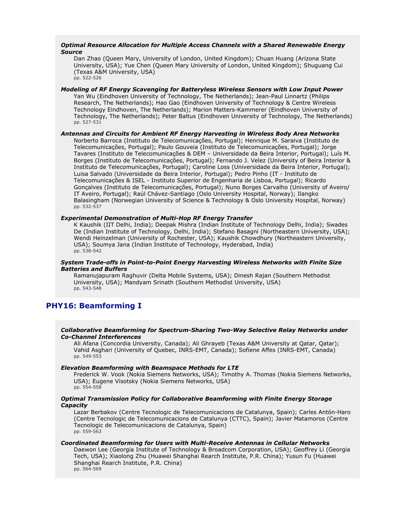# *Optimal Resource Allocation for Multiple Access Channels with a Shared Renewable Energy Source*

Dan Zhao (Queen Mary, University of London, United Kingdom); Chuan Huang (Arizona State University, USA); Yue Chen (Queen Mary University of London, United Kingdom); Shuguang Cui (Texas A&M University, USA) pp. 522-526

*Modeling of RF Energy Scavenging for Batteryless Wireless Sensors with Low Input Power* Yan Wu (Eindhoven University of Technology, The Netherlands); Jean-Paul Linnartz (Philips Research, The Netherlands); Hao Gao (Eindhoven University of Technology & Centre Wireless Technology Eindhoven, The Netherlands); Marion Matters-Kammerer (Eindhoven University of Technology, The Netherlands); Peter Baltus (Eindhoven University of Technology, The Netherlands) pp. 527-531

*Antennas and Circuits for Ambient RF Energy Harvesting in Wireless Body Area Networks* Norberto Barroca (Instituto de Telecomunicações, Portugal); Henrique M. Saraiva (Instituto de Telecomunicações, Portugal); Paulo Gouveia (Instituto de Telecomunicações, Portugal); Jorge Tavares (Instituto de Telecomunicações & DEM – Universidade da Beira Interior, Portugal); Luís M. Borges (Instituto de Telecomunicações, Portugal); Fernando J. Velez (University of Beira Interior & Instituto de Telecomunicações, Portugal); Caroline Loss (Universidade da Beira Interior, Portugal); Luisa Salvado (Universidade da Beira Interior, Portugal); Pedro Pinho (IT - Instituto de Telecomunicações & ISEL - Instituto Superior de Engenharia de Lisboa, Portugal); Ricardo Gonçalves (Instituto de Telecomunicações, Portugal); Nuno Borges Carvalho (University of Aveiro/ IT Aveiro, Portugal); Raúl Chávez-Santiago (Oslo University Hospital, Norway); Ilangko Balasingham (Norwegian University of Science & Technology & Oslo University Hospital, Norway) pp. 532-537

# *Experimental Demonstration of Multi-Hop RF Energy Transfer*

K Kaushik (IIT Delhi, India); Deepak Mishra (Indian Institute of Technology Delhi, India); Swades De (Indian Institute of Technology, Delhi, India); Stefano Basagni (Northeastern University, USA); Wendi Heinzelman (University of Rochester, USA); Kaushik Chowdhury (Northeastern University, USA); Soumya Jana (Indian Institute of Technology, Hyderabad, India) pp. 538-542

# *System Trade-offs in Point-to-Point Energy Harvesting Wireless Networks with Finite Size Batteries and Buffers*

Ramanujapuram Raghuvir (Delta Mobile Systems, USA); Dinesh Rajan (Southern Methodist University, USA); Mandyam Srinath (Southern Methodist University, USA) pp. 543-548

# **PHY16: Beamforming I**

# *Collaborative Beamforming for Spectrum-Sharing Two-Way Selective Relay Networks under Co-Channel Interferences*

Ali Afana (Concordia University, Canada); Ali Ghrayeb (Texas A&M University at Qatar, Qatar); Vahid Asghari (University of Quebec, INRS-EMT, Canada); Sofiene Affes (INRS-EMT, Canada) pp. 549-553

### *Elevation Beamforming with Beamspace Methods for LTE*

Frederick W. Vook (Nokia Siemens Networks, USA); Timothy A. Thomas (Nokia Siemens Networks, USA); Eugene Visotsky (Nokia Siemens Networks, USA) pp. 554-558

# *Optimal Transmission Policy for Collaborative Beamforming with Finite Energy Storage Capacity*

Lazar Berbakov (Centre Tecnologic de Telecomunicacions de Catalunya, Spain); Carles Antón-Haro (Centre Tecnologic de Telecomunicacions de Catalunya (CTTC), Spain); Javier Matamoros (Centre Tecnologic de Telecomunicacions de Catalunya, Spain) pp. 559-563

### *Coordinated Beamforming for Users with Multi-Receive Antennas in Cellular Networks*

Daewon Lee (Georgia Institute of Technology & Broadcom Corporation, USA); Geoffrey Li (Georgia Tech, USA); Xiaolong Zhu (Huawei Shanghai Rearch Institute, P.R. China); Yusun Fu (Huawei Shanghai Rearch Institute, P.R. China) pp. 564-569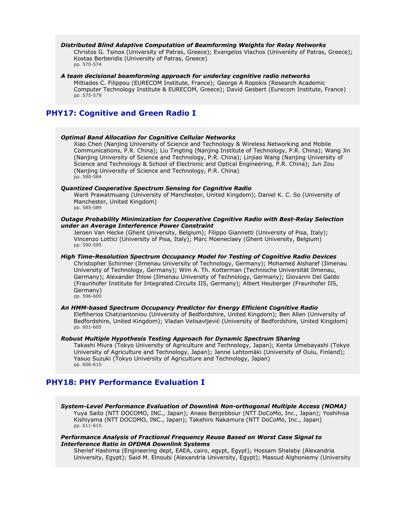#### *Distributed Blind Adaptive Computation of Beamforming Weights for Relay Networks*

Christos G. Tsinos (University of Patras, Greece); Evangelos Vlachos (University of Patras, Greece); Kostas Berberidis (University of Patras, Greece) pp. 570-574

#### *A team decisional beamforming approach for underlay cognitive radio networks*

Miltiades C. Filippou (EURECOM Institute, France); George A Ropokis (Research Academic Computer Technology Institute & EURECOM, Greece); David Gesbert (Eurecom Institute, France) pp. 575-579

# **PHY17: Cognitive and Green Radio I**

#### *Optimal Band Allocation for Cognitive Cellular Networks*

Xiao Chen (Nanjing University of Science and Technology & Wireless Networking and Mobile Communications, P.R. China); Liu Tingting (Nanjing Institute of Technology, P.R. China); Wang Jin (Nanjing University of Science and Technology, P.R. China); Linjiao Wang (Nanjing University of Science and Technology & School of Electronic and Optical Engineering, P.R. China); Jun Zou (Nanjing University of Science and Technology, P.R. China) pp. 580-584

#### *Quantized Cooperative Spectrum Sensing for Cognitive Radio*

Warit Prawatmuang (University of Manchester, United Kingdom); Daniel K. C. So (University of Manchester, United Kingdom) pp. 585-589

#### *Outage Probability Minimization for Cooperative Cognitive Radio with Best-Relay Selection under an Average Interference Power Constraint*

Jeroen Van Hecke (Ghent University, Belgium); Filippo Giannetti (University of Pisa, Italy); Vincenzo Lottici (University of Pisa, Italy); Marc Moeneclaey (Ghent University, Belgium) pp. 590-595

# *High Time-Resolution Spectrum Occupancy Model for Testing of Cognitive Radio Devices*

Christopher Schirmer (Ilmenau University of Technology, Germany); Mohamed Alsharef (Ilmenau University of Technology, Germany); Wim A. Th. Kotterman (Technische Universität Ilmenau, Germany); Alexander Ihlow (Ilmenau University of Technology, Germany); Giovanni Del Galdo (Fraunhofer Institute for Integrated Circuits IIS, Germany); Albert Heuberger (Fraunhofer IIS, Germany)

pp. 596-600

# *An HMM-based Spectrum Occupancy Predictor for Energy Efficient Cognitive Radio*

Eleftherios Chatziantoniou (University of Bedfordshire, United Kingdom); Ben Allen (University of Bedfordshire, United Kingdom); Vladan Velisavljević (University of Bedfordshire, United Kingdom) pp. 601-605

### *Robust Multiple Hypothesis Testing Approach for Dynamic Spectrum Sharing*

Takashi Miura (Tokyo University of Agriculture and Technology, Japan); Kenta Umebayashi (Tokyo University of Agriculture and Technology, Japan); Janne Lehtomäki (University of Oulu, Finland); Yasuo Suzuki (Tokyo University of Agriculture and Technology, Japan) pp. 606-610

# **PHY18: PHY Performance Evaluation I**

*System-Level Performance Evaluation of Downlink Non-orthogonal Multiple Access (NOMA)* Yuya Saito (NTT DOCOMO, INC., Japan); Anass Benjebbour (NTT DoCoMo, Inc., Japan); Yoshihisa Kishiyama (NTT DOCOMO, INC., Japan); Takehiro Nakamura (NTT DoCoMo, Inc., Japan) pp. 611-615

### *Performance Analysis of Fractional Frequency Reuse Based on Worst Case Signal to Interference Ratio in OFDMA Downlink Systems*

Sherief Hashima (Engineering dept, EAEA, cairo, egypt, Egypt); Hossam Shalaby (Alexandria University, Egypt); Said M. Elnoubi (Alexandria University, Egypt); Masoud Alghoniemy (University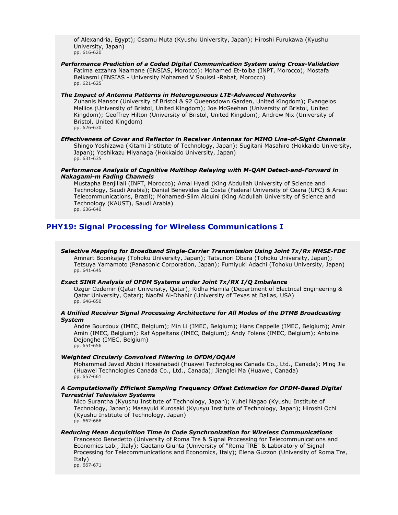of Alexandria, Egypt); Osamu Muta (Kyushu University, Japan); Hiroshi Furukawa (Kyushu University, Japan) pp. 616-620

*Performance Prediction of a Coded Digital Communication System using Cross-Validation* Fatima ezzahra Naamane (ENSIAS, Morocco); Mohamed Et-tolba (INPT, Morocco); Mostafa Belkasmi (ENSIAS - University Mohamed V Souissi -Rabat, Morocco) pp. 621-625

*The Impact of Antenna Patterns in Heterogeneous LTE-Advanced Networks* Zuhanis Mansor (University of Bristol & 92 Queensdown Garden, United Kingdom); Evangelos Mellios (University of Bristol, United Kingdom); Joe McGeehan (University of Bristol, United Kingdom); Geoffrey Hilton (University of Bristol, United Kingdom); Andrew Nix (University of Bristol, United Kingdom) pp. 626-630

*Effectiveness of Cover and Reflector in Receiver Antennas for MIMO Line-of-Sight Channels* Shingo Yoshizawa (Kitami Institute of Technology, Japan); Sugitani Masahiro (Hokkaido University, Japan); Yoshikazu Miyanaga (Hokkaido University, Japan) pp. 631-635

# *Performance Analysis of Cognitive Multihop Relaying with M-QAM Detect-and-Forward in Nakagami-m Fading Channels*

Mustapha Benjillali (INPT, Morocco); Amal Hyadi (King Abdullah University of Science and Technology, Saudi Arabia); Daniel Benevides da Costa (Federal University of Ceara (UFC) & Area: Telecommunications, Brazil); Mohamed-Slim Alouini (King Abdullah University of Science and Technology (KAUST), Saudi Arabia) pp. 636-640

# **PHY19: Signal Processing for Wireless Communications I**

*Selective Mapping for Broadband Single-Carrier Transmission Using Joint Tx/Rx MMSE-FDE* Amnart Boonkajay (Tohoku University, Japan); Tatsunori Obara (Tohoku University, Japan); Tetsuya Yamamoto (Panasonic Corporation, Japan); Fumiyuki Adachi (Tohoku University, Japan) pp. 641-645

# *Exact SINR Analysis of OFDM Systems under Joint Tx/RX I/Q Imbalance*

Özgür Özdemir (Qatar University, Qatar); Ridha Hamila (Department of Electrical Engineering & Qatar University, Qatar); Naofal Al-Dhahir (University of Texas at Dallas, USA) pp. 646-650

# *A Unified Receiver Signal Processing Architecture for All Modes of the DTMB Broadcasting System*

Andre Bourdoux (IMEC, Belgium); Min Li (IMEC, Belgium); Hans Cappelle (IMEC, Belgium); Amir Amin (IMEC, Belgium); Raf Appeltans (IMEC, Belgium); Andy Folens (IMEC, Belgium); Antoine Dejonghe (IMEC, Belgium) pp. 651-656

# *Weighted Circularly Convolved Filtering in OFDM/OQAM*

Mohammad Javad Abdoli Hoseinabadi (Huawei Technologies Canada Co., Ltd., Canada); Ming Jia (Huawei Technologies Canada Co., Ltd., Canada); Jianglei Ma (Huawei, Canada) pp. 657-661

# *A Computationally Efficient Sampling Frequency Offset Estimation for OFDM-Based Digital Terrestrial Television Systems*

Nico Surantha (Kyushu Institute of Technology, Japan); Yuhei Nagao (Kyushu Institute of Technology, Japan); Masayuki Kurosaki (Kyusyu Institute of Technology, Japan); Hiroshi Ochi (Kyushu Institute of Technology, Japan) pp. 662-666

# *Reducing Mean Acquisition Time in Code Synchronization for Wireless Communications*

Francesco Benedetto (University of Roma Tre & Signal Processing for Telecommunications and Economics Lab., Italy); Gaetano Giunta (University of "Roma TRE" & Laboratory of Signal Processing for Telecommunications and Economics, Italy); Elena Guzzon (University of Roma Tre, Italy)

pp. 667-671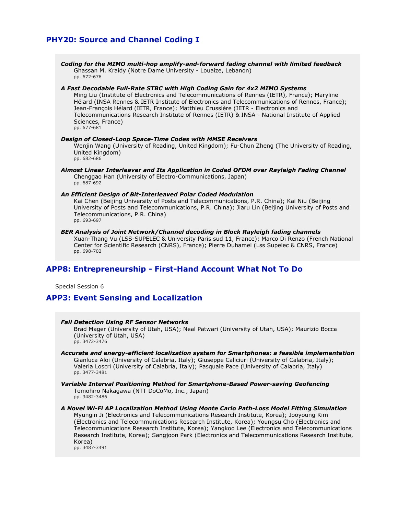# **PHY20: Source and Channel Coding I**

*Coding for the MIMO multi-hop amplify-and-forward fading channel with limited feedback* Ghassan M. Kraidy (Notre Dame University - Louaize, Lebanon) pp. 672-676

### *A Fast Decodable Full-Rate STBC with High Coding Gain for 4x2 MIMO Systems*

Ming Liu (Institute of Electronics and Telecommunications of Rennes (IETR), France); Maryline Hélard (INSA Rennes & IETR Institute of Electronics and Telecommunications of Rennes, France); Jean-François Hélard (IETR, France); Matthieu Crussière (IETR - Electronics and Telecommunications Research Institute of Rennes (IETR) & INSA - National Institute of Applied Sciences, France) pp. 677-681

*Design of Closed-Loop Space-Time Codes with MMSE Receivers* Wenjin Wang (University of Reading, United Kingdom); Fu-Chun Zheng (The University of Reading, United Kingdom) pp. 682-686

*Almost Linear Interleaver and Its Application in Coded OFDM over Rayleigh Fading Channel* Chenggao Han (University of Electro-Communications, Japan) pp. 687-692

#### *An Efficient Design of Bit-Interleaved Polar Coded Modulation*

Kai Chen (Beijing University of Posts and Telecommunications, P.R. China); Kai Niu (Beijing University of Posts and Telecommunications, P.R. China); Jiaru Lin (Beijing University of Posts and Telecommunications, P.R. China) pp. 693-697

#### *BER Analysis of Joint Network/Channel decoding in Block Rayleigh fading channels*

Xuan-Thang Vu (LSS-SUPELEC & University Paris sud 11, France); Marco Di Renzo (French National Center for Scientific Research (CNRS), France); Pierre Duhamel (Lss Supelec & CNRS, France) pp. 698-702

# **APP8: Entrepreneurship - First-Hand Account What Not To Do**

Special Session 6

# **APP3: Event Sensing and Localization**

### *Fall Detection Using RF Sensor Networks*

Brad Mager (University of Utah, USA); Neal Patwari (University of Utah, USA); Maurizio Bocca (University of Utah, USA) pp. 3472-3476

### *Accurate and energy-efficient localization system for Smartphones: a feasible implementation*

Gianluca Aloi (University of Calabria, Italy); Giuseppe Caliciuri (University of Calabria, Italy); Valeria Loscrì (University of Calabria, Italy); Pasquale Pace (University of Calabria, Italy) pp. 3477-3481

#### *Variable Interval Positioning Method for Smartphone-Based Power-saving Geofencing* Tomohiro Nakagawa (NTT DoCoMo, Inc., Japan) pp. 3482-3486

*A Novel Wi-Fi AP Localization Method Using Monte Carlo Path-Loss Model Fitting Simulation* Myungin Ji (Electronics and Telecommunications Research Institute, Korea); Jooyoung Kim (Electronics and Telecommunications Research Institute, Korea); Youngsu Cho (Electronics and Telecommunications Research Institute, Korea); Yangkoo Lee (Electronics and Telecommunications Research Institute, Korea); Sangjoon Park (Electronics and Telecommunications Research Institute, Korea) pp. 3487-3491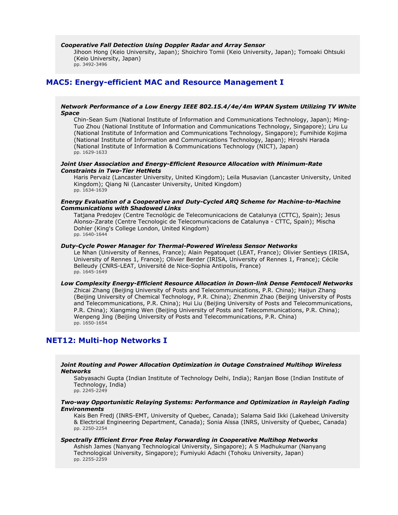#### *Cooperative Fall Detection Using Doppler Radar and Array Sensor*

Jihoon Hong (Keio University, Japan); Shoichiro Tomii (Keio University, Japan); Tomoaki Ohtsuki (Keio University, Japan) pp. 3492-3496

# **MAC5: Energy-efficient MAC and Resource Management I**

### *Network Performance of a Low Energy IEEE 802.15.4/4e/4m WPAN System Utilizing TV White Space*

Chin-Sean Sum (National Institute of Information and Communications Technology, Japan); Ming-Tuo Zhou (National Institute of Information and Communications Technology, Singapore); Liru Lu (National Institute of Information and Communications Technology, Singapore); Fumihide Kojima (National Institute of Information and Communications Technology, Japan); Hiroshi Harada (National Institute of Information & Communications Technology (NICT), Japan) pp. 1629-1633

#### *Joint User Association and Energy-Efficient Resource Allocation with Minimum-Rate Constraints in Two-Tier HetNets*

Haris Pervaiz (Lancaster University, United Kingdom); Leila Musavian (Lancaster University, United Kingdom); Qiang Ni (Lancaster University, United Kingdom) pp. 1634-1639

### *Energy Evaluation of a Cooperative and Duty-Cycled ARQ Scheme for Machine-to-Machine Communications with Shadowed Links*

Tatjana Predojev (Centre Tecnològic de Telecomunicacions de Catalunya (CTTC), Spain); Jesus Alonso-Zarate (Centre Tecnologic de Telecomunicacions de Catalunya - CTTC, Spain); Mischa Dohler (King's College London, United Kingdom) pp. 1640-1644

# *Duty-Cycle Power Manager for Thermal-Powered Wireless Sensor Networks*

Le Nhan (University of Rennes, France); Alain Pegatoquet (LEAT, France); Olivier Sentieys (IRISA, University of Rennes 1, France); Olivier Berder (IRISA, University of Rennes 1, France); Cécile Belleudy (CNRS-LEAT, Université de Nice-Sophia Antipolis, France) pp. 1645-1649

# *Low Complexity Energy-Efficient Resource Allocation in Down-link Dense Femtocell Networks*

Zhicai Zhang (Beijing University of Posts and Telecommunications, P.R. China); Haijun Zhang (Beijing University of Chemical Technology, P.R. China); Zhenmin Zhao (Beijing University of Posts and Telecommunications, P.R. China); Hui Liu (Beijing University of Posts and Telecommunications, P.R. China); Xiangming Wen (Beijing University of Posts and Telecommunications, P.R. China); Wenpeng Jing (Beijing University of Posts and Telecommunications, P.R. China) pp. 1650-1654

# **NET12: Multi-hop Networks I**

### *Joint Routing and Power Allocation Optimization in Outage Constrained Multihop Wireless Networks*

Sabyasachi Gupta (Indian Institute of Technology Delhi, India); Ranjan Bose (Indian Institute of Technology, India)

# pp. 2245-2249

### *Two-way Opportunistic Relaying Systems: Performance and Optimization in Rayleigh Fading Environments*

Kais Ben Fredj (INRS-EMT, University of Quebec, Canada); Salama Said Ikki (Lakehead University & Electrical Engineering Department, Canada); Sonia Aïssa (INRS, University of Quebec, Canada) pp. 2250-2254

### *Spectrally Efficient Error Free Relay Forwarding in Cooperative Multihop Networks*

Ashish James (Nanyang Technological University, Singapore); A S Madhukumar (Nanyang Technological University, Singapore); Fumiyuki Adachi (Tohoku University, Japan) pp. 2255-2259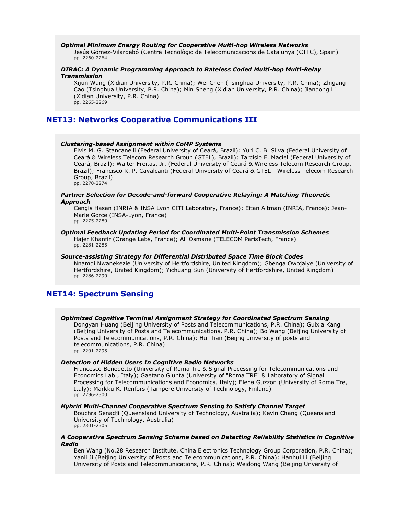#### *Optimal Minimum Energy Routing for Cooperative Multi-hop Wireless Networks*

Jesús Gómez-Vilardebó (Centre Tecnològic de Telecomunicacions de Catalunya (CTTC), Spain) pp. 2260-2264

# *DIRAC: A Dynamic Programming Approach to Rateless Coded Multi-hop Multi-Relay Transmission*

Xijun Wang (Xidian University, P.R. China); Wei Chen (Tsinghua University, P.R. China); Zhigang Cao (Tsinghua University, P.R. China); Min Sheng (Xidian University, P.R. China); Jiandong Li (Xidian University, P.R. China) pp. 2265-2269

# **NET13: Networks Cooperative Communications III**

#### *Clustering-based Assignment within CoMP Systems*

Elvis M. G. Stancanelli (Federal University of Ceará, Brazil); Yuri C. B. Silva (Federal University of Ceará & Wireless Telecom Research Group (GTEL), Brazil); Tarcisio F. Maciel (Federal University of Ceará, Brazil); Walter Freitas, Jr. (Federal University of Ceará & Wireless Telecom Research Group, Brazil); Francisco R. P. Cavalcanti (Federal University of Ceará & GTEL - Wireless Telecom Research Group, Brazil) pp. 2270-2274

#### *Partner Selection for Decode-and-forward Cooperative Relaying: A Matching Theoretic Approach*

Cengis Hasan (INRIA & INSA Lyon CITI Laboratory, France); Eitan Altman (INRIA, France); Jean-Marie Gorce (INSA-Lyon, France) pp. 2275-2280

#### *Optimal Feedback Updating Period for Coordinated Multi-Point Transmission Schemes* Hajer Khanfir (Orange Labs, France); Ali Osmane (TELECOM ParisTech, France) pp. 2281-2285

# *Source-assisting Strategy for Differential Distributed Space Time Block Codes* Nnamdi Nwanekezie (University of Hertfordshire, United Kingdom); Gbenga Owojaiye (University of

Hertfordshire, United Kingdom); Yichuang Sun (University of Hertfordshire, United Kingdom) pp. 2286-2290

# **NET14: Spectrum Sensing**

# *Optimized Cognitive Terminal Assignment Strategy for Coordinated Spectrum Sensing*

Dongyan Huang (Beijing University of Posts and Telecommunications, P.R. China); Guixia Kang (Beijing University of Posts and Telecommunications, P.R. China); Bo Wang (Beijing University of Posts and Telecommunications, P.R. China); Hui Tian (Beijng university of posts and telecommunications, P.R. China) pp. 2291-2295

### *Detection of Hidden Users In Cognitive Radio Networks*

Francesco Benedetto (University of Roma Tre & Signal Processing for Telecommunications and Economics Lab., Italy); Gaetano Giunta (University of "Roma TRE" & Laboratory of Signal Processing for Telecommunications and Economics, Italy); Elena Guzzon (University of Roma Tre, Italy); Markku K. Renfors (Tampere University of Technology, Finland) pp. 2296-2300

#### *Hybrid Multi-Channel Cooperative Spectrum Sensing to Satisfy Channel Target*

Bouchra Senadji (Queensland University of Technology, Australia); Kevin Chang (Queensland University of Technology, Australia) pp. 2301-2305

#### *A Cooperative Spectrum Sensing Scheme based on Detecting Reliability Statistics in Cognitive Radio*

Ben Wang (No.28 Research Institute, China Electronics Technology Group Corporation, P.R. China); Yanli Ji (Beijing University of Posts and Telecommunications, P.R. China); Hanhui Li (Beijing University of Posts and Telecommunications, P.R. China); Weidong Wang (Beijing Unversity of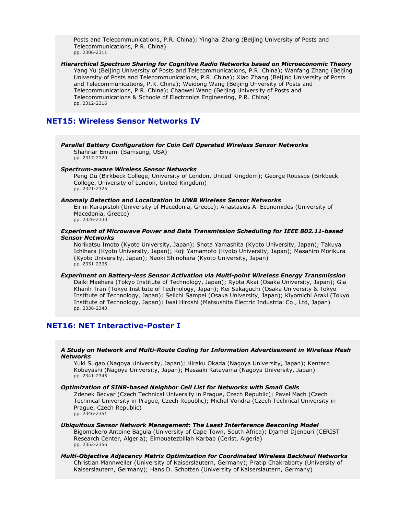Posts and Telecommunications, P.R. China); Yinghai Zhang (Beijing University of Posts and Telecommunications, P.R. China) pp. 2306-2311

*Hierarchical Spectrum Sharing for Cognitive Radio Networks based on Microeconomic Theory* Yang Yu (Beijing University of Posts and Telecommunications, P.R. China); Wanfang Zhang (Beijing University of Posts and Telecommunications, P.R. China); Xiao Zhang (Beijing University of Posts and Telecommunications, P.R. China); Weidong Wang (Beijing Unversity of Posts and Telecommunications, P.R. China); Chaowei Wang (Beijing University of Posts and Telecommunications & Schoole of Electronics Engineering, P.R. China) pp. 2312-2316

# **NET15: Wireless Sensor Networks IV**

*Parallel Battery Configuration for Coin Cell Operated Wireless Sensor Networks* Shahriar Emami (Samsung, USA)

pp. 2317-2320

#### *Spectrum-aware Wireless Sensor Networks*

Peng Du (Birkbeck College, University of London, United Kingdom); George Roussos (Birkbeck College, University of London, United Kingdom) pp. 2321-2325

#### *Anomaly Detection and Localization in UWB Wireless Sensor Networks*

Eirini Karapistoli (University of Macedonia, Greece); Anastasios A. Economides (University of Macedonia, Greece) pp. 2326-2330

### *Experiment of Microwave Power and Data Transmission Scheduling for IEEE 802.11-based Sensor Networks*

Norikatsu Imoto (Kyoto University, Japan); Shota Yamashita (Kyoto University, Japan); Takuya Ichihara (Kyoto University, Japan); Koji Yamamoto (Kyoto University, Japan); Masahiro Morikura (Kyoto University, Japan); Naoki Shinohara (Kyoto University, Japan) pp. 2331-2335

#### *Experiment on Battery-less Sensor Activation via Multi-point Wireless Energy Transmission* Daiki Maehara (Tokyo Institute of Technology, Japan); Ryota Akai (Osaka University, Japan); Gia Khanh Tran (Tokyo Institute of Technology, Japan); Kei Sakaguchi (Osaka University & Tokyo Institute of Technology, Japan); Seiichi Sampei (Osaka University, Japan); Kiyomichi Araki (Tokyo Institute of Technology, Japan); Iwai Hiroshi (Matsushita Electric Industrial Co., Ltd, Japan) pp. 2336-2340

# **NET16: NET Interactive-Poster I**

### *A Study on Network and Multi-Route Coding for Information Advertisement in Wireless Mesh Networks*

Yuki Sugao (Nagoya University, Japan); Hiraku Okada (Nagoya University, Japan); Kentaro Kobayashi (Nagoya University, Japan); Masaaki Katayama (Nagoya University, Japan) pp. 2341-2345

#### *Optimization of SINR-based Neighbor Cell List for Networks with Small Cells*

Zdenek Becvar (Czech Technical University in Prague, Czech Republic); Pavel Mach (Czech Technical University in Prague, Czech Republic); Michal Vondra (Czech Technical University in Prague, Czech Republic) pp. 2346-2351

*Ubiquitous Sensor Network Management: The Least Interference Beaconing Model* Bigomokero Antoine Bagula (University of Cape Town, South Africa); Djamel Djenouri (CERIST Research Center, Algeria); Elmouatezbillah Karbab (Cerist, Algeria) pp. 2352-2356

### *Multi-Objective Adjacency Matrix Optimization for Coordinated Wireless Backhaul Networks* Christian Mannweiler (University of Kaiserslautern, Germany); Pratip Chakraborty (University of Kaiserslautern, Germany); Hans D. Schotten (University of Kaiserslautern, Germany)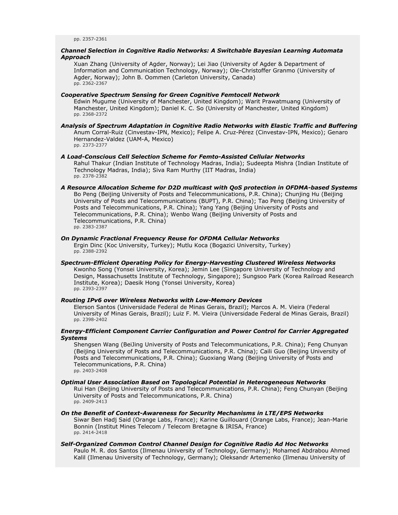### *Channel Selection in Cognitive Radio Networks: A Switchable Bayesian Learning Automata Approach*

Xuan Zhang (University of Agder, Norway); Lei Jiao (University of Agder & Department of Information and Communication Technology, Norway); Ole-Christoffer Granmo (University of Agder, Norway); John B. Oommen (Carleton University, Canada) pp. 2362-2367

# *Cooperative Spectrum Sensing for Green Cognitive Femtocell Network*

Edwin Mugume (University of Manchester, United Kingdom); Warit Prawatmuang (University of Manchester, United Kingdom); Daniel K. C. So (University of Manchester, United Kingdom) pp. 2368-2372

*Analysis of Spectrum Adaptation in Cognitive Radio Networks with Elastic Traffic and Buffering* Anum Corral-Ruiz (Cinvestav-IPN, Mexico); Felipe A. Cruz-Pérez (Cinvestav-IPN, Mexico); Genaro Hernandez-Valdez (UAM-A, Mexico) pp. 2373-2377

*A Load-Conscious Cell Selection Scheme for Femto-Assisted Cellular Networks* Rahul Thakur (Indian Institute of Technology Madras, India); Sudeepta Mishra (Indian Institute of Technology Madras, India); Siva Ram Murthy (IIT Madras, India) pp. 2378-2382

#### *A Resource Allocation Scheme for D2D multicast with QoS protection in OFDMA-based Systems* Bo Peng (Beijing University of Posts and Telecommunications, P.R. China); Chunjing Hu (Beijing University of Posts and Telecommunications (BUPT), P.R. China); Tao Peng (Beijing University of

Posts and Telecommunications, P.R. China); Yang Yang (Beijing University of Posts and Telecommunications, P.R. China); Wenbo Wang (Beijing University of Posts and Telecommunications, P.R. China) pp. 2383-2387

### *On Dynamic Fractional Frequency Reuse for OFDMA Cellular Networks*

Ergin Dinc (Koc University, Turkey); Mutlu Koca (Bogazici University, Turkey) pp. 2388-2392

#### *Spectrum-Efficient Operating Policy for Energy-Harvesting Clustered Wireless Networks* Kwonho Song (Yonsei University, Korea); Jemin Lee (Singapore University of Technology and Design, Massachusetts Institute of Technology, Singapore); Sungsoo Park (Korea Railroad Research Institute, Korea); Daesik Hong (Yonsei University, Korea) pp. 2393-2397

#### *Routing IPv6 over Wireless Networks with Low-Memory Devices*

Elerson Santos (Universidade Federal de Minas Gerais, Brazil); Marcos A. M. Vieira (Federal University of Minas Gerais, Brazil); Luiz F. M. Vieira (Universidade Federal de Minas Gerais, Brazil) pp. 2398-2402

# *Energy-Efficient Component Carrier Configuration and Power Control for Carrier Aggregated Systems*

Shengsen Wang (BeiJing University of Posts and Telecommunications, P.R. China); Feng Chunyan (Beijing University of Posts and Telecommunications, P.R. China); Caili Guo (Beijing University of Posts and Telecommunications, P.R. China); Guoxiang Wang (Beijing University of Posts and Telecommunications, P.R. China)

pp. 2403-2408

# *Optimal User Association Based on Topological Potential in Heterogeneous Networks*

Rui Han (Beijing University of Posts and Telecommunications, P.R. China); Feng Chunyan (Beijing University of Posts and Telecommunications, P.R. China) pp. 2409-2413

#### *On the Benefit of Context-Awareness for Security Mechanisms in LTE/EPS Networks* Siwar Ben Hadj Said (Orange Labs, France); Karine Guillouard (Orange Labs, France); Jean-Marie Bonnin (Institut Mines Telecom / Telecom Bretagne & IRISA, France) pp. 2414-2418

### *Self-Organized Common Control Channel Design for Cognitive Radio Ad Hoc Networks* Paulo M. R. dos Santos (Ilmenau University of Technology, Germany); Mohamed Abdrabou Ahmed Kalil (Ilmenau University of Technology, Germany); Oleksandr Artemenko (Ilmenau University of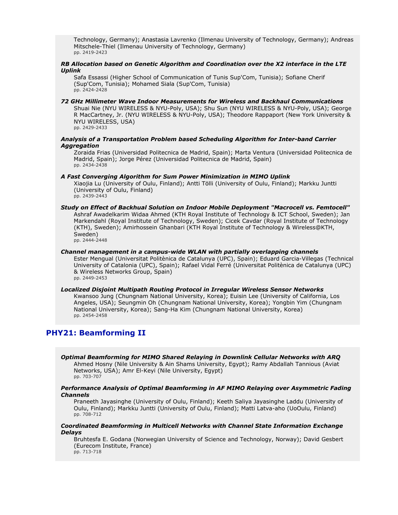Technology, Germany); Anastasia Lavrenko (Ilmenau University of Technology, Germany); Andreas Mitschele-Thiel (Ilmenau University of Technology, Germany) pp. 2419-2423

# *RB Allocation based on Genetic Algorithm and Coordination over the X2 interface in the LTE Uplink*

Safa Essassi (Higher School of Communication of Tunis Sup'Com, Tunisia); Sofiane Cherif (Sup'Com, Tunisia); Mohamed Siala (Sup'Com, Tunisia) pp. 2424-2428

# *72 GHz Millimeter Wave Indoor Measurements for Wireless and Backhaul Communications*

Shuai Nie (NYU WIRELESS & NYU-Poly, USA); Shu Sun (NYU WIRELESS & NYU-Poly, USA); George R MacCartney, Jr. (NYU WIRELESS & NYU-Poly, USA); Theodore Rappaport (New York University & NYU WIRELESS, USA) pp. 2429-2433

# *Analysis of a Transportation Problem based Scheduling Algorithm for Inter-band Carrier Aggregation*

Zoraida Frias (Universidad Politecnica de Madrid, Spain); Marta Ventura (Universidad Politecnica de Madrid, Spain); Jorge Pérez (Universidad Politecnica de Madrid, Spain) pp. 2434-2438

# *A Fast Converging Algorithm for Sum Power Minimization in MIMO Uplink*

Xiaojia Lu (University of Oulu, Finland); Antti Tölli (University of Oulu, Finland); Markku Juntti (University of Oulu, Finland)

pp. 2439-2443

# *Study on Effect of Backhual Solution on Indoor Mobile Deployment "Macrocell vs. Femtocell"* Ashraf Awadelkarim Widaa Ahmed (KTH Royal Institute of Technology & ICT School, Sweden); Jan Markendahl (Royal Institute of Technology, Sweden); Cicek Cavdar (Royal Institute of Technology (KTH), Sweden); Amirhossein Ghanbari (KTH Royal Institute of Technology & Wireless@KTH, Sweden)

pp. 2444-2448

#### *Channel management in a campus-wide WLAN with partially overlapping channels* Ester Mengual (Universitat Politènica de Catalunya (UPC), Spain); Eduard Garcia-Villegas (Technical University of Catalonia (UPC), Spain); Rafael Vidal Ferré (Universitat Politènica de Catalunya (UPC) & Wireless Networks Group, Spain) pp. 2449-2453

*Localized Disjoint Multipath Routing Protocol in Irregular Wireless Sensor Networks* Kwansoo Jung (Chungnam National University, Korea); Euisin Lee (University of California, Los Angeles, USA); Seungmin Oh (Chungnam National University, Korea); Yongbin Yim (Chungnam National University, Korea); Sang-Ha Kim (Chungnam National University, Korea) pp. 2454-2458

# **PHY21: Beamforming II**

*Optimal Beamforming for MIMO Shared Relaying in Downlink Cellular Networks with ARQ* Ahmed Hosny (Nile University & Ain Shams University, Egypt); Ramy Abdallah Tannious (Aviat Networks, USA); Amr El-Keyi (Nile University, Egypt) pp. 703-707

# *Performance Analysis of Optimal Beamforming in AF MIMO Relaying over Asymmetric Fading Channels*

Praneeth Jayasinghe (University of Oulu, Finland); Keeth Saliya Jayasinghe Laddu (University of Oulu, Finland); Markku Juntti (University of Oulu, Finland); Matti Latva-aho (UoOulu, Finland) pp. 708-712

# *Coordinated Beamforming in Multicell Networks with Channel State Information Exchange Delays*

Bruhtesfa E. Godana (Norwegian University of Science and Technology, Norway); David Gesbert (Eurecom Institute, France) pp. 713-718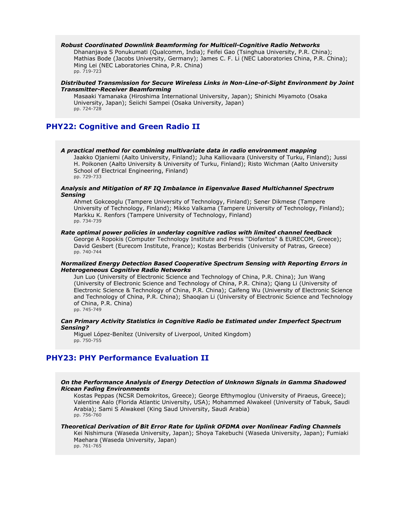#### *Robust Coordinated Downlink Beamforming for Multicell-Cognitive Radio Networks*

Dhananjaya S Ponukumati (Qualcomm, India); Feifei Gao (Tsinghua University, P.R. China); Mathias Bode (Jacobs University, Germany); James C. F. Li (NEC Laboratories China, P.R. China); Ming Lei (NEC Laboratories China, P.R. China) pp. 719-723

# *Distributed Transmission for Secure Wireless Links in Non-Line-of-Sight Environment by Joint Transmitter-Receiver Beamforming*

Masaaki Yamanaka (Hiroshima International University, Japan); Shinichi Miyamoto (Osaka University, Japan); Seiichi Sampei (Osaka University, Japan) pp. 724-728

# **PHY22: Cognitive and Green Radio II**

#### *A practical method for combining multivariate data in radio environment mapping*

Jaakko Ojaniemi (Aalto University, Finland); Juha Kalliovaara (University of Turku, Finland); Jussi H. Poikonen (Aalto University & University of Turku, Finland); Risto Wichman (Aalto University School of Electrical Engineering, Finland) pp. 729-733

#### *Analysis and Mitigation of RF IQ Imbalance in Eigenvalue Based Multichannel Spectrum Sensing*

Ahmet Gokceoglu (Tampere University of Technology, Finland); Sener Dikmese (Tampere University of Technology, Finland); Mikko Valkama (Tampere University of Technology, Finland); Markku K. Renfors (Tampere University of Technology, Finland) pp. 734-739

#### *Rate optimal power policies in underlay cognitive radios with limited channel feedback*

George A Ropokis (Computer Technology Institute and Press ''Diofantos" & EURECOM, Greece); David Gesbert (Eurecom Institute, France); Kostas Berberidis (University of Patras, Greece) pp. 740-744

### *Normalized Energy Detection Based Cooperative Spectrum Sensing with Reporting Errors in Heterogeneous Cognitive Radio Networks*

Jun Luo (University of Electronic Science and Technology of China, P.R. China); Jun Wang (University of Electronic Science and Technology of China, P.R. China); Qiang Li (University of Electronic Science & Technology of China, P.R. China); Caifeng Wu (University of Electronic Science and Technology of China, P.R. China); Shaoqian Li (University of Electronic Science and Technology of China, P.R. China) pp. 745-749

#### *Can Primary Activity Statistics in Cognitive Radio be Estimated under Imperfect Spectrum Sensing?*

Miguel López-Benítez (University of Liverpool, United Kingdom) pp. 750-755

# **PHY23: PHY Performance Evaluation II**

### *On the Performance Analysis of Energy Detection of Unknown Signals in Gamma Shadowed Ricean Fading Environments*

Kostas Peppas (NCSR Demokritos, Greece); George Efthymoglou (University of Piraeus, Greece); Valentine Aalo (Florida Atlantic University, USA); Mohammed Alwakeel (University of Tabuk, Saudi Arabia); Sami S Alwakeel (King Saud University, Saudi Arabia) pp. 756-760

# *Theoretical Derivation of Bit Error Rate for Uplink OFDMA over Nonlinear Fading Channels*

Kei Nishimura (Waseda University, Japan); Shoya Takebuchi (Waseda University, Japan); Fumiaki Maehara (Waseda University, Japan)

pp. 761-765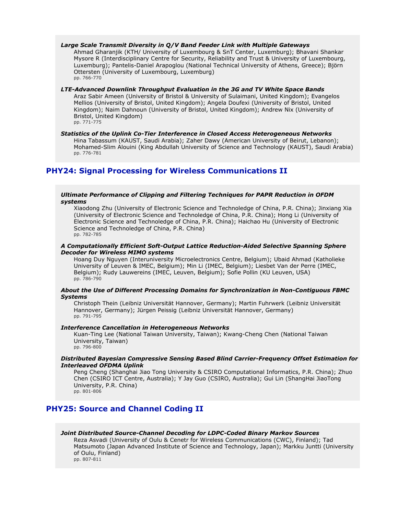*Large Scale Transmit Diversity in Q/V Band Feeder Link with Multiple Gateways*

Ahmad Gharanjik (KTH/ University of Luxembourg & SnT Center, Luxemburg); Bhavani Shankar Mysore R (Interdisciplinary Centre for Security, Reliability and Trust & University of Luxembourg, Luxemburg); Pantelis-Daniel Arapoglou (National Technical University of Athens, Greece); Björn Ottersten (University of Luxembourg, Luxemburg) pp. 766-770

*LTE-Advanced Downlink Throughput Evaluation in the 3G and TV White Space Bands* Araz Sabir Ameen (University of Bristol & University of Sulaimani, United Kingdom); Evangelos Mellios (University of Bristol, United Kingdom); Angela Doufexi (University of Bristol, United Kingdom); Naim Dahnoun (University of Bristol, United Kingdom); Andrew Nix (University of Bristol, United Kingdom)

pp. 771-775

*Statistics of the Uplink Co-Tier Interference in Closed Access Heterogeneous Networks* Hina Tabassum (KAUST, Saudi Arabia); Zaher Dawy (American University of Beirut, Lebanon); Mohamed-Slim Alouini (King Abdullah University of Science and Technology (KAUST), Saudi Arabia) pp. 776-781

# **PHY24: Signal Processing for Wireless Communications II**

# *Ultimate Performance of Clipping and Filtering Techniques for PAPR Reduction in OFDM systems*

Xiaodong Zhu (University of Electronic Science and Technoledge of China, P.R. China); Jinxiang Xia (University of Electronic Science and Technoledge of China, P.R. China); Hong Li (University of Electronic Science and Technoledge of China, P.R. China); Haichao Hu (University of Electronic Science and Technoledge of China, P.R. China) pp. 782-785

# *A Computationally Efficient Soft-Output Lattice Reduction-Aided Selective Spanning Sphere Decoder for Wireless MIMO systems*

Hoang Duy Nguyen (Interuniversity Microelectronics Centre, Belgium); Ubaid Ahmad (Katholieke University of Leuven & IMEC, Belgium); Min Li (IMEC, Belgium); Liesbet Van der Perre (IMEC, Belgium); Rudy Lauwereins (IMEC, Leuven, Belgium); Sofie Pollin (KU Leuven, USA) pp. 786-790

### *About the Use of Different Processing Domains for Synchronization in Non-Contiguous FBMC Systems*

Christoph Thein (Leibniz Universität Hannover, Germany); Martin Fuhrwerk (Leibniz Universität Hannover, Germany); Jürgen Peissig (Leibniz Universität Hannover, Germany) pp. 791-795

# *Interference Cancellation in Heterogeneous Networks*

Kuan-Ting Lee (National Taiwan University, Taiwan); Kwang-Cheng Chen (National Taiwan University, Taiwan) pp. 796-800

# *Distributed Bayesian Compressive Sensing Based Blind Carrier-Frequency Offset Estimation for Interleaved OFDMA Uplink*

Peng Cheng (Shanghai Jiao Tong University & CSIRO Computational Informatics, P.R. China); Zhuo Chen (CSIRO ICT Centre, Australia); Y Jay Guo (CSIRO, Australia); Gui Lin (ShangHai JiaoTong University, P.R. China) pp. 801-806

# **PHY25: Source and Channel Coding II**

# *Joint Distributed Source-Channel Decoding for LDPC-Coded Binary Markov Sources*

Reza Asvadi (University of Oulu & Cenetr for Wireless Communications (CWC), Finland); Tad Matsumoto (Japan Advanced Institute of Science and Technology, Japan); Markku Juntti (University of Oulu, Finland) pp. 807-811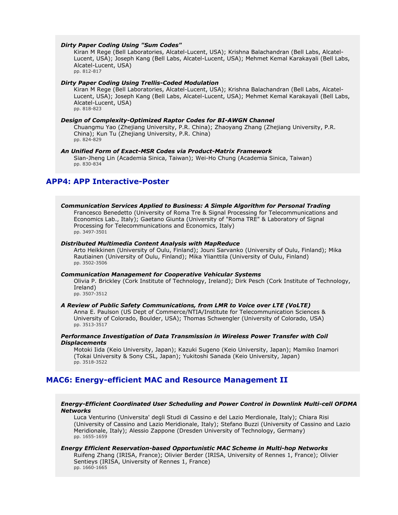#### *Dirty Paper Coding Using "Sum Codes"*

Kiran M Rege (Bell Laboratories, Alcatel-Lucent, USA); Krishna Balachandran (Bell Labs, Alcatel-Lucent, USA); Joseph Kang (Bell Labs, Alcatel-Lucent, USA); Mehmet Kemal Karakayali (Bell Labs, Alcatel-Lucent, USA) pp. 812-817

#### *Dirty Paper Coding Using Trellis-Coded Modulation*

Kiran M Rege (Bell Laboratories, Alcatel-Lucent, USA); Krishna Balachandran (Bell Labs, Alcatel-Lucent, USA); Joseph Kang (Bell Labs, Alcatel-Lucent, USA); Mehmet Kemal Karakayali (Bell Labs, Alcatel-Lucent, USA) pp. 818-823

#### *Design of Complexity-Optimized Raptor Codes for BI-AWGN Channel*

Chuangmu Yao (Zhejiang University, P.R. China); Zhaoyang Zhang (Zhejiang University, P.R. China); Kun Tu (Zhejiang University, P.R. China) pp. 824-829

### *An Unified Form of Exact-MSR Codes via Product-Matrix Framework*

Sian-Jheng Lin (Academia Sinica, Taiwan); Wei-Ho Chung (Academia Sinica, Taiwan) pp. 830-834

# **APP4: APP Interactive-Poster**

#### *Communication Services Applied to Business: A Simple Algorithm for Personal Trading*

Francesco Benedetto (University of Roma Tre & Signal Processing for Telecommunications and Economics Lab., Italy); Gaetano Giunta (University of "Roma TRE" & Laboratory of Signal Processing for Telecommunications and Economics, Italy) pp. 3497-3501

### *Distributed Multimedia Content Analysis with MapReduce*

Arto Heikkinen (University of Oulu, Finland); Jouni Sarvanko (University of Oulu, Finland); Mika Rautiainen (University of Oulu, Finland); Mika Ylianttila (University of Oulu, Finland) pp. 3502-3506

#### *Communication Management for Cooperative Vehicular Systems*

Olivia P. Brickley (Cork Institute of Technology, Ireland); Dirk Pesch (Cork Institute of Technology, Ireland)

pp. 3507-3512

#### *A Review of Public Safety Communications, from LMR to Voice over LTE (VoLTE)*

Anna E. Paulson (US Dept of Commerce/NTIA/Institute for Telecommunication Sciences & University of Colorado, Boulder, USA); Thomas Schwengler (University of Colorado, USA) pp. 3513-3517

### *Performance Investigation of Data Transmission in Wireless Power Transfer with Coil Displacements*

Motoki Iida (Keio University, Japan); Kazuki Sugeno (Keio University, Japan); Mamiko Inamori (Tokai University & Sony CSL, Japan); Yukitoshi Sanada (Keio University, Japan) pp. 3518-3522

# **MAC6: Energy-efficient MAC and Resource Management II**

# *Energy-Efficient Coordinated User Scheduling and Power Control in Downlink Multi-cell OFDMA Networks*

Luca Venturino (Universita' degli Studi di Cassino e del Lazio Merdionale, Italy); Chiara Risi (University of Cassino and Lazio Meridionale, Italy); Stefano Buzzi (University of Cassino and Lazio Meridionale, Italy); Alessio Zappone (Dresden University of Technology, Germany) pp. 1655-1659

### *Energy Efficient Reservation-based Opportunistic MAC Scheme in Multi-hop Networks*

Ruifeng Zhang (IRISA, France); Olivier Berder (IRISA, University of Rennes 1, France); Olivier Sentieys (IRISA, University of Rennes 1, France) pp. 1660-1665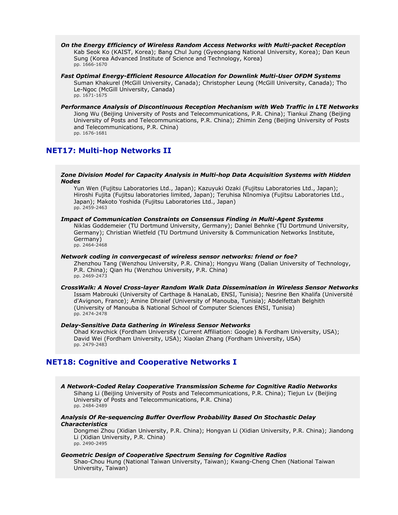- *On the Energy Efficiency of Wireless Random Access Networks with Multi-packet Reception* Kab Seok Ko (KAIST, Korea); Bang Chul Jung (Gyeongsang National University, Korea); Dan Keun Sung (Korea Advanced Institute of Science and Technology, Korea) pp. 1666-1670
- *Fast Optimal Energy-Efficient Resource Allocation for Downlink Multi-User OFDM Systems* Suman Khakurel (McGill University, Canada); Christopher Leung (McGill University, Canada); Tho Le-Ngoc (McGill University, Canada) pp. 1671-1675
- *Performance Analysis of Discontinuous Reception Mechanism with Web Traffic in LTE Networks* Jiong Wu (Beijing University of Posts and Telecommunications, P.R. China); Tiankui Zhang (Beijing University of Posts and Telecommunications, P.R. China); Zhimin Zeng (Beijing University of Posts and Telecommunications, P.R. China) pp. 1676-1681

# **NET17: Multi-hop Networks II**

# *Zone Division Model for Capacity Analysis in Multi-hop Data Acquisition Systems with Hidden Nodes*

Yun Wen (Fujitsu Laboratories Ltd., Japan); Kazuyuki Ozaki (Fujitsu Laboratories Ltd., Japan); Hiroshi Fujita (Fujitsu laboratories limited, Japan); Teruhisa NInomiya (Fujitsu Laboratories Ltd., Japan); Makoto Yoshida (Fujitsu Laboratories Ltd., Japan) pp. 2459-2463

### *Impact of Communication Constraints on Consensus Finding in Multi-Agent Systems*

Niklas Goddemeier (TU Dortmund University, Germany); Daniel Behnke (TU Dortmund University, Germany); Christian Wietfeld (TU Dortmund University & Communication Networks Institute, Germany) pp. 2464-2468

#### *Network coding in convergecast of wireless sensor networks: friend or foe?*

Zhenzhou Tang (Wenzhou University, P.R. China); Hongyu Wang (Dalian University of Technology, P.R. China); Qian Hu (Wenzhou University, P.R. China) pp. 2469-2473

#### *CrossWalk: A Novel Cross-layer Random Walk Data Dissemination in Wireless Sensor Networks* Issam Mabrouki (University of Carthage & HanaLab, ENSI, Tunisia); Nesrine Ben Khalifa (Université d'Avignon, France); Amine Dhraief (University of Manouba, Tunisia); Abdelfettah Belghith (University of Manouba & National School of Computer Sciences ENSI, Tunisia) pp. 2474-2478

# *Delay-Sensitive Data Gathering in Wireless Sensor Networks*

Ohad Kravchick (Fordham University (Current Affiliation: Google) & Fordham University, USA); David Wei (Fordham University, USA); Xiaolan Zhang (Fordham University, USA) pp. 2479-2483

# **NET18: Cognitive and Cooperative Networks I**

*A Network-Coded Relay Cooperative Transmission Scheme for Cognitive Radio Networks* Sihang Li (Beijing University of Posts and Telecommunications, P.R. China); Tiejun Lv (Beijing University of Posts and Telecommunications, P.R. China) pp. 2484-2489

### *Analysis Of Re-sequencing Buffer Overflow Probability Based On Stochastic Delay Characteristics*

Dongmei Zhou (Xidian University, P.R. China); Hongyan Li (Xidian University, P.R. China); Jiandong Li (Xidian University, P.R. China) pp. 2490-2495

# *Geometric Design of Cooperative Spectrum Sensing for Cognitive Radios*

Shao-Chou Hung (National Taiwan University, Taiwan); Kwang-Cheng Chen (National Taiwan University, Taiwan)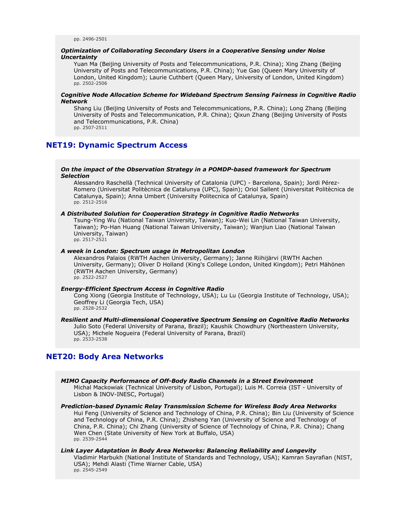### *Optimization of Collaborating Secondary Users in a Cooperative Sensing under Noise Uncertainty*

Yuan Ma (Beijing University of Posts and Telecommunications, P.R. China); Xing Zhang (Beijing University of Posts and Telecommunications, P.R. China); Yue Gao (Queen Mary University of London, United Kingdom); Laurie Cuthbert (Queen Mary, University of London, United Kingdom) pp. 2502-2506

# *Cognitive Node Allocation Scheme for Wideband Spectrum Sensing Fairness in Cognitive Radio Network*

Shang Liu (Beijing University of Posts and Telecommunications, P.R. China); Long Zhang (Beijing University of Posts and Telecommunication, P.R. China); Qixun Zhang (Beijing University of Posts and Telecommunications, P.R. China) pp. 2507-2511

# **NET19: Dynamic Spectrum Access**

#### *On the impact of the Observation Strategy in a POMDP-based framework for Spectrum Selection*

Alessandro Raschellà (Technical University of Catalonia (UPC) - Barcelona, Spain); Jordi Pérez-Romero (Universitat Politècnica de Catalunya (UPC), Spain); Oriol Sallent (Universitat Politècnica de Catalunya, Spain); Anna Umbert (University Politecnica of Catalunya, Spain) pp. 2512-2516

# *A Distributed Solution for Cooperation Strategy in Cognitive Radio Networks*

Tsung-Ying Wu (National Taiwan University, Taiwan); Kuo-Wei Lin (National Taiwan University, Taiwan); Po-Han Huang (National Taiwan University, Taiwan); Wanjiun Liao (National Taiwan University, Taiwan) pp. 2517-2521

#### *A week in London: Spectrum usage in Metropolitan London*

Alexandros Palaios (RWTH Aachen University, Germany); Janne Riihijärvi (RWTH Aachen University, Germany); Oliver D Holland (King's College London, United Kingdom); Petri Mähönen (RWTH Aachen University, Germany) pp. 2522-2527

### *Energy-Efficient Spectrum Access in Cognitive Radio*

Cong Xiong (Georgia Institute of Technology, USA); Lu Lu (Georgia Institute of Technology, USA); Geoffrey Li (Georgia Tech, USA) pp. 2528-2532

#### *Resilient and Multi-dimensional Cooperative Spectrum Sensing on Cognitive Radio Networks* Julio Soto (Federal University of Parana, Brazil); Kaushik Chowdhury (Northeastern University,

USA); Michele Nogueira (Federal University of Parana, Brazil) pp. 2533-2538

# **NET20: Body Area Networks**

*MIMO Capacity Performance of Off-Body Radio Channels in a Street Environment* Michal Mackowiak (Technical University of Lisbon, Portugal); Luis M. Correia (IST - University of Lisbon & INOV-INESC, Portugal)

*Prediction-based Dynamic Relay Transmission Scheme for Wireless Body Area Networks* Hui Feng (University of Science and Technology of China, P.R. China); Bin Liu (University of Science and Technology of China, P.R. China); Zhisheng Yan (University of Science and Technology of China, P.R. China); Chi Zhang (University of Science of Technology of China, P.R. China); Chang Wen Chen (State University of New York at Buffalo, USA) pp. 2539-2544

#### *Link Layer Adaptation in Body Area Networks: Balancing Reliability and Longevity* Vladimir Marbukh (National Institute of Standards and Technology, USA); Kamran Sayrafian (NIST, USA); Mehdi Alasti (Time Warner Cable, USA) pp. 2545-2549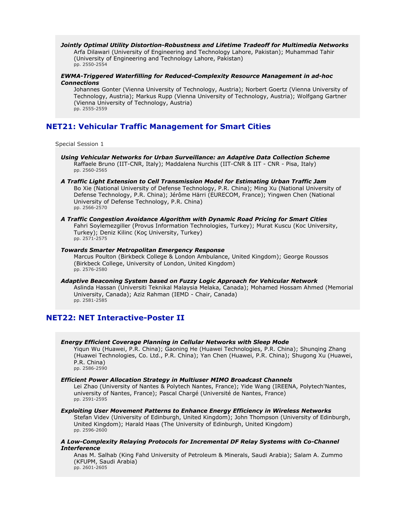### *Jointly Optimal Utility Distortion-Robustness and Lifetime Tradeoff for Multimedia Networks*

Arfa Dilawari (University of Engineering and Technology Lahore, Pakistan); Muhammad Tahir (University of Engineering and Technology Lahore, Pakistan) pp. 2550-2554

### *EWMA-Triggered Waterfilling for Reduced-Complexity Resource Management in ad-hoc Connections*

Johannes Gonter (Vienna University of Technology, Austria); Norbert Goertz (Vienna University of Technology, Austria); Markus Rupp (Vienna University of Technology, Austria); Wolfgang Gartner (Vienna University of Technology, Austria) pp. 2555-2559

# **NET21: Vehicular Traffic Management for Smart Cities**

Special Session 1

- *Using Vehicular Networks for Urban Surveillance: an Adaptive Data Collection Scheme* Raffaele Bruno (IIT-CNR, Italy); Maddalena Nurchis (IIT-CNR & IIT - CNR - Pisa, Italy) pp. 2560-2565
- *A Traffic Light Extension to Cell Transmission Model for Estimating Urban Traffic Jam* Bo Xie (National University of Defense Technology, P.R. China); Ming Xu (National University of Defense Technology, P.R. China); Jérôme Härri (EURECOM, France); Yingwen Chen (National University of Defense Technology, P.R. China) pp. 2566-2570
- *A Traffic Congestion Avoidance Algorithm with Dynamic Road Pricing for Smart Cities* Fahri Soylemezgiller (Provus Information Technologies, Turkey); Murat Kuscu (Koc University, Turkey); Deniz Kilinc (Koç University, Turkey) pp. 2571-2575

# *Towards Smarter Metropolitan Emergency Response*

Marcus Poulton (Birkbeck College & London Ambulance, United Kingdom); George Roussos (Birkbeck College, University of London, United Kingdom) pp. 2576-2580

#### *Adaptive Beaconing System based on Fuzzy Logic Approach for Vehicular Network* Aslinda Hassan (Universiti Teknikal Malaysia Melaka, Canada); Mohamed Hossam Ahmed (Memorial University, Canada); Aziz Rahman (IEMD - Chair, Canada) pp. 2581-2585

# **NET22: NET Interactive-Poster II**

# *Energy Efficient Coverage Planning in Cellular Networks with Sleep Mode*

Yiqun Wu (Huawei, P.R. China); Gaoning He (Huawei Technologies, P.R. China); Shunqing Zhang (Huawei Technologies, Co. Ltd., P.R. China); Yan Chen (Huawei, P.R. China); Shugong Xu (Huawei, P.R. China) pp. 2586-2590

# *Efficient Power Allocation Strategy in Multiuser MIMO Broadcast Channels*

Lei Zhao (University of Nantes & Polytech Nantes, France); Yide Wang (IREENA, Polytech'Nantes, university of Nantes, France); Pascal Chargé (Université de Nantes, France) pp. 2591-2595

#### *Exploiting User Movement Patterns to Enhance Energy Efficiency in Wireless Networks*

Stefan Videv (University of Edinburgh, United Kingdom); John Thompson (University of Edinburgh, United Kingdom); Harald Haas (The University of Edinburgh, United Kingdom) pp. 2596-2600

# *A Low-Complexity Relaying Protocols for Incremental DF Relay Systems with Co-Channel Interference*

Anas M. Salhab (King Fahd University of Petroleum & Minerals, Saudi Arabia); Salam A. Zummo (KFUPM, Saudi Arabia) pp. 2601-2605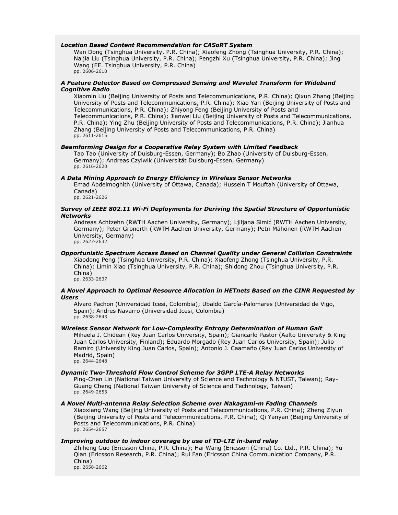#### *Location Based Content Recommendation for CASoRT System*

Wan Dong (Tsinghua University, P.R. China); Xiaofeng Zhong (Tsinghua University, P.R. China); Naijia Liu (Tsinghua University, P.R. China); Pengzhi Xu (Tsinghua University, P.R. China); Jing Wang (EE. Tsinghua University, P.R. China) pp. 2606-2610

### *A Feature Detector Based on Compressed Sensing and Wavelet Transform for Wideband Cognitive Radio*

Xiaomin Liu (Beijing University of Posts and Telecommunications, P.R. China); Qixun Zhang (Beijing University of Posts and Telecommunications, P.R. China); Xiao Yan (Beijing University of Posts and Telecommunications, P.R. China); Zhiyong Feng (Beijing University of Posts and Telecommunications, P.R. China); Jianwei Liu (Beijing University of Posts and Telecommunications, P.R. China); Ying Zhu (Beijing University of Posts and Telecommunications, P.R. China); Jianhua Zhang (Beijing University of Posts and Telecommunications, P.R. China) pp. 2611-2615

#### *Beamforming Design for a Cooperative Relay System with Limited Feedback*

Tao Tao (University of Duisburg-Essen, Germany); Bo Zhao (University of Duisburg-Essen, Germany); Andreas Czylwik (Universität Duisburg-Essen, Germany) pp. 2616-2620

### *A Data Mining Approach to Energy Efficiency in Wireless Sensor Networks*

Emad Abdelmoghith (University of Ottawa, Canada); Hussein T Mouftah (University of Ottawa, Canada)

pp. 2621-2626

### *Survey of IEEE 802.11 Wi-Fi Deployments for Deriving the Spatial Structure of Opportunistic Networks*

Andreas Achtzehn (RWTH Aachen University, Germany); Ljiljana Simić (RWTH Aachen University, Germany); Peter Gronerth (RWTH Aachen University, Germany); Petri Mähönen (RWTH Aachen University, Germany) pp. 2627-2632

### *Opportunistic Spectrum Access Based on Channel Quality under General Collision Constraints*

Xiaodong Peng (Tsinghua University, P.R. China); Xiaofeng Zhong (Tsinghua University, P.R. China); Limin Xiao (Tsinghua University, P.R. China); Shidong Zhou (Tsinghua University, P.R. China)

pp. 2633-2637

### *A Novel Approach to Optimal Resource Allocation in HETnets Based on the CINR Requested by Users*

Alvaro Pachon (Universidad Icesi, Colombia); Ubaldo García-Palomares (Universidad de Vigo, Spain); Andres Navarro (Universidad Icesi, Colombia) pp. 2638-2643

# *Wireless Sensor Network for Low-Complexity Entropy Determination of Human Gait*

Mihaela I. Chidean (Rey Juan Carlos University, Spain); Giancarlo Pastor (Aalto University & King Juan Carlos University, Finland); Eduardo Morgado (Rey Juan Carlos University, Spain); Julio Ramiro (University King Juan Carlos, Spain); Antonio J. Caamaño (Rey Juan Carlos University of Madrid, Spain) pp. 2644-2648

#### *Dynamic Two-Threshold Flow Control Scheme for 3GPP LTE-A Relay Networks*

Ping-Chen Lin (National Taiwan University of Science and Technology & NTUST, Taiwan); Ray-Guang Cheng (National Taiwan University of Science and Technology, Taiwan) pp. 2649-2653

# *A Novel Multi-antenna Relay Selection Scheme over Nakagami-m Fading Channels*

Xiaoxiang Wang (Beijing University of Posts and Telecommunications, P.R. China); Zheng Ziyun (Beijing University of Posts and Telecommunications, P.R. China); Qi Yanyan (Beijing University of Posts and Telecommunications, P.R. China) pp. 2654-2657

### *Improving outdoor to indoor coverage by use of TD-LTE in-band relay*

Zhiheng Guo (Ericsson China, P.R. China); Hai Wang (Ericsson (China) Co. Ltd., P.R. China); Yu Qian (Ericsson Research, P.R. China); Rui Fan (Ericsson China Communication Company, P.R. China) pp. 2658-2662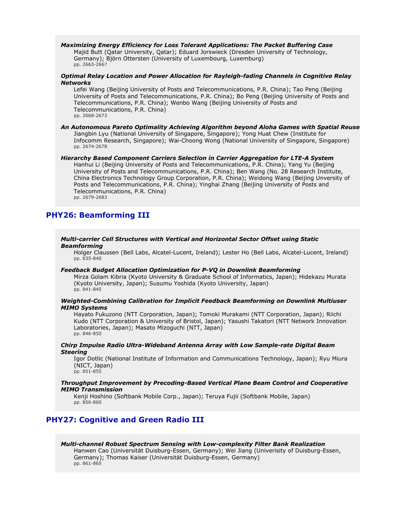*Maximizing Energy Efficiency for Loss Tolerant Applications: The Packet Buffering Case* Majid Butt (Qatar University, Qatar); Eduard Jorswieck (Dresden University of Technology, Germany); Björn Ottersten (University of Luxembourg, Luxemburg) pp. 2663-2667

#### *Optimal Relay Location and Power Allocation for Rayleigh-fading Channels in Cognitive Relay Networks*

Lefei Wang (Beijing University of Posts and Telecommunications, P.R. China); Tao Peng (Beijing University of Posts and Telecommunications, P.R. China); Bo Peng (Beijing University of Posts and Telecommunications, P.R. China); Wenbo Wang (Beijing University of Posts and Telecommunications, P.R. China) pp. 2668-2673

#### *An Autonomous Pareto Optimality Achieving Algorithm beyond Aloha Games with Spatial Reuse* Jiangbin Lyu (National University of Singapore, Singapore); Yong Huat Chew (Institute for Infocomm Research, Singapore); Wai-Choong Wong (National University of Singapore, Singapore) pp. 2674-2678

### *Hierarchy Based Component Carriers Selection in Carrier Aggregation for LTE-A System*

Hanhui Li (Beijing University of Posts and Telecommunications, P.R. China); Yang Yu (Beijing University of Posts and Telecommunications, P.R. China); Ben Wang (No. 28 Research Institute, China Electronics Technology Group Corporation, P.R. China); Weidong Wang (Beijing Unversity of Posts and Telecommunications, P.R. China); Yinghai Zhang (Beijing University of Posts and Telecommunications, P.R. China) pp. 2679-2683

# **PHY26: Beamforming III**

#### *Multi-carrier Cell Structures with Vertical and Horizontal Sector Offset using Static Beamforming*

Holger Claussen (Bell Labs, Alcatel-Lucent, Ireland); Lester Ho (Bell Labs, Alcatel-Lucent, Ireland) pp. 835-840

#### *Feedback Budget Allocation Optimization for P-VQ in Downlink Beamforming*

Mirza Golam Kibria (Kyoto University & Graduate School of Informatics, Japan); Hidekazu Murata (Kyoto University, Japan); Susumu Yoshida (Kyoto University, Japan) pp. 841-845

### *Weighted-Combining Calibration for Implicit Feedback Beamforming on Downlink Multiuser MIMO Systems*

Hayato Fukuzono (NTT Corporation, Japan); Tomoki Murakami (NTT Corporation, Japan); Riichi Kudo (NTT Corporation & University of Bristol, Japan); Yasushi Takatori (NTT Network Innovation Laboratories, Japan); Masato Mizoguchi (NTT, Japan) pp. 846-850

### *Chirp Impulse Radio Ultra-Wideband Antenna Array with Low Sample-rate Digital Beam Steering*

Igor Dotlic (National Institute of Information and Communications Technology, Japan); Ryu Miura (NICT, Japan) pp. 851-855

#### *Throughput Improvement by Precoding-Based Vertical Plane Beam Control and Cooperative MIMO Transmission*

Kenji Hoshino (Softbank Mobile Corp., Japan); Teruya Fujii (Softbank Mobile, Japan) pp. 856-860

# **PHY27: Cognitive and Green Radio III**

#### *Multi-channel Robust Spectrum Sensing with Low-complexity Filter Bank Realization* Hanwen Cao (Universität Duisburg-Essen, Germany); Wei Jiang (Univerisity of Duisburg-Essen, Germany); Thomas Kaiser (Universität Duisburg-Essen, Germany) pp. 861-865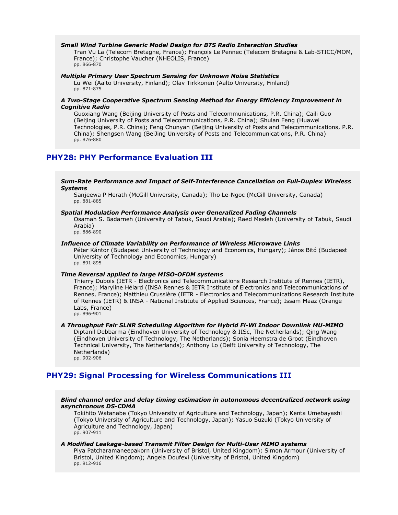### *Small Wind Turbine Generic Model Design for BTS Radio Interaction Studies*

Tran Vu La (Telecom Bretagne, France); François Le Pennec (Telecom Bretagne & Lab-STICC/MOM, France); Christophe Vaucher (NHEOLIS, France) pp. 866-870

# *Multiple Primary User Spectrum Sensing for Unknown Noise Statistics*

Lu Wei (Aalto University, Finland); Olav Tirkkonen (Aalto University, Finland) pp. 871-875

# *A Two-Stage Cooperative Spectrum Sensing Method for Energy Efficiency Improvement in Cognitive Radio*

Guoxiang Wang (Beijing University of Posts and Telecommunications, P.R. China); Caili Guo (Beijing University of Posts and Telecommunications, P.R. China); Shulan Feng (Huawei Technologies, P.R. China); Feng Chunyan (Beijing University of Posts and Telecommunications, P.R. China); Shengsen Wang (BeiJing University of Posts and Telecommunications, P.R. China) pp. 876-880

# **PHY28: PHY Performance Evaluation III**

*Sum-Rate Performance and Impact of Self-Interference Cancellation on Full-Duplex Wireless Systems*

Sanjeewa P Herath (McGill University, Canada); Tho Le-Ngoc (McGill University, Canada) pp. 881-885

#### *Spatial Modulation Performance Analysis over Generalized Fading Channels*

Osamah S. Badarneh (University of Tabuk, Saudi Arabia); Raed Mesleh (University of Tabuk, Saudi Arabia)

pp. 886-890

### *Influence of Climate Variability on Performance of Wireless Microwave Links*

Péter Kántor (Budapest University of Technology and Economics, Hungary); János Bitó (Budapest University of Technology and Economics, Hungary) pp. 891-895

#### *Time Reversal applied to large MISO-OFDM systems*

Thierry Dubois (IETR - Electronics and Telecommunications Research Institute of Rennes (IETR), France); Maryline Hélard (INSA Rennes & IETR Institute of Electronics and Telecommunications of Rennes, France); Matthieu Crussière (IETR - Electronics and Telecommunications Research Institute of Rennes (IETR) & INSA - National Institute of Applied Sciences, France); Issam Maaz (Orange Labs, France) pp. 896-901

### *A Throughput Fair SLNR Scheduling Algorithm for Hybrid Fi-Wi Indoor Downlink MU-MIMO*

Diptanil Debbarma (Eindhoven University of Technology & IISc, The Netherlands); Qing Wang (Eindhoven University of Technology, The Netherlands); Sonia Heemstra de Groot (Eindhoven Technical University, The Netherlands); Anthony Lo (Delft University of Technology, The Netherlands) pp. 902-906

# **PHY29: Signal Processing for Wireless Communications III**

# *Blind channel order and delay timing estimation in autonomous decentralized network using asynchronous DS-CDMA*

Tokihito Watanabe (Tokyo University of Agriculture and Technology, Japan); Kenta Umebayashi (Tokyo University of Agriculture and Technology, Japan); Yasuo Suzuki (Tokyo University of Agriculture and Technology, Japan) pp. 907-911

#### *A Modified Leakage-based Transmit Filter Design for Multi-User MIMO systems*

Piya Patcharamaneepakorn (University of Bristol, United Kingdom); Simon Armour (University of Bristol, United Kingdom); Angela Doufexi (University of Bristol, United Kingdom) pp. 912-916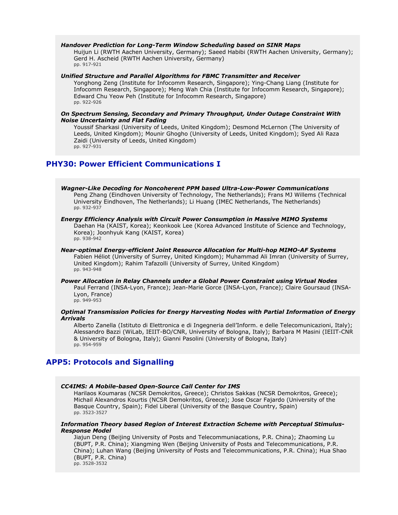### *Handover Prediction for Long-Term Window Scheduling based on SINR Maps*

Huijun Li (RWTH Aachen University, Germany); Saeed Habibi (RWTH Aachen University, Germany); Gerd H. Ascheid (RWTH Aachen University, Germany) pp. 917-921

### *Unified Structure and Parallel Algorithms for FBMC Transmitter and Receiver*

Yonghong Zeng (Institute for Infocomm Research, Singapore); Ying-Chang Liang (Institute for Infocomm Research, Singapore); Meng Wah Chia (Institute for Infocomm Research, Singapore); Edward Chu Yeow Peh (Institute for Infocomm Research, Singapore) pp. 922-926

### *On Spectrum Sensing, Secondary and Primary Throughput, Under Outage Constraint With Noise Uncertainty and Flat Fading*

Youssif Sharkasi (University of Leeds, United Kingdom); Desmond McLernon (The University of Leeds, United Kingdom); Mounir Ghogho (University of Leeds, United Kingdom); Syed Ali Raza Zaidi (University of Leeds, United Kingdom) pp. 927-931

# **PHY30: Power Efficient Communications I**

*Wagner-Like Decoding for Noncoherent PPM based Ultra-Low-Power Communications* Peng Zhang (Eindhoven University of Technology, The Netherlands); Frans MJ Willems (Technical University Eindhoven, The Netherlands); Li Huang (IMEC Netherlands, The Netherlands) pp. 932-937

#### *Energy Efficiency Analysis with Circuit Power Consumption in Massive MIMO Systems* Daehan Ha (KAIST, Korea); Keonkook Lee (Korea Advanced Institute of Science and Technology, Korea); Joonhyuk Kang (KAIST, Korea) pp. 938-942

*Near-optimal Energy-efficient Joint Resource Allocation for Multi-hop MIMO-AF Systems* Fabien Héliot (University of Surrey, United Kingdom); Muhammad Ali Imran (University of Surrey, United Kingdom); Rahim Tafazolli (University of Surrey, United Kingdom) pp. 943-948

#### *Power Allocation in Relay Channels under a Global Power Constraint using Virtual Nodes* Paul Ferrand (INSA-Lyon, France); Jean-Marie Gorce (INSA-Lyon, France); Claire Goursaud (INSA-Lyon, France) pp. 949-953

# *Optimal Transmission Policies for Energy Harvesting Nodes with Partial Information of Energy Arrivals*

Alberto Zanella (Istituto di Elettronica e di Ingegneria dell'Inform. e delle Telecomunicazioni, Italy); Alessandro Bazzi (WiLab, IEIIT-BO/CNR, University of Bologna, Italy); Barbara M Masini (IEIIT-CNR & University of Bologna, Italy); Gianni Pasolini (University of Bologna, Italy) pp. 954-959

# **APP5: Protocols and Signalling**

### *CC4IMS: A Mobile-based Open-Source Call Center for IMS*

Harilaos Koumaras (NCSR Demokritos, Greece); Christos Sakkas (NCSR Demokritos, Greece); Michail Alexandros Kourtis (NCSR Demokritos, Greece); Jose Oscar Fajardo (University of the Basque Country, Spain); Fidel Liberal (University of the Basque Country, Spain) pp. 3523-3527

#### *Information Theory based Region of Interest Extraction Scheme with Perceptual Stimulus-Response Model*

Jiajun Deng (Beijing University of Posts and Telecommuniacations, P.R. China); Zhaoming Lu (BUPT, P.R. China); Xiangming Wen (Beijing University of Posts and Telecommunications, P.R. China); Luhan Wang (Beijing University of Posts and Telecommunications, P.R. China); Hua Shao (BUPT, P.R. China) pp. 3528-3532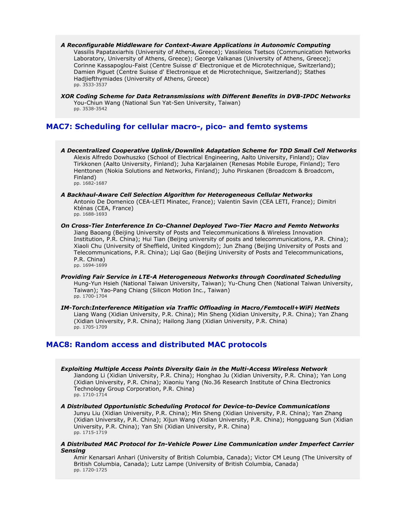- *A Reconfigurable Middleware for Context-Aware Applications in Autonomic Computing* Vassilis Papataxiarhis (University of Athens, Greece); Vassileios Tsetsos (Communication Networks Laboratory, University of Athens, Greece); George Valkanas (University of Athens, Greece); Corinne Kassapoglou-Faist (Centre Suisse d' Electronique et de Microtechnique, Switzerland); Damien Piguet (Centre Suisse d' Electronique et de Microtechnique, Switzerland); Stathes Hadjiefthymiades (University of Athens, Greece) pp. 3533-3537
- *XOR Coding Scheme for Data Retransmissions with Different Benefits in DVB-IPDC Networks* You-Chiun Wang (National Sun Yat-Sen University, Taiwan) pp. 3538-3542

# **MAC7: Scheduling for cellular macro-, pico- and femto systems**

- *A Decentralized Cooperative Uplink/Downlink Adaptation Scheme for TDD Small Cell Networks* Alexis Alfredo Dowhuszko (School of Electrical Engineering, Aalto University, Finland); Olav Tirkkonen (Aalto University, Finland); Juha Karjalainen (Renesas Mobile Europe, Finland); Tero Henttonen (Nokia Solutions and Networks, Finland); Juho Pirskanen (Broadcom & Broadcom, Finland) pp. 1682-1687
- *A Backhaul-Aware Cell Selection Algorithm for Heterogeneous Cellular Networks* Antonio De Domenico (CEA-LETI Minatec, France); Valentin Savin (CEA LETI, France); Dimitri Kténas (CEA, France) pp. 1688-1693
- *On Cross-Tier Interference In Co-Channel Deployed Two-Tier Macro and Femto Networks* Jiang Baoang (Beijing University of Posts and Telecommunications & Wireless Innovation Institution, P.R. China); Hui Tian (Beijng university of posts and telecommunications, P.R. China); Xiaoli Chu (University of Sheffield, United Kingdom); Jun Zhang (Beijing University of Posts and Telecommunications, P.R. China); Liqi Gao (Beijing University of Posts and Telecommunications, P.R. China) pp. 1694-1699
- *Providing Fair Service in LTE-A Heterogeneous Networks through Coordinated Scheduling* Hung-Yun Hsieh (National Taiwan University, Taiwan); Yu-Chung Chen (National Taiwan University, Taiwan); Yao-Pang Chiang (Silicon Motion Inc., Taiwan) pp. 1700-1704
- *IM-Torch:Interference Mitigation via Traffic Offloading in Macro/Femtocell+WiFi HetNets* Liang Wang (Xidian University, P.R. China); Min Sheng (Xidian University, P.R. China); Yan Zhang (Xidian University, P.R. China); Hailong Jiang (Xidian University, P.R. China) pp. 1705-1709

# **MAC8: Random access and distributed MAC protocols**

- *Exploiting Multiple Access Points Diversity Gain in the Multi-Access Wireless Network* Jiandong Li (Xidian University, P.R. China); Honghao Ju (Xidian University, P.R. China); Yan Long (Xidian University, P.R. China); Xiaoniu Yang (No.36 Research Institute of China Electronics Technology Group Corporation, P.R. China) pp. 1710-1714
- *A Distributed Opportunistic Scheduling Protocol for Device-to-Device Communications* Junyu Liu (Xidian University, P.R. China); Min Sheng (Xidian University, P.R. China); Yan Zhang (Xidian University, P.R. China); Xijun Wang (Xidian University, P.R. China); Hongguang Sun (Xidian University, P.R. China); Yan Shi (Xidian University, P.R. China) pp. 1715-1719

# *A Distributed MAC Protocol for In-Vehicle Power Line Communication under Imperfect Carrier Sensing*

Amir Kenarsari Anhari (University of British Columbia, Canada); Victor CM Leung (The University of British Columbia, Canada); Lutz Lampe (University of British Columbia, Canada) pp. 1720-1725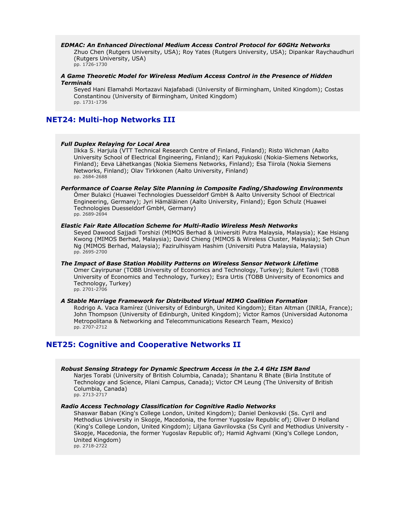#### *EDMAC: An Enhanced Directional Medium Access Control Protocol for 60GHz Networks*

Zhuo Chen (Rutgers University, USA); Roy Yates (Rutgers University, USA); Dipankar Raychaudhuri (Rutgers University, USA) pp. 1726-1730

#### *A Game Theoretic Model for Wireless Medium Access Control in the Presence of Hidden Terminals*

Seyed Hani Elamahdi Mortazavi Najafabadi (University of Birmingham, United Kingdom); Costas Constantinou (University of Birmingham, United Kingdom) pp. 1731-1736

# **NET24: Multi-hop Networks III**

### *Full Duplex Relaying for Local Area*

Ilkka S. Harjula (VTT Technical Research Centre of Finland, Finland); Risto Wichman (Aalto University School of Electrical Engineering, Finland); Kari Pajukoski (Nokia-Siemens Networks, Finland); Eeva Lähetkangas (Nokia Siemens Networks, Finland); Esa Tiirola (Nokia Siemens Networks, Finland); Olav Tirkkonen (Aalto University, Finland) pp. 2684-2688

#### *Performance of Coarse Relay Site Planning in Composite Fading/Shadowing Environments* Ömer Bulakci (Huawei Technologies Duesseldorf GmbH & Aalto University School of Electrical Engineering, Germany); Jyri Hämäläinen (Aalto University, Finland); Egon Schulz (Huawei Technologies Duesseldorf GmbH, Germany) pp. 2689-2694

# *Elastic Fair Rate Allocation Scheme for Multi-Radio Wireless Mesh Networks*

Seyed Dawood Sajjadi Torshizi (MIMOS Berhad & Universiti Putra Malaysia, Malaysia); Kae Hsiang Kwong (MIMOS Berhad, Malaysia); David Chieng (MIMOS & Wireless Cluster, Malaysia); Seh Chun Ng (MIMOS Berhad, Malaysia); Fazirulhisyam Hashim (Universiti Putra Malaysia, Malaysia) pp. 2695-2700

#### *The Impact of Base Station Mobility Patterns on Wireless Sensor Network Lifetime* Omer Cayirpunar (TOBB University of Economics and Technology, Turkey); Bulent Tavli (TOBB University of Economics and Technology, Turkey); Esra Urtis (TOBB University of Economics and Technology, Turkey) pp. 2701-2706

#### *A Stable Marriage Framework for Distributed Virtual MIMO Coalition Formation* Rodrigo A. Vaca Ramírez (University of Edinburgh, United Kingdom); Eitan Altman (INRIA, France); John Thompson (University of Edinburgh, United Kingdom); Victor Ramos (Universidad Autonoma Metropolitana & Networking and Telecommunications Research Team, Mexico) pp. 2707-2712

# **NET25: Cognitive and Cooperative Networks II**

*Robust Sensing Strategy for Dynamic Spectrum Access in the 2.4 GHz ISM Band* Narjes Torabi (University of British Columbia, Canada); Shantanu R Bhate (Birla Institute of Technology and Science, Pilani Campus, Canada); Victor CM Leung (The University of British Columbia, Canada) pp. 2713-2717

#### *Radio Access Technology Classification for Cognitive Radio Networks*

Shaswar Baban (King's College London, United Kingdom); Daniel Denkovski (Ss. Cyril and Methodius University in Skopje, Macedonia, the former Yugoslav Republic of); Oliver D Holland (King's College London, United Kingdom); Liljana Gavrilovska (Ss Cyril and Methodius University - Skopje, Macedonia, the former Yugoslav Republic of); Hamid Aghvami (King's College London, United Kingdom)

pp. 2718-2722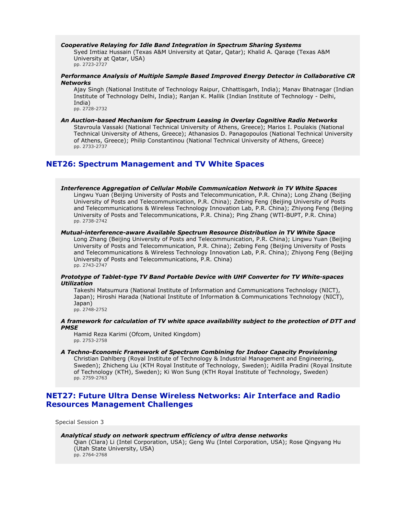#### *Cooperative Relaying for Idle Band Integration in Spectrum Sharing Systems*

Syed Imtiaz Hussain (Texas A&M University at Qatar, Qatar); Khalid A. Qaraqe (Texas A&M University at Qatar, USA) pp. 2723-2727

#### *Performance Analysis of Multiple Sample Based Improved Energy Detector in Collaborative CR Networks*

Ajay Singh (National Institute of Technology Raipur, Chhattisgarh, India); Manav Bhatnagar (Indian Institute of Technology Delhi, India); Ranjan K. Mallik (Indian Institute of Technology - Delhi, India)

pp. 2728-2732

# *An Auction-based Mechanism for Spectrum Leasing in Overlay Cognitive Radio Networks*

Stavroula Vassaki (National Technical University of Athens, Greece); Marios I. Poulakis (National Technical University of Athens, Greece); Athanasios D. Panagopoulos (National Technical University of Athens, Greece); Philip Constantinou (National Technical University of Athens, Greece) pp. 2733-2737

# **NET26: Spectrum Management and TV White Spaces**

#### *Interference Aggregation of Cellular Mobile Communication Network in TV White Spaces*

Lingwu Yuan (Beijing University of Posts and Telecommunication, P.R. China); Long Zhang (Beijing University of Posts and Telecommunication, P.R. China); Zebing Feng (Beijing University of Posts and Telecommunications & Wireless Technology Innovation Lab, P.R. China); Zhiyong Feng (Beijing University of Posts and Telecommunications, P.R. China); Ping Zhang (WTI-BUPT, P.R. China) pp. 2738-2742

# *Mutual-interference-aware Available Spectrum Resource Distribution in TV White Space*

Long Zhang (Beijing University of Posts and Telecommunication, P.R. China); Lingwu Yuan (Beijing University of Posts and Telecommunication, P.R. China); Zebing Feng (Beijing University of Posts and Telecommunications & Wireless Technology Innovation Lab, P.R. China); Zhiyong Feng (Beijing University of Posts and Telecommunications, P.R. China) pp. 2743-2747

### *Prototype of Tablet-type TV Band Portable Device with UHF Converter for TV White-spaces Utilization*

Takeshi Matsumura (National Institute of Information and Communications Technology (NICT), Japan); Hiroshi Harada (National Institute of Information & Communications Technology (NICT), Japan) pp. 2748-2752

# *A framework for calculation of TV white space availability subject to the protection of DTT and PMSE*

Hamid Reza Karimi (Ofcom, United Kingdom) pp. 2753-2758

### *A Techno-Economic Framework of Spectrum Combining for Indoor Capacity Provisioning*

Christian Dahlberg (Royal Institute of Technology & Industrial Management and Engineering, Sweden); Zhicheng Liu (KTH Royal Institute of Technology, Sweden); Aidilla Pradini (Royal Insitute of Technology (KTH), Sweden); Ki Won Sung (KTH Royal Institute of Technology, Sweden) pp. 2759-2763

# **NET27: Future Ultra Dense Wireless Networks: Air Interface and Radio Resources Management Challenges**

Special Session 3

#### *Analytical study on network spectrum efficiency of ultra dense networks*

Qian (Clara) Li (Intel Corporation, USA); Geng Wu (Intel Corporation, USA); Rose Qingyang Hu (Utah State University, USA) pp. 2764-2768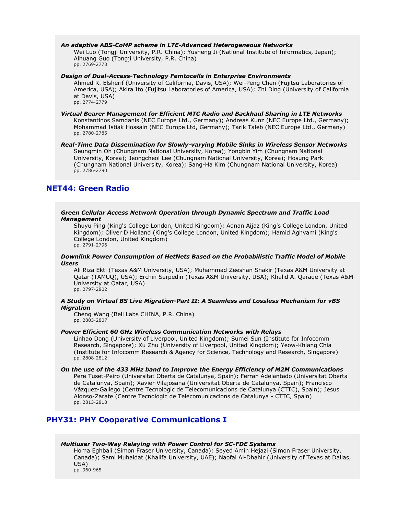# *An adaptive ABS-CoMP scheme in LTE-Advanced Heterogeneous Networks*

Wei Luo (Tongji University, P.R. China); Yusheng Ji (National Institute of Informatics, Japan); Aihuang Guo (Tongji University, P.R. China) pp. 2769-2773

*Design of Dual-Access-Technology Femtocells in Enterprise Environments*

Ahmed R. Elsherif (University of California, Davis, USA); Wei-Peng Chen (Fujitsu Laboratories of America, USA); Akira Ito (Fujitsu Laboratories of America, USA); Zhi Ding (University of California at Davis, USA) pp. 2774-2779

*Virtual Bearer Management for Efficient MTC Radio and Backhaul Sharing in LTE Networks* Konstantinos Samdanis (NEC Europe Ltd., Germany); Andreas Kunz (NEC Europe Ltd., Germany); Mohammad Istiak Hossain (NEC Europe Ltd, Germany); Tarik Taleb (NEC Europe Ltd., Germany) pp. 2780-2785

*Real-Time Data Dissemination for Slowly-varying Mobile Sinks in Wireless Sensor Networks* Seungmin Oh (Chungnam National University, Korea); Yongbin Yim (Chungnam National University, Korea); Jeongcheol Lee (Chungnam National University, Korea); Hosung Park (Chungnam National University, Korea); Sang-Ha Kim (Chungnam National University, Korea) pp. 2786-2790

# **NET44: Green Radio**

#### *Green Cellular Access Network Operation through Dynamic Spectrum and Traffic Load Management*

Shuyu Ping (King's College London, United Kingdom); Adnan Aijaz (King's College London, United Kingdom); Oliver D Holland (King's College London, United Kingdom); Hamid Aghvami (King's College London, United Kingdom)

pp. 2791-2796

# *Downlink Power Consumption of HetNets Based on the Probabilistic Traffic Model of Mobile Users*

Ali Riza Ekti (Texas A&M University, USA); Muhammad Zeeshan Shakir (Texas A&M University at Qatar (TAMUQ), USA); Erchin Serpedin (Texas A&M University, USA); Khalid A. Qaraqe (Texas A&M University at Qatar, USA)

pp. 2797-2802

# *A Study on Virtual BS Live Migration-Part II: A Seamless and Lossless Mechanism for vBS Migration*

Cheng Wang (Bell Labs CHINA, P.R. China) pp. 2803-2807

# *Power Efficient 60 GHz Wireless Communication Networks with Relays*

Linhao Dong (University of Liverpool, United Kingdom); Sumei Sun (Institute for Infocomm Research, Singapore); Xu Zhu (University of Liverpool, United Kingdom); Yeow-Khiang Chia (Institute for Infocomm Research & Agency for Science, Technology and Research, Singapore) pp. 2808-2812

### *On the use of the 433 MHz band to Improve the Energy Efficiency of M2M Communications*

Pere Tuset-Peiro (Universitat Oberta de Catalunya, Spain); Ferran Adelantado (Universitat Oberta de Catalunya, Spain); Xavier Vilajosana (Universitat Oberta de Catalunya, Spain); Francisco Vázquez-Gallego (Centre Tecnològic de Telecomunicacions de Catalunya (CTTC), Spain); Jesus Alonso-Zarate (Centre Tecnologic de Telecomunicacions de Catalunya - CTTC, Spain) pp. 2813-2818

# **PHY31: PHY Cooperative Communications I**

#### *Multiuser Two-Way Relaying with Power Control for SC-FDE Systems*

Homa Eghbali (Simon Fraser University, Canada); Seyed Amin Hejazi (Simon Fraser University, Canada); Sami Muhaidat (Khalifa University, UAE); Naofal Al-Dhahir (University of Texas at Dallas, USA) pp. 960-965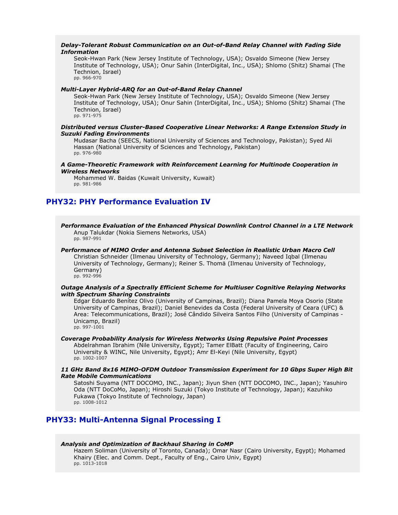# *Delay-Tolerant Robust Communication on an Out-of-Band Relay Channel with Fading Side Information*

Seok-Hwan Park (New Jersey Institute of Technology, USA); Osvaldo Simeone (New Jersey Institute of Technology, USA); Onur Sahin (InterDigital, Inc., USA); Shlomo (Shitz) Shamai (The Technion, Israel) pp. 966-970

# *Multi-Layer Hybrid-ARQ for an Out-of-Band Relay Channel*

Seok-Hwan Park (New Jersey Institute of Technology, USA); Osvaldo Simeone (New Jersey Institute of Technology, USA); Onur Sahin (InterDigital, Inc., USA); Shlomo (Shitz) Shamai (The Technion, Israel) pp. 971-975

### *Distributed versus Cluster-Based Cooperative Linear Networks: A Range Extension Study in Suzuki Fading Environments*

Mudasar Bacha (SEECS, National University of Sciences and Technology, Pakistan); Syed Ali Hassan (National University of Sciences and Technology, Pakistan) pp. 976-980

### *A Game-Theoretic Framework with Reinforcement Learning for Multinode Cooperation in Wireless Networks*

Mohammed W. Baidas (Kuwait University, Kuwait) pp. 981-986

# **PHY32: PHY Performance Evaluation IV**

*Performance Evaluation of the Enhanced Physical Downlink Control Channel in a LTE Network* Anup Talukdar (Nokia Siemens Networks, USA) pp. 987-991

# *Performance of MIMO Order and Antenna Subset Selection in Realistic Urban Macro Cell*

Christian Schneider (Ilmenau University of Technology, Germany); Naveed Iqbal (Ilmenau University of Technology, Germany); Reiner S. Thomä (Ilmenau University of Technology, Germany) pp. 992-996

#### *Outage Analysis of a Spectrally Efficient Scheme for Multiuser Cognitive Relaying Networks with Spectrum Sharing Constraints*

Edgar Eduardo Benítez Olivo (University of Campinas, Brazil); Diana Pamela Moya Osorio (State University of Campinas, Brazil); Daniel Benevides da Costa (Federal University of Ceara (UFC) & Area: Telecommunications, Brazil); José Cândido Silveira Santos Filho (University of Campinas - Unicamp, Brazil) pp. 997-1001

#### *Coverage Probability Analysis for Wireless Networks Using Repulsive Point Processes* Abdelrahman Ibrahim (Nile University, Egypt); Tamer ElBatt (Faculty of Engineering, Cairo University & WINC, Nile University, Egypt); Amr El-Keyi (Nile University, Egypt) pp. 1002-1007

*11 GHz Band 8x16 MIMO-OFDM Outdoor Transmission Experiment for 10 Gbps Super High Bit Rate Mobile Communications*

Satoshi Suyama (NTT DOCOMO, INC., Japan); Jiyun Shen (NTT DOCOMO, INC., Japan); Yasuhiro Oda (NTT DoCoMo, Japan); Hiroshi Suzuki (Tokyo Institute of Technology, Japan); Kazuhiko Fukawa (Tokyo Institute of Technology, Japan) pp. 1008-1012

# **PHY33: Multi-Antenna Signal Processing I**

# *Analysis and Optimization of Backhaul Sharing in CoMP*

Hazem Soliman (University of Toronto, Canada); Omar Nasr (Cairo University, Egypt); Mohamed Khairy (Elec. and Comm. Dept., Faculty of Eng., Cairo Univ, Egypt) pp. 1013-1018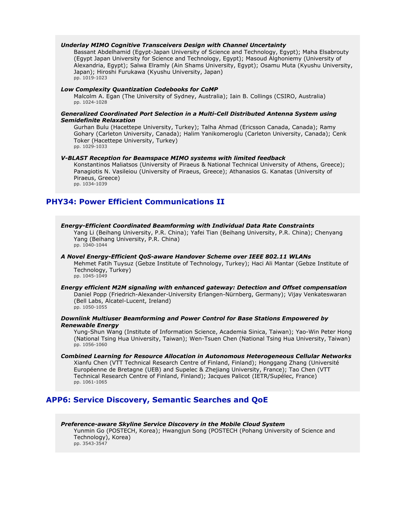### *Underlay MIMO Cognitive Transceivers Design with Channel Uncertainty*

Bassant Abdelhamid (Egypt-Japan University of Science and Technology, Egypt); Maha Elsabrouty (Egypt Japan University for Science and Technology, Egypt); Masoud Alghoniemy (University of Alexandria, Egypt); Salwa Elramly (Ain Shams University, Egypt); Osamu Muta (Kyushu University, Japan); Hiroshi Furukawa (Kyushu University, Japan) pp. 1019-1023

#### *Low Complexity Quantization Codebooks for CoMP*

Malcolm A. Egan (The University of Sydney, Australia); Iain B. Collings (CSIRO, Australia) pp. 1024-1028

# *Generalized Coordinated Port Selection in a Multi-Cell Distributed Antenna System using Semidefinite Relaxation*

Gurhan Bulu (Hacettepe University, Turkey); Talha Ahmad (Ericsson Canada, Canada); Ramy Gohary (Carleton University, Canada); Halim Yanikomeroglu (Carleton University, Canada); Cenk Toker (Hacettepe University, Turkey) pp. 1029-1033

### *V-BLAST Reception for Beamspace MIMO systems with limited feedback*

Konstantinos Maliatsos (University of Piraeus & National Technical University of Athens, Greece); Panagiotis N. Vasileiou (University of Piraeus, Greece); Athanasios G. Kanatas (University of Piraeus, Greece) pp. 1034-1039

# **PHY34: Power Efficient Communications II**

#### *Energy-Efficient Coordinated Beamforming with Individual Data Rate Constraints*

Yang Li (Beihang University, P.R. China); Yafei Tian (Beihang University, P.R. China); Chenyang Yang (Beihang University, P.R. China) pp. 1040-1044

#### *A Novel Energy-Efficient QoS-aware Handover Scheme over IEEE 802.11 WLANs*

Mehmet Fatih Tuysuz (Gebze Institute of Technology, Turkey); Haci Ali Mantar (Gebze Institute of Technology, Turkey) pp. 1045-1049

#### *Energy efficient M2M signaling with enhanced gateway: Detection and Offset compensation* Daniel Popp (Friedrich-Alexander-University Erlangen-Nürnberg, Germany); Vijay Venkateswaran (Bell Labs, Alcatel-Lucent, Ireland) pp. 1050-1055

### *Downlink Multiuser Beamforming and Power Control for Base Stations Empowered by Renewable Energy*

Yung-Shun Wang (Institute of Information Science, Academia Sinica, Taiwan); Yao-Win Peter Hong (National Tsing Hua University, Taiwan); Wen-Tsuen Chen (National Tsing Hua University, Taiwan) pp. 1056-1060

### *Combined Learning for Resource Allocation in Autonomous Heterogeneous Cellular Networks* Xianfu Chen (VTT Technical Research Centre of Finland, Finland); Honggang Zhang (Université Européenne de Bretagne (UEB) and Supelec & Zhejiang University, France); Tao Chen (VTT Technical Research Centre of Finland, Finland); Jacques Palicot (IETR/Supélec, France) pp. 1061-1065

# **APP6: Service Discovery, Semantic Searches and QoE**

*Preference-aware Skyline Service Discovery in the Mobile Cloud System* Yunmin Go (POSTECH, Korea); Hwangjun Song (POSTECH (Pohang University of Science and Technology), Korea) pp. 3543-3547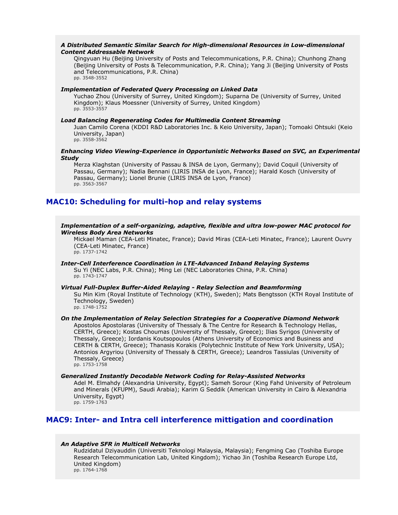### *A Distributed Semantic Similar Search for High-dimensional Resources in Low-dimensional Content Addressable Network*

Qingyuan Hu (Beijing University of Posts and Telecommunications, P.R. China); Chunhong Zhang (Beijing University of Posts & Telecommunication, P.R. China); Yang Ji (Beijing University of Posts and Telecommunications, P.R. China) pp. 3548-3552

# *Implementation of Federated Query Processing on Linked Data*

Yuchao Zhou (University of Surrey, United Kingdom); Suparna De (University of Surrey, United Kingdom); Klaus Moessner (University of Surrey, United Kingdom) pp. 3553-3557

# *Load Balancing Regenerating Codes for Multimedia Content Streaming*

Juan Camilo Corena (KDDI R&D Laboratories Inc. & Keio University, Japan); Tomoaki Ohtsuki (Keio University, Japan) pp. 3558-3562

### *Enhancing Video Viewing-Experience in Opportunistic Networks Based on SVC, an Experimental Study*

Merza Klaghstan (University of Passau & INSA de Lyon, Germany); David Coquil (University of Passau, Germany); Nadia Bennani (LIRIS INSA de Lyon, France); Harald Kosch (University of Passau, Germany); Lionel Brunie (LIRIS INSA de Lyon, France) pp. 3563-3567

# **MAC10: Scheduling for multi-hop and relay systems**

# *Implementation of a self-organizing, adaptive, flexible and ultra low-power MAC protocol for Wireless Body Area Networks*

Mickael Maman (CEA-Leti Minatec, France); David Miras (CEA-Leti Minatec, France); Laurent Ouvry (CEA-Leti Minatec, France) pp. 1737-1742

#### *Inter-Cell Interference Coordination in LTE-Advanced Inband Relaying Systems* Su Yi (NEC Labs, P.R. China); Ming Lei (NEC Laboratories China, P.R. China) pp. 1743-1747

#### *Virtual Full-Duplex Buffer-Aided Relaying - Relay Selection and Beamforming*

Su Min Kim (Royal Institute of Technology (KTH), Sweden); Mats Bengtsson (KTH Royal Institute of Technology, Sweden) pp. 1748-1752

### *On the Implementation of Relay Selection Strategies for a Cooperative Diamond Network*

Apostolos Apostolaras (University of Thessaly & The Centre for Research & Technology Hellas, CERTH, Greece); Kostas Choumas (University of Thessaly, Greece); Ilias Syrigos (University of Thessaly, Greece); Iordanis Koutsopoulos (Athens University of Economics and Business and CERTH & CERTH, Greece); Thanasis Korakis (Polytechnic Institute of New York University, USA); Antonios Argyriou (University of Thessaly & CERTH, Greece); Leandros Tassiulas (University of Thessaly, Greece) pp. 1753-1758

#### *Generalized Instantly Decodable Network Coding for Relay-Assisted Networks*

Adel M. Elmahdy (Alexandria University, Egypt); Sameh Sorour (King Fahd University of Petroleum and Minerals (KFUPM), Saudi Arabia); Karim G Seddik (American University in Cairo & Alexandria University, Egypt) pp. 1759-1763

# **MAC9: Inter- and Intra cell interference mittigation and coordination**

#### *An Adaptive SFR in Multicell Networks*

Rudzidatul Dziyauddin (Universiti Teknologi Malaysia, Malaysia); Fengming Cao (Toshiba Europe Research Telecommunication Lab, United Kingdom); Yichao Jin (Toshiba Research Europe Ltd, United Kingdom) pp. 1764-1768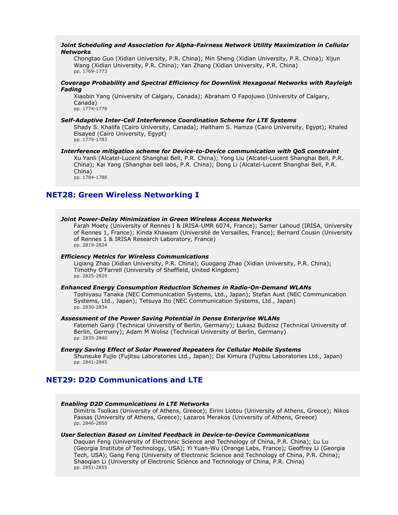### *Joint Scheduling and Association for Alpha-Fairness Network Utility Maximization in Cellular Networks*

Chongtao Guo (Xidian University, P.R. China); Min Sheng (Xidian University, P.R. China); Xijun Wang (Xidian University, P.R. China); Yan Zhang (Xidian University, P.R. China) pp. 1769-1773

# *Coverage Probability and Spectral Efficiency for Downlink Hexagonal Networks with Rayleigh Fading*

Xiaobin Yang (University of Calgary, Canada); Abraham O Fapojuwo (University of Calgary, Canada) pp. 1774-1778

### *Self-Adaptive Inter-Cell Interference Coordination Scheme for LTE Systems*

Shady S. Khalifa (Cairo University, Canada); Haitham S. Hamza (Cairo University, Egypt); Khaled Elsayed (Cairo University, Egypt) pp. 1779-1783

#### *Interference mitigation scheme for Device-to-Device communication with QoS constraint*

Xu Yanli (Alcatel-Lucent Shanghai Bell, P.R. China); Yong Liu (Alcatel-Lucent Shanghai Bell, P.R. China); Kai Yang (Shanghai bell labs, P.R. China); Dong Li (Alcatel-Lucent Shanghai Bell, P.R. China)

pp. 1784-1788

# **NET28: Green Wireless Networking I**

#### *Joint Power-Delay Minimization in Green Wireless Access Networks*

Farah Moety (University of Rennes I & IRISA-UMR 6074, France); Samer Lahoud (IRISA, University of Rennes 1, France); Kinda Khawam (Université de Versailles, France); Bernard Cousin (University of Rennes 1 & IRISA Research Laboratory, France) pp. 2819-2824

### *Efficiency Metrics for Wireless Communications*

Liqiang Zhao (Xidian University, P.R. China); Guogang Zhao (Xidian University, P.R. China); Timothy O'Farrell (University of Sheffield, United Kingdom) pp. 2825-2829

#### *Enhanced Energy Consumption Reduction Schemes in Radio-On-Demand WLANs*

Toshiyasu Tanaka (NEC Communication Systems, Ltd., Japan); Stefan Aust (NEC Communication Systems, Ltd., Japan); Tetsuya Ito (NEC Communication Systems, Ltd., Japan) pp. 2830-2834

#### *Assessment of the Power Saving Potential in Dense Enterprise WLANs*

Fatemeh Ganji (Technical University of Berlin, Germany); Łukasz Budzisz (Technical University of Berlin, Germany); Adam M Wolisz (Technical University of Berlin, Germany) pp. 2835-2840

### *Energy Saving Effect of Solar Powered Repeaters for Cellular Mobile Systems*

Shunsuke Fujio (Fujitsu Laboratories Ltd., Japan); Dai Kimura (Fujitsu Laboratories Ltd., Japan) pp. 2841-2845

# **NET29: D2D Communications and LTE**

#### *Enabling D2D Communications in LTE Networks*

Dimitris Tsolkas (University of Athens, Greece); Eirini Liotou (University of Athens, Greece); Nikos Passas (University of Athens, Greece); Lazaros Merakos (University of Athens, Greece) pp. 2846-2850

### *User Selection Based on Limited Feedback in Device-to-Device Communications*

Daquan Feng (University of Electronic Science and Technology of China, P.R. China); Lu Lu (Georgia Institute of Technology, USA); Yi Yuan-Wu (Orange Labs, France); Geoffrey Li (Georgia Tech, USA); Gang Feng (University of Electronic Science and Technology of China, P.R. China); Shaoqian Li (University of Electronic Science and Technology of China, P.R. China) pp. 2851-2855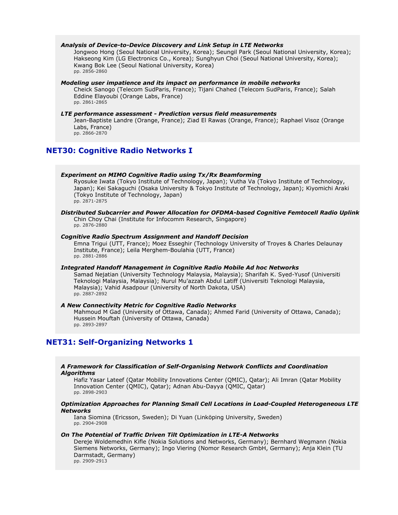# *Analysis of Device-to-Device Discovery and Link Setup in LTE Networks*

Jongwoo Hong (Seoul National University, Korea); Seungil Park (Seoul National University, Korea); Hakseong Kim (LG Electronics Co., Korea); Sunghyun Choi (Seoul National University, Korea); Kwang Bok Lee (Seoul National University, Korea) pp. 2856-2860

#### *Modeling user impatience and its impact on performance in mobile networks*

Cheick Sanogo (Telecom SudParis, France); Tijani Chahed (Telecom SudParis, France); Salah Eddine Elayoubi (Orange Labs, France) pp. 2861-2865

#### *LTE performance assessment - Prediction versus field measurements*

Jean-Baptiste Landre (Orange, France); Ziad El Rawas (Orange, France); Raphael Visoz (Orange Labs, France) pp. 2866-2870

# **NET30: Cognitive Radio Networks I**

### *Experiment on MIMO Cognitive Radio using Tx/Rx Beamforming*

Ryosuke Iwata (Tokyo Institute of Technology, Japan); Vutha Va (Tokyo Institute of Technology, Japan); Kei Sakaguchi (Osaka University & Tokyo Institute of Technology, Japan); Kiyomichi Araki (Tokyo Institute of Technology, Japan) pp. 2871-2875

*Distributed Subcarrier and Power Allocation for OFDMA-based Cognitive Femtocell Radio Uplink*

Chin Choy Chai (Institute for Infocomm Research, Singapore) pp. 2876-2880

#### *Cognitive Radio Spectrum Assignment and Handoff Decision*

Emna Trigui (UTT, France); Moez Esseghir (Technology University of Troyes & Charles Delaunay Institute, France); Leila Merghem-Boulahia (UTT, France) pp. 2881-2886

# *Integrated Handoff Management in Cognitive Radio Mobile Ad hoc Networks*

Samad Nejatian (University Technology Malaysia, Malaysia); Sharifah K. Syed-Yusof (Universiti Teknologi Malaysia, Malaysia); Nurul Mu'azzah Abdul Latiff (Universiti Teknologi Malaysia, Malaysia); Vahid Asadpour (University of North Dakota, USA) pp. 2887-2892

### *A New Connectivity Metric for Cognitive Radio Networks*

Mahmoud M Gad (University of Ottawa, Canada); Ahmed Farid (University of Ottawa, Canada); Hussein Mouftah (University of Ottawa, Canada) pp. 2893-2897

# **NET31: Self-Organizing Networks 1**

#### *A Framework for Classification of Self-Organising Network Conflicts and Coordination Algorithms*

Hafiz Yasar Lateef (Qatar Mobility Innovations Center (QMIC), Qatar); Ali Imran (Qatar Mobility Innovation Center (QMIC), Qatar); Adnan Abu-Dayya (QMIC, Qatar) pp. 2898-2903

#### *Optimization Approaches for Planning Small Cell Locations in Load-Coupled Heterogeneous LTE Networks*

Iana Siomina (Ericsson, Sweden); Di Yuan (Linköping University, Sweden) pp. 2904-2908

#### *On The Potential of Traffic Driven Tilt Optimization in LTE-A Networks*

Dereje Woldemedhin Kifle (Nokia Solutions and Networks, Germany); Bernhard Wegmann (Nokia Siemens Networks, Germany); Ingo Viering (Nomor Research GmbH, Germany); Anja Klein (TU Darmstadt, Germany)

pp. 2909-2913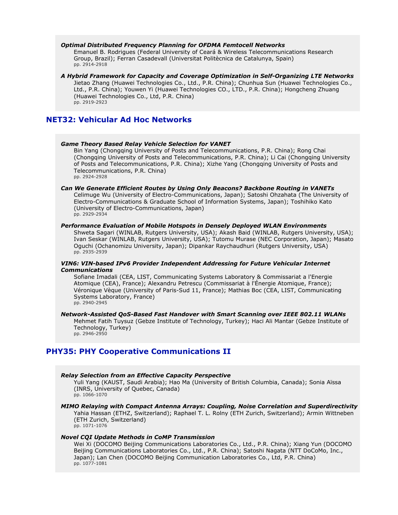### *Optimal Distributed Frequency Planning for OFDMA Femtocell Networks*

Emanuel B. Rodrigues (Federal University of Ceará & Wireless Telecommunications Research Group, Brazil); Ferran Casadevall (Universitat Politècnica de Catalunya, Spain) pp. 2914-2918

# *A Hybrid Framework for Capacity and Coverage Optimization in Self-Organizing LTE Networks*

Jietao Zhang (Huawei Technologies Co., Ltd., P.R. China); Chunhua Sun (Huawei Technologies Co., Ltd., P.R. China); Youwen Yi (Huawei Technologies CO., LTD., P.R. China); Hongcheng Zhuang (Huawei Technologies Co., Ltd, P.R. China) pp. 2919-2923

# **NET32: Vehicular Ad Hoc Networks**

#### *Game Theory Based Relay Vehicle Selection for VANET*

Bin Yang (Chongqing University of Posts and Telecommunications, P.R. China); Rong Chai (Chongqing University of Posts and Telecommunications, P.R. China); Li Cai (Chongqing University of Posts and Telecommunications, P.R. China); Xizhe Yang (Chongqing University of Posts and Telecommunications, P.R. China) pp. 2924-2928

#### *Can We Generate Efficient Routes by Using Only Beacons? Backbone Routing in VANETs* Celimuge Wu (University of Electro-Communications, Japan); Satoshi Ohzahata (The University of Electro-Communications & Graduate School of Information Systems, Japan); Toshihiko Kato (University of Electro-Communications, Japan) pp. 2929-2934

#### *Performance Evaluation of Mobile Hotspots in Densely Deployed WLAN Environments*

Shweta Sagari (WINLAB, Rutgers University, USA); Akash Baid (WINLAB, Rutgers University, USA); Ivan Seskar (WINLAB, Rutgers University, USA); Tutomu Murase (NEC Corporation, Japan); Masato Oguchi (Ochanomizu University, Japan); Dipankar Raychaudhuri (Rutgers University, USA) pp. 2935-2939

# *VIN6: VIN-based IPv6 Provider Independent Addressing for Future Vehicular Internet Communications*

Sofiane Imadali (CEA, LIST, Communicating Systems Laboratory & Commissariat a l'Energie Atomique (CEA), France); Alexandru Petrescu (Commissariat à l'Énergie Atomique, France); Véronique Vèque (University of Paris-Sud 11, France); Mathias Boc (CEA, LIST, Communicating Systems Laboratory, France) pp. 2940-2945

#### *Network-Assisted QoS-Based Fast Handover with Smart Scanning over IEEE 802.11 WLANs*

Mehmet Fatih Tuysuz (Gebze Institute of Technology, Turkey); Haci Ali Mantar (Gebze Institute of Technology, Turkey) pp. 2946-2950

# **PHY35: PHY Cooperative Communications II**

### *Relay Selection from an Effective Capacity Perspective*

Yuli Yang (KAUST, Saudi Arabia); Hao Ma (University of British Columbia, Canada); Sonia Aïssa (INRS, University of Quebec, Canada) pp. 1066-1070

#### *MIMO Relaying with Compact Antenna Arrays: Coupling, Noise Correlation and Superdirectivity* Yahia Hassan (ETHZ, Switzerland); Raphael T. L. Rolny (ETH Zurich, Switzerland); Armin Wittneben

(ETH Zurich, Switzerland) pp. 1071-1076

#### *Novel CQI Update Methods in CoMP Transmission*

Wei Xi (DOCOMO Beijing Communications Laboratories Co., Ltd., P.R. China); Xiang Yun (DOCOMO Beijing Communications Laboratories Co., Ltd., P.R. China); Satoshi Nagata (NTT DoCoMo, Inc., Japan); Lan Chen (DOCOMO Beijing Communication Laboratories Co., Ltd, P.R. China) pp. 1077-1081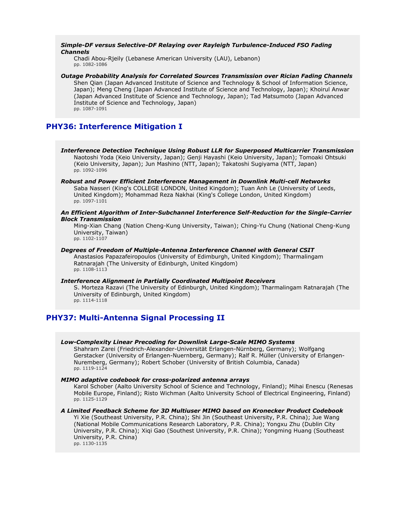# *Simple-DF versus Selective-DF Relaying over Rayleigh Turbulence-Induced FSO Fading Channels*

Chadi Abou-Rjeily (Lebanese American University (LAU), Lebanon) pp. 1082-1086

*Outage Probability Analysis for Correlated Sources Transmission over Rician Fading Channels* Shen Qian (Japan Advanced Institute of Science and Technology & School of Information Science, Japan); Meng Cheng (Japan Advanced Institute of Science and Technology, Japan); Khoirul Anwar (Japan Advanced Institute of Science and Technology, Japan); Tad Matsumoto (Japan Advanced Institute of Science and Technology, Japan) pp. 1087-1091

# **PHY36: Interference Mitigation I**

- *Interference Detection Technique Using Robust LLR for Superposed Multicarrier Transmission* Naotoshi Yoda (Keio University, Japan); Genji Hayashi (Keio University, Japan); Tomoaki Ohtsuki (Keio University, Japan); Jun Mashino (NTT, Japan); Takatoshi Sugiyama (NTT, Japan) pp. 1092-1096
- *Robust and Power Efficient Interference Management in Downlink Multi-cell Networks* Saba Nasseri (King's COLLEGE LONDON, United Kingdom); Tuan Anh Le (University of Leeds, United Kingdom); Mohammad Reza Nakhai (King's College London, United Kingdom) pp. 1097-1101

### *An Efficient Algorithm of Inter-Subchannel Interference Self-Reduction for the Single-Carrier Block Transmission*

Ming-Xian Chang (Nation Cheng-Kung University, Taiwan); Ching-Yu Chung (National Cheng-Kung University, Taiwan) pp. 1102-1107

*Degrees of Freedom of Multiple-Antenna Interference Channel with General CSIT* Anastasios Papazafeiropoulos (University of Edimburgh, United Kingdom); Tharmalingam Ratnarajah (The University of Edinburgh, United Kingdom) pp. 1108-1113

#### *Interference Alignment in Partially Coordinated Multipoint Receivers*

S. Morteza Razavi (The University of Edinburgh, United Kingdom); Tharmalingam Ratnarajah (The University of Edinburgh, United Kingdom) pp. 1114-1118

# **PHY37: Multi-Antenna Signal Processing II**

# *Low-Complexity Linear Precoding for Downlink Large-Scale MIMO Systems*

Shahram Zarei (Friedrich-Alexander-Universität Erlangen-Nürnberg, Germany); Wolfgang Gerstacker (University of Erlangen-Nuernberg, Germany); Ralf R. Müller (University of Erlangen-Nuremberg, Germany); Robert Schober (University of British Columbia, Canada) pp. 1119-1124

# *MIMO adaptive codebook for cross-polarized antenna arrays*

Karol Schober (Aalto University School of Science and Technology, Finland); Mihai Enescu (Renesas Mobile Europe, Finland); Risto Wichman (Aalto University School of Electrical Engineering, Finland) pp. 1125-1129

### *A Limited Feedback Scheme for 3D Multiuser MIMO based on Kronecker Product Codebook*

Yi Xie (Southeast University, P.R. China); Shi Jin (Southeast University, P.R. China); Jue Wang (National Mobile Communications Research Laboratory, P.R. China); Yongxu Zhu (Dublin City University, P.R. China); Xiqi Gao (Southest University, P.R. China); Yongming Huang (Southeast University, P.R. China)

pp. 1130-1135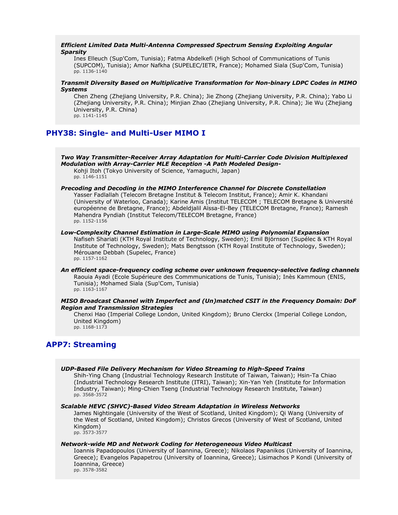### *Efficient Limited Data Multi-Antenna Compressed Spectrum Sensing Exploiting Angular Sparsity*

Ines Elleuch (Sup'Com, Tunisia); Fatma Abdelkefi (High School of Communications of Tunis (SUPCOM), Tunisia); Amor Nafkha (SUPELEC/IETR, France); Mohamed Siala (Sup'Com, Tunisia) pp. 1136-1140

# *Transmit Diversity Based on Multiplicative Transformation for Non-binary LDPC Codes in MIMO Systems*

Chen Zheng (Zhejiang University, P.R. China); Jie Zhong (Zhejiang University, P.R. China); Yabo Li (Zhejiang University, P.R. China); Minjian Zhao (Zhejiang University, P.R. China); Jie Wu (Zhejiang University, P.R. China) pp. 1141-1145

# **PHY38: Single- and Multi-User MIMO I**

*Two Way Transmitter-Receiver Array Adaptation for Multi-Carrier Code Division Multiplexed Modulation with Array-Carrier MLE Reception -A Path Modeled Design-*Kohji Itoh (Tokyo University of Science, Yamaguchi, Japan) pp. 1146-1151 *Precoding and Decoding in the MIMO Interference Channel for Discrete Constellation* Yasser Fadlallah (Telecom Bretagne Institut & Telecom Institut, France); Amir K. Khandani (University of Waterloo, Canada); Karine Amis (Institut TELECOM ; TELECOM Bretagne & Université européenne de Bretagne, France); Abdeldjalil Aïssa-El-Bey (TELECOM Bretagne, France); Ramesh

Mahendra Pyndiah (Institut Telecom/TELECOM Bretagne, France)

pp. 1152-1156 *Low-Complexity Channel Estimation in Large-Scale MIMO using Polynomial Expansion* Nafiseh Shariati (KTH Royal Institute of Technology, Sweden); Emil Björnson (Supélec & KTH Royal Institute of Technology, Sweden); Mats Bengtsson (KTH Royal Institute of Technology, Sweden); Mérouane Debbah (Supelec, France) pp. 1157-1162

*An efficient space-frequency coding scheme over unknown frequency-selective fading channels* Raouia Ayadi (Ecole Supérieure des Commmunications de Tunis, Tunisia); Inès Kammoun (ENIS, Tunisia); Mohamed Siala (Sup'Com, Tunisia) pp. 1163-1167

# *MISO Broadcast Channel with Imperfect and (Un)matched CSIT in the Frequency Domain: DoF Region and Transmission Strategies*

Chenxi Hao (Imperial College London, United Kingdom); Bruno Clerckx (Imperial College London, United Kingdom) pp. 1168-1173

# **APP7: Streaming**

*UDP-Based File Delivery Mechanism for Video Streaming to High-Speed Trains*

Shih-Ying Chang (Industrial Technology Research Institute of Taiwan, Taiwan); Hsin-Ta Chiao (Industrial Technology Research Institute (ITRI), Taiwan); Xin-Yan Yeh (Institute for Information Industry, Taiwan); Ming-Chien Tseng (Industrial Technology Research Institute, Taiwan) pp. 3568-3572

# *Scalable HEVC (SHVC)-Based Video Stream Adaptation in Wireless Networks*

James Nightingale (University of the West of Scotland, United Kingdom); Qi Wang (University of the West of Scotland, United Kingdom); Christos Grecos (University of West of Scotland, United Kingdom) pp. 3573-3577

# *Network-wide MD and Network Coding for Heterogeneous Video Multicast*

Ioannis Papadopoulos (University of Ioannina, Greece); Nikolaos Papanikos (University of Ioannina, Greece); Evangelos Papapetrou (University of Ioannina, Greece); Lisimachos P Kondi (University of Ioannina, Greece) pp. 3578-3582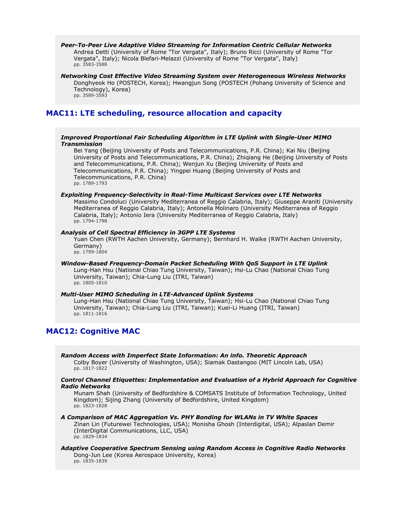*Peer-To-Peer Live Adaptive Video Streaming for Information Centric Cellular Networks* Andrea Detti (University of Rome "Tor Vergata", Italy); Bruno Ricci (University of Rome "Tor Vergata", Italy); Nicola Blefari-Melazzi (University of Rome "Tor Vergata", Italy) pp. 3583-3588

*Networking Cost Effective Video Streaming System over Heterogeneous Wireless Networks* Donghyeok Ho (POSTECH, Korea); Hwangjun Song (POSTECH (Pohang University of Science and Technology), Korea) pp. 3589-3593

# **MAC11: LTE scheduling, resource allocation and capacity**

### *Improved Proportional Fair Scheduling Algorithm in LTE Uplink with Single-User MIMO Transmission*

Bei Yang (Beijing University of Posts and Telecommunications, P.R. China); Kai Niu (Beijing University of Posts and Telecommunications, P.R. China); Zhiqiang He (Beijing University of Posts and Telecommunications, P.R. China); Wenjun Xu (Beijing University of Posts and Telecommunications, P.R. China); Yingpei Huang (Beijing University of Posts and Telecommunications, P.R. China) pp. 1789-1793

#### *Exploiting Frequency-Selectivity in Real-Time Multicast Services over LTE Networks*

Massimo Condoluci (University Mediterranea of Reggio Calabria, Italy); Giuseppe Araniti (University Mediterranea of Reggio Calabria, Italy); Antonella Molinaro (University Mediterranea of Reggio Calabria, Italy); Antonio Iera (University Mediterranea of Reggio Calabria, Italy) pp. 1794-1798

#### *Analysis of Cell Spectral Efficiency in 3GPP LTE Systems*

Yuan Chen (RWTH Aachen University, Germany); Bernhard H. Walke (RWTH Aachen University, Germany) pp. 1799-1804

*Window-Based Frequency-Domain Packet Scheduling With QoS Support in LTE Uplink* Lung-Han Hsu (National Chiao Tung University, Taiwan); Hsi-Lu Chao (National Chiao Tung University, Taiwan); Chia-Lung Liu (ITRI, Taiwan) pp. 1805-1810

# *Multi-User MIMO Scheduling in LTE-Advanced Uplink Systems*

Lung-Han Hsu (National Chiao Tung University, Taiwan); Hsi-Lu Chao (National Chiao Tung University, Taiwan); Chia-Lung Liu (ITRI, Taiwan); Kuei-Li Huang (ITRI, Taiwan) pp. 1811-1816

# **MAC12: Cognitive MAC**

*Random Access with Imperfect State Information: An info. Theoretic Approach*

Colby Boyer (University of Washington, USA); Siamak Dastangoo (MIT Lincoln Lab, USA) pp. 1817-1822

### *Control Channel Etiquettes: Implementation and Evaluation of a Hybrid Approach for Cognitive Radio Networks*

Munam Shah (University of Bedfordshire & COMSATS Institute of Information Technology, United Kingdom); Sijing Zhang (University of Bedfordshire, United Kingdom) pp. 1823-1828

# *A Comparison of MAC Aggregation Vs. PHY Bonding for WLANs in TV White Spaces*

Zinan Lin (Futurewei Technologies, USA); Monisha Ghosh (Interdigital, USA); Alpaslan Demir (InterDigital Communications, LLC, USA) pp. 1829-1834

# *Adaptive Cooperative Spectrum Sensing using Random Access in Cognitive Radio Networks*

Dong-Jun Lee (Korea Aerospace University, Korea) pp. 1835-1839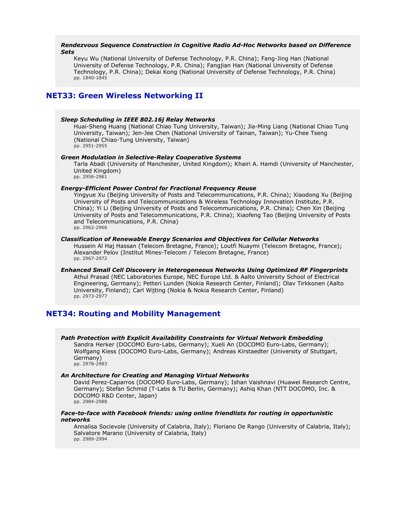### *Rendezvous Sequence Construction in Cognitive Radio Ad-Hoc Networks based on Difference Sets*

Keyu Wu (National University of Defense Technology, P.R. China); Fang-Jing Han (National University of Defense Technology, P.R. China); Fangjian Han (National University of Defense Technology, P.R. China); Dekai Kong (National University of Defense Technology, P.R. China) pp. 1840-1845

# **NET33: Green Wireless Networking II**

### *Sleep Scheduling in IEEE 802.16j Relay Networks*

Huai-Sheng Huang (National Chiao Tung University, Taiwan); Jia-Ming Liang (National Chiao Tung University, Taiwan); Jen-Jee Chen (National University of Tainan, Taiwan); Yu-Chee Tseng (National Chiao-Tung University, Taiwan) pp. 2951-2955

#### *Green Modulation in Selective-Relay Cooperative Systems*

Tarla Abadi (University of Manchester, United Kingdom); Khairi A. Hamdi (University of Manchester, United Kingdom) pp. 2956-2961

# *Energy-Efficient Power Control for Fractional Frequency Reuse*

Yingyue Xu (Beijing University of Posts and Telecommunications, P.R. China); Xiaodong Xu (Beijing University of Posts and Telecommunications & Wireless Technology Innovation Institute, P.R. China); Yi Li (Beijing University of Posts and Telecommunications, P.R. China); Chen Xin (Beijing University of Posts and Telecommunications, P.R. China); Xiaofeng Tao (Beijing University of Posts and Telecommunications, P.R. China) pp. 2962-2966

# *Classification of Renewable Energy Scenarios and Objectives for Cellular Networks*

Hussein Al Haj Hassan (Telecom Bretagne, France); Loutfi Nuaymi (Telecom Bretagne, France); Alexander Pelov (Institut Mines-Telecom / Telecom Bretagne, France) pp. 2967-2972

# *Enhanced Small Cell Discovery in Heterogeneous Networks Using Optimized RF Fingerprints* Athul Prasad (NEC Laboratories Europe, NEC Europe Ltd. & Aalto University School of Electrical Engineering, Germany); Petteri Lunden (Nokia Research Center, Finland); Olav Tirkkonen (Aalto University, Finland); Carl Wijting (Nokia & Nokia Research Center, Finland) pp. 2973-2977

# **NET34: Routing and Mobility Management**

*Path Protection with Explicit Availability Constraints for Virtual Network Embedding* Sandra Herker (DOCOMO Euro-Labs, Germany); Xueli An (DOCOMO Euro-Labs, Germany); Wolfgang Kiess (DOCOMO Euro-Labs, Germany); Andreas Kirstaedter (University of Stuttgart, Germany) pp. 2978-2983

#### *An Architecture for Creating and Managing Virtual Networks*

David Perez-Caparros (DOCOMO Euro-Labs, Germany); Ishan Vaishnavi (Huawei Research Centre, Germany); Stefan Schmid (T-Labs & TU Berlin, Germany); Ashiq Khan (NTT DOCOMO, Inc. & DOCOMO R&D Center, Japan) pp. 2984-2988

# *Face-to-face with Facebook friends: using online friendlists for routing in opportunistic networks*

Annalisa Socievole (University of Calabria, Italy); Floriano De Rango (University of Calabria, Italy); Salvatore Marano (University of Calabria, Italy) pp. 2989-2994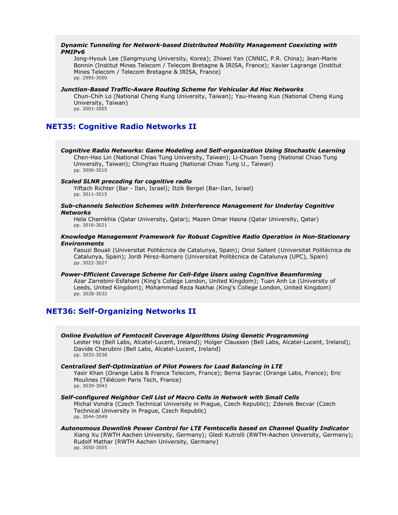# *Dynamic Tunneling for Network-based Distributed Mobility Management Coexisting with PMIPv6*

Jong-Hyouk Lee (Sangmyung University, Korea); Zhiwei Yan (CNNIC, P.R. China); Jean-Marie Bonnin (Institut Mines Telecom / Telecom Bretagne & IRISA, France); Xavier Lagrange (Institut Mines Telecom / Telecom Bretagne & IRISA, France) pp. 2995-3000

#### *Junction-Based Traffic-Aware Routing Scheme for Vehicular Ad Hoc Networks*

Chun-Chih Lo (National Cheng Kung University, Taiwan); Yau-Hwang Kuo (National Cheng Kung University, Taiwan) pp. 3001-3005

# **NET35: Cognitive Radio Networks II**

*Cognitive Radio Networks: Game Modeling and Self-organization Using Stochastic Learning* Chen-Hao Lin (National Chiao Tung University, Taiwan); Li-Chuan Tseng (National Chiao Tung University, Taiwan); ChingYao Huang (National Chiao Tung U., Taiwan) pp. 3006-3010

#### *Scaled SLNR precoding for cognitive radio*

Yiftach Richter (Bar - Ilan, Israel); Itzik Bergel (Bar-Ilan, Israel) pp. 3011-3015

#### *Sub-channels Selection Schemes with Interference Management for Underlay Cognitive Networks*

Hela Chamkhia (Qatar University, Qatar); Mazen Omar Hasna (Qatar University, Qatar) pp. 3016-3021

### *Knowledge Management Framework for Robust Cognitive Radio Operation in Non-Stationary Environments*

Faouzi Bouali (Universitat Politècnica de Catalunya, Spain); Oriol Sallent (Universitat Politècnica de Catalunya, Spain); Jordi Pérez-Romero (Universitat Politècnica de Catalunya (UPC), Spain) pp. 3022-3027

*Power-Efficient Coverage Scheme for Cell-Edge Users using Cognitive Beamforming* Azar Zarrebini-Esfahani (King's College London, United Kingdom); Tuan Anh Le (University of Leeds, United Kingdom); Mohammad Reza Nakhai (King's College London, United Kingdom) pp. 3028-3032

# **NET36: Self-Organizing Networks II**

# *Online Evolution of Femtocell Coverage Algorithms Using Genetic Programming*

Lester Ho (Bell Labs, Alcatel-Lucent, Ireland); Holger Claussen (Bell Labs, Alcatel-Lucent, Ireland); Davide Cherubini (Bell Labs, Alcatel-Lucent, Ireland) pp. 3033-3038

#### *Centralized Self-Optimization of Pilot Powers for Load Balancing in LTE*

Yasir Khan (Orange Labs & France Telecom, France); Berna Sayrac (Orange Labs, France); Eric Moulines (Télécom Paris Tech, France) pp. 3039-3043

#### *Self-configured Neighbor Cell List of Macro Cells in Network with Small Cells*

Michal Vondra (Czech Technical University in Prague, Czech Republic); Zdenek Becvar (Czech Technical University in Prague, Czech Republic) pp. 3044-3049

# *Autonomous Downlink Power Control for LTE Femtocells based on Channel Quality Indicator*

Xiang Xu (RWTH Aachen University, Germany); Gledi Kutrolli (RWTH-Aachen University, Germany); Rudolf Mathar (RWTH Aachen University, Germany) pp. 3050-3055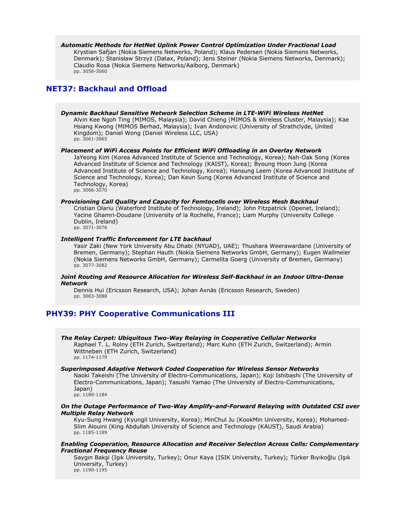*Automatic Methods for HetNet Uplink Power Control Optimization Under Fractional Load* Krystian Safjan (Nokia Siemens Networks, Poland); Klaus Pedersen (Nokia Siemens Networks, Denmark); Stanisław Strzyż (Datax, Poland); Jens Steiner (Nokia Siemens Networks, Denmark); Claudio Rosa (Nokia Siemens Networks/Aalborg, Denmark) pp. 3056-3060

# **NET37: Backhaul and Offload**

*Dynamic Backhaul Sensitive Network Selection Scheme in LTE-WiFi Wireless HetNet* Alvin Kee Ngoh Ting (MIMOS, Malaysia); David Chieng (MIMOS & Wireless Cluster, Malaysia); Kae Hsiang Kwong (MIMOS Berhad, Malaysia); Ivan Andonovic (University of Strathclyde, United Kingdom); Daniel Wong (Daniel Wireless LLC, USA) pp. 3061-3065

# *Placement of WiFi Access Points for Efficient WiFi Offloading in an Overlay Network*

JaYeong Kim (Korea Advanced Institute of Science and Technology, Korea); Nah-Oak Song (Korea Advanced Institute of Science and Technology (KAIST), Korea); Byoung Hoon Jung (Korea Advanced Institute of Science and Technology, Korea); Hansung Leem (Korea Advanced Institute of Science and Technology, Korea); Dan Keun Sung (Korea Advanced Institute of Science and Technology, Korea) pp. 3066-3070

#### *Provisioning Call Quality and Capacity for Femtocells over Wireless Mesh Backhaul*

Cristian Olariu (Waterford Institute of Technology, Ireland); John Fitzpatrick (Openet, Ireland); Yacine Ghamri-Doudane (University of la Rochelle, France); Liam Murphy (University College Dublin, Ireland) pp. 3071-3076

#### *Intelligent Traffic Enforcement for LTE backhaul*

Yasir Zaki (New York University Abu Dhabi (NYUAD), UAE); Thushara Weerawardane (University of Bremen, Germany); Stephan Hauth (Nokia Siemens Networks GmbH, Germany); Eugen Wallmeier (Nokia Siemens Networks GmbH, Germany); Carmelita Goerg (University of Bremen, Germany) pp. 3077-3082

# *Joint Routing and Resource Allocation for Wireless Self-Backhaul in an Indoor Ultra-Dense Network*

Dennis Hui (Ericsson Research, USA); Johan Axnäs (Ericsson Research, Sweden) pp. 3083-3088

# **PHY39: PHY Cooperative Communications III**

*The Relay Carpet: Ubiquitous Two-Way Relaying in Cooperative Cellular Networks* Raphael T. L. Rolny (ETH Zurich, Switzerland); Marc Kuhn (ETH Zurich, Switzerland); Armin Wittneben (ETH Zurich, Switzerland) pp. 1174-1179

#### *Superimposed Adaptive Network Coded Cooperation for Wireless Sensor Networks*

Naoki Takeishi (The University of Electro-Communications, Japan); Koji Ishibashi (The University of Electro-Communications, Japan); Yasushi Yamao (The University of Electro-Communications, Japan)

pp. 1180-1184

# *On the Outage Performance of Two-Way Amplify-and-Forward Relaying with Outdated CSI over Multiple Relay Network*

Kyu-Sung Hwang (Kyungil University, Korea); MinChul Ju (KookMin University, Korea); Mohamed-Slim Alouini (King Abdullah University of Science and Technology (KAUST), Saudi Arabia) pp. 1185-1189

### *Enabling Cooperation, Resource Allocation and Receiver Selection Across Cells: Complementary Fractional Frequency Reuse*

Saygın Bakşi (Işık University, Turkey); Onur Kaya (ISIK University, Turkey); Türker Bıyıkoğlu (Işık University, Turkey) pp. 1190-1195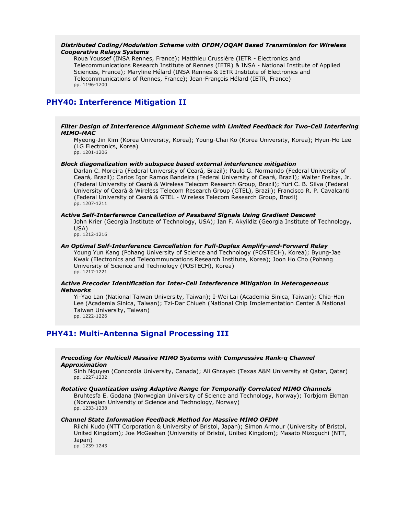### *Distributed Coding/Modulation Scheme with OFDM/OQAM Based Transmission for Wireless Cooperative Relays Systems*

Roua Youssef (INSA Rennes, France); Matthieu Crussière (IETR - Electronics and Telecommunications Research Institute of Rennes (IETR) & INSA - National Institute of Applied Sciences, France); Maryline Hélard (INSA Rennes & IETR Institute of Electronics and Telecommunications of Rennes, France); Jean-François Hélard (IETR, France) pp. 1196-1200

# **PHY40: Interference Mitigation II**

#### *Filter Design of Interference Alignment Scheme with Limited Feedback for Two-Cell Interfering MIMO-MAC*

Myeong-Jin Kim (Korea University, Korea); Young-Chai Ko (Korea University, Korea); Hyun-Ho Lee (LG Electronics, Korea) pp. 1201-1206

#### *Block diagonalization with subspace based external interference mitigation*

Darlan C. Moreira (Federal University of Ceará, Brazil); Paulo G. Normando (Federal University of Ceará, Brazil); Carlos Igor Ramos Bandeira (Federal University of Ceará, Brazil); Walter Freitas, Jr. (Federal University of Ceará & Wireless Telecom Research Group, Brazil); Yuri C. B. Silva (Federal University of Ceará & Wireless Telecom Research Group (GTEL), Brazil); Francisco R. P. Cavalcanti (Federal University of Ceará & GTEL - Wireless Telecom Research Group, Brazil) pp. 1207-1211

# *Active Self-Interference Cancellation of Passband Signals Using Gradient Descent*

John Krier (Georgia Institute of Technology, USA); Ian F. Akyildiz (Georgia Institute of Technology, USA)

pp. 1212-1216

### *An Optimal Self-Interference Cancellation for Full-Duplex Amplify-and-Forward Relay*

Young Yun Kang (Pohang University of Science and Technology (POSTECH), Korea); Byung-Jae Kwak (Electronics and Telecommuncations Research Institute, Korea); Joon Ho Cho (Pohang University of Science and Technology (POSTECH), Korea) pp. 1217-1221

# *Active Precoder Identification for Inter-Cell Interference Mitigation in Heterogeneous Networks*

Yi-Yao Lan (National Taiwan University, Taiwan); I-Wei Lai (Academia Sinica, Taiwan); Chia-Han Lee (Academia Sinica, Taiwan); Tzi-Dar Chiueh (National Chip Implementation Center & National Taiwan University, Taiwan) pp. 1222-1226

# **PHY41: Multi-Antenna Signal Processing III**

### *Precoding for Multicell Massive MIMO Systems with Compressive Rank-q Channel Approximation*

Sinh Nguyen (Concordia University, Canada); Ali Ghrayeb (Texas A&M University at Qatar, Qatar) pp. 1227-1232

#### *Rotative Quantization using Adaptive Range for Temporally Correlated MIMO Channels*

Bruhtesfa E. Godana (Norwegian University of Science and Technology, Norway); Torbjorn Ekman (Norwegian University of Science and Technology, Norway) pp. 1233-1238

#### *Channel State Information Feedback Method for Massive MIMO OFDM*

Riichi Kudo (NTT Corporation & University of Bristol, Japan); Simon Armour (University of Bristol, United Kingdom); Joe McGeehan (University of Bristol, United Kingdom); Masato Mizoguchi (NTT, Japan)

pp. 1239-1243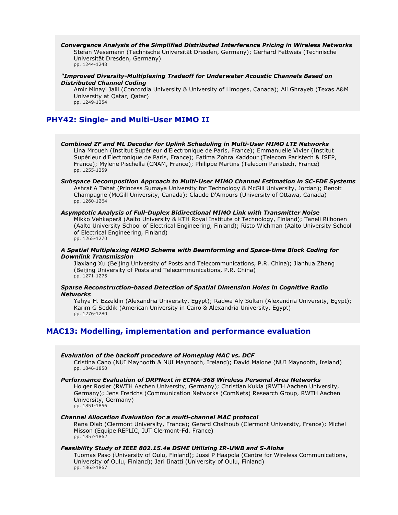*Convergence Analysis of the Simplified Distributed Interference Pricing in Wireless Networks* Stefan Wesemann (Technische Universität Dresden, Germany); Gerhard Fettweis (Technische Universität Dresden, Germany) pp. 1244-1248

### *"Improved Diversity-Multiplexing Tradeoff for Underwater Acoustic Channels Based on Distributed Channel Coding*

Amir Minayi Jalil (Concordia University & University of Limoges, Canada); Ali Ghrayeb (Texas A&M University at Qatar, Qatar) pp. 1249-1254

# **PHY42: Single- and Multi-User MIMO II**

*Combined ZF and ML Decoder for Uplink Scheduling in Multi-User MIMO LTE Networks* Lina Mroueh (Institut Supérieur d'Electronique de Paris, France); Emmanuelle Vivier (Institut Supérieur d'Electronique de Paris, France); Fatima Zohra Kaddour (Telecom Paristech & ISEP, France); Mylene Pischella (CNAM, France); Philippe Martins (Telecom Paristech, France) pp. 1255-1259

*Subspace Decomposition Approach to Multi-User MIMO Channel Estimation in SC-FDE Systems* Ashraf A Tahat (Princess Sumaya University for Technology & McGill University, Jordan); Benoit Champagne (McGill University, Canada); Claude D'Amours (University of Ottawa, Canada) pp. 1260-1264

#### *Asymptotic Analysis of Full-Duplex Bidirectional MIMO Link with Transmitter Noise*

Mikko Vehkaperä (Aalto University & KTH Royal Institute of Technology, Finland); Taneli Riihonen (Aalto University School of Electrical Engineering, Finland); Risto Wichman (Aalto University School of Electrical Engineering, Finland) pp. 1265-1270

#### *A Spatial Multiplexing MIMO Scheme with Beamforming and Space-time Block Coding for Downlink Transmission*

Jiaxiang Xu (Beijing University of Posts and Telecommunications, P.R. China); Jianhua Zhang (Beijing University of Posts and Telecommunications, P.R. China) pp. 1271-1275

#### *Sparse Reconstruction-based Detection of Spatial Dimension Holes in Cognitive Radio Networks*

Yahya H. Ezzeldin (Alexandria University, Egypt); Radwa Aly Sultan (Alexandria University, Egypt); Karim G Seddik (American University in Cairo & Alexandria University, Egypt) pp. 1276-1280

# **MAC13: Modelling, implementation and performance evaluation**

#### *Evaluation of the backoff procedure of Homeplug MAC vs. DCF*

Cristina Cano (NUI Maynooth & NUI Maynooth, Ireland); David Malone (NUI Maynooth, Ireland) pp. 1846-1850

# *Performance Evaluation of DRPNext in ECMA-368 Wireless Personal Area Networks*

Holger Rosier (RWTH Aachen University, Germany); Christian Kukla (RWTH Aachen University, Germany); Jens Frerichs (Communication Networks (ComNets) Research Group, RWTH Aachen University, Germany) pp. 1851-1856

### *Channel Allocation Evaluation for a multi-channel MAC protocol*

Rana Diab (Clermont University, France); Gerard Chalhoub (Clermont University, France); Michel Misson (Equipe REPLIC, IUT Clermont-Fd, France) pp. 1857-1862

# *Feasibility Study of IEEE 802.15.4e DSME Utilizing IR-UWB and S-Aloha*

Tuomas Paso (University of Oulu, Finland); Jussi P Haapola (Centre for Wireless Communications, University of Oulu, Finland); Jari Iinatti (University of Oulu, Finland) pp. 1863-1867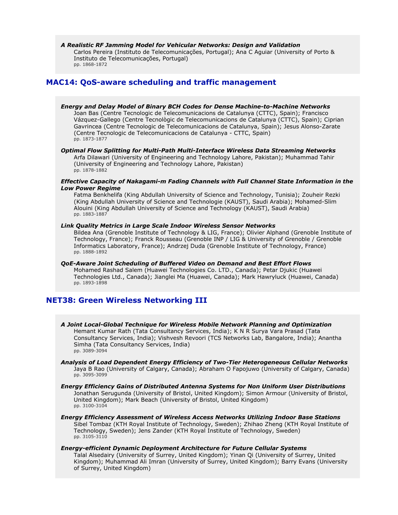*A Realistic RF Jamming Model for Vehicular Networks: Design and Validation* Carlos Pereira (Instituto de Telecomunicações, Portugal); Ana C Aguiar (University of Porto & Instituto de Telecomunicações, Portugal) pp. 1868-1872

# **MAC14: QoS-aware scheduling and traffic management**

- *Energy and Delay Model of Binary BCH Codes for Dense Machine-to-Machine Networks* Joan Bas (Centre Tecnologic de Telecomunicacions de Catalunya (CTTC), Spain); Francisco Vázquez-Gallego (Centre Tecnològic de Telecomunicacions de Catalunya (CTTC), Spain); Ciprian Gavrincea (Centre Tecnologic de Telecomunicacions de Catalunya, Spain); Jesus Alonso-Zarate (Centre Tecnologic de Telecomunicacions de Catalunya - CTTC, Spain) pp. 1873-1877
- *Optimal Flow Splitting for Multi-Path Multi-Interface Wireless Data Streaming Networks* Arfa Dilawari (University of Engineering and Technology Lahore, Pakistan); Muhammad Tahir (University of Engineering and Technology Lahore, Pakistan) pp. 1878-1882
- *Effective Capacity of Nakagami-m Fading Channels with Full Channel State Information in the Low Power Regime*

Fatma Benkhelifa (King Abdullah University of Science and Technology, Tunisia); Zouheir Rezki (King Abdullah University of Science and Technologie (KAUST), Saudi Arabia); Mohamed-Slim Alouini (King Abdullah University of Science and Technology (KAUST), Saudi Arabia) pp. 1883-1887

# *Link Quality Metrics in Large Scale Indoor Wireless Sensor Networks*

Bildea Ana (Grenoble Institute of Technology & LIG, France); Olivier Alphand (Grenoble Institute of Technology, France); Franck Rousseau (Grenoble INP / LIG & University of Grenoble / Grenoble Informatics Laboratory, France); Andrzej Duda (Grenoble Institute of Technology, France) pp. 1888-1892

*QoE-Aware Joint Scheduling of Buffered Video on Demand and Best Effort Flows* Mohamed Rashad Salem (Huawei Technologies Co. LTD., Canada); Petar Djukic (Huawei Technologies Ltd., Canada); Jianglei Ma (Huawei, Canada); Mark Hawryluck (Huawei, Canada) pp. 1893-1898

# **NET38: Green Wireless Networking III**

- *A Joint Local-Global Technique for Wireless Mobile Network Planning and Optimization* Hemant Kumar Rath (Tata Consultancy Services, India); K N R Surya Vara Prasad (Tata Consultancy Services, India); Vishvesh Revoori (TCS Networks Lab, Bangalore, India); Anantha Simha (Tata Consultancy Services, India) pp. 3089-3094
- *Analysis of Load Dependent Energy Efficiency of Two-Tier Heterogeneous Cellular Networks* Jaya B Rao (University of Calgary, Canada); Abraham O Fapojuwo (University of Calgary, Canada) pp. 3095-3099
- *Energy Efficiency Gains of Distributed Antenna Systems for Non Uniform User Distributions* Jonathan Serugunda (University of Bristol, United Kingdom); Simon Armour (University of Bristol, United Kingdom); Mark Beach (University of Bristol, United Kingdom) pp. 3100-3104
- *Energy Efficiency Assessment of Wireless Access Networks Utilizing Indoor Base Stations* Sibel Tombaz (KTH Royal Institute of Technology, Sweden); Zhihao Zheng (KTH Royal Institute of Technology, Sweden); Jens Zander (KTH Royal Institute of Technology, Sweden) pp. 3105-3110

### *Energy-efficient Dynamic Deployment Architecture for Future Cellular Systems* Talal Alsedairy (University of Surrey, United Kingdom); Yinan Qi (University of Surrey, United Kingdom); Muhammad Ali Imran (University of Surrey, United Kingdom); Barry Evans (University of Surrey, United Kingdom)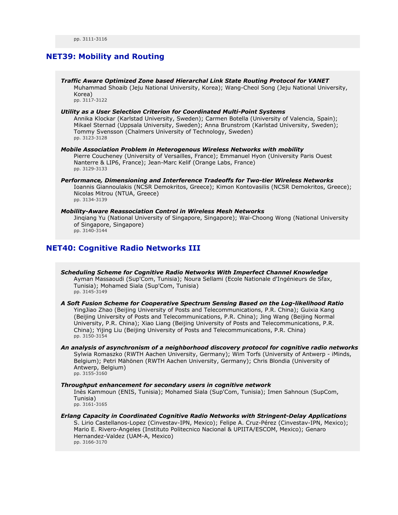# **NET39: Mobility and Routing**

*Traffic Aware Optimized Zone based Hierarchal Link State Routing Protocol for VANET* Muhammad Shoaib (Jeju National University, Korea); Wang-Cheol Song (Jeju National University, Korea) pp. 3117-3122

#### *Utility as a User Selection Criterion for Coordinated Multi-Point Systems*

Annika Klockar (Karlstad University, Sweden); Carmen Botella (University of Valencia, Spain); Mikael Sternad (Uppsala University, Sweden); Anna Brunstrom (Karlstad University, Sweden); Tommy Svensson (Chalmers University of Technology, Sweden) pp. 3123-3128

*Mobile Association Problem in Heterogenous Wireless Networks with mobility* Pierre Coucheney (University of Versailles, France); Emmanuel Hyon (University Paris Ouest Nanterre & LIP6, France); Jean-Marc Kelif (Orange Labs, France) pp. 3129-3133

*Performance, Dimensioning and Interference Tradeoffs for Two-tier Wireless Networks* Ioannis Giannoulakis (NCSR Demokritos, Greece); Kimon Kontovasilis (NCSR Demokritos, Greece); Nicolas Mitrou (NTUA, Greece) pp. 3134-3139

#### *Mobility-Aware Reassociation Control in Wireless Mesh Networks* Jinqiang Yu (National University of Singapore, Singapore); Wai-Choong Wong (National University

of Singapore, Singapore) pp. 3140-3144

# **NET40: Cognitive Radio Networks III**

*Scheduling Scheme for Cognitive Radio Networks With Imperfect Channel Knowledge* Ayman Massaoudi (Sup'Com, Tunisia); Noura Sellami (Ecole Nationale d'Ingénieurs de Sfax, Tunisia); Mohamed Siala (Sup'Com, Tunisia) pp. 3145-3149

*A Soft Fusion Scheme for Cooperative Spectrum Sensing Based on the Log-likelihood Ratio* YingJiao Zhao (Beijing University of Posts and Telecommunications, P.R. China); Guixia Kang (Beijing University of Posts and Telecommunications, P.R. China); Jing Wang (Beijing Normal University, P.R. China); Xiao Liang (Beijing University of Posts and Telecommunications, P.R. China); Yijing Liu (Beijing University of Posts and Telecommunications, P.R. China) pp. 3150-3154

*An analysis of asynchronism of a neighborhood discovery protocol for cognitive radio networks* Sylwia Romaszko (RWTH Aachen University, Germany); Wim Torfs (University of Antwerp - iMinds, Belgium); Petri Mähönen (RWTH Aachen University, Germany); Chris Blondia (University of Antwerp, Belgium) pp. 3155-3160

#### *Throughput enhancement for secondary users in cognitive network*

Inès Kammoun (ENIS, Tunisia); Mohamed Siala (Sup'Com, Tunisia); Imen Sahnoun (SupCom, Tunisia) pp. 3161-3165

*Erlang Capacity in Coordinated Cognitive Radio Networks with Stringent-Delay Applications* S. Lirio Castellanos-Lopez (Cinvestav-IPN, Mexico); Felipe A. Cruz-Pérez (Cinvestav-IPN, Mexico); Mario E. Rivero-Angeles (Instituto Politecnico Nacional & UPIITA/ESCOM, Mexico); Genaro Hernandez-Valdez (UAM-A, Mexico) pp. 3166-3170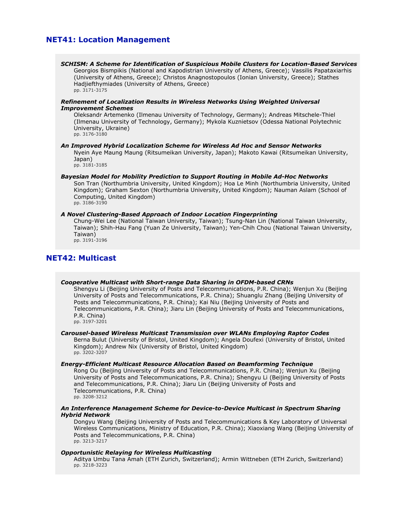# **NET41: Location Management**

*SCHISM: A Scheme for Identification of Suspicious Mobile Clusters for Location-Based Services* Georgios Bismpikis (National and Kapodistrian University of Athens, Greece); Vassilis Papataxiarhis (University of Athens, Greece); Christos Anagnostopoulos (Ionian University, Greece); Stathes Hadjiefthymiades (University of Athens, Greece) pp. 3171-3175

### *Refinement of Localization Results in Wireless Networks Using Weighted Universal Improvement Schemes*

Oleksandr Artemenko (Ilmenau University of Technology, Germany); Andreas Mitschele-Thiel (Ilmenau University of Technology, Germany); Mykola Kuznietsov (Odessa National Polytechnic University, Ukraine) pp. 3176-3180

#### *An Improved Hybrid Localization Scheme for Wireless Ad Hoc and Sensor Networks*

Nyein Aye Maung Maung (Ritsumeikan University, Japan); Makoto Kawai (Ritsumeikan University, Japan) pp. 3181-3185

*Bayesian Model for Mobility Prediction to Support Routing in Mobile Ad-Hoc Networks* Son Tran (Northumbria University, United Kingdom); Hoa Le Minh (Northumbria University, United Kingdom); Graham Sexton (Northumbria University, United Kingdom); Nauman Aslam (School of Computing, United Kingdom) pp. 3186-3190

#### *A Novel Clustering-Based Approach of Indoor Location Fingerprinting*

Chung-Wei Lee (National Taiwan University, Taiwan); Tsung-Nan Lin (National Taiwan University, Taiwan); Shih-Hau Fang (Yuan Ze University, Taiwan); Yen-Chih Chou (National Taiwan University, Taiwan)

pp. 3191-3196

# **NET42: Multicast**

### *Cooperative Multicast with Short-range Data Sharing in OFDM-based CRNs*

Shengyu Li (Beijing University of Posts and Telecommunications, P.R. China); Wenjun Xu (Beijing University of Posts and Telecommunications, P.R. China); Shuanglu Zhang (Beijing University of Posts and Telecommunications, P.R. China); Kai Niu (Beijing University of Posts and Telecommunications, P.R. China); Jiaru Lin (Beijing University of Posts and Telecommunications, P.R. China) pp. 3197-3201

#### *Carousel-based Wireless Multicast Transmission over WLANs Employing Raptor Codes*

Berna Bulut (University of Bristol, United Kingdom); Angela Doufexi (University of Bristol, United Kingdom); Andrew Nix (University of Bristol, United Kingdom) pp. 3202-3207

# *Energy-Efficient Multicast Resource Allocation Based on Beamforming Technique*

Rong Ou (Beijing University of Posts and Telecommunications, P.R. China); Wenjun Xu (Beijing University of Posts and Telecommunications, P.R. China); Shengyu Li (Beijing University of Posts and Telecommunications, P.R. China); Jiaru Lin (Beijing University of Posts and Telecommunications, P.R. China) pp. 3208-3212

# *An Interference Management Scheme for Device-to-Device Multicast in Spectrum Sharing Hybrid Network*

Dongyu Wang (Beijing University of Posts and Telecommunications & Key Laboratory of Universal Wireless Communications, Ministry of Education, P.R. China); Xiaoxiang Wang (Beijing University of Posts and Telecommunications, P.R. China) pp. 3213-3217

#### *Opportunistic Relaying for Wireless Multicasting*

Aditya Umbu Tana Amah (ETH Zurich, Switzerland); Armin Wittneben (ETH Zurich, Switzerland) pp. 3218-3223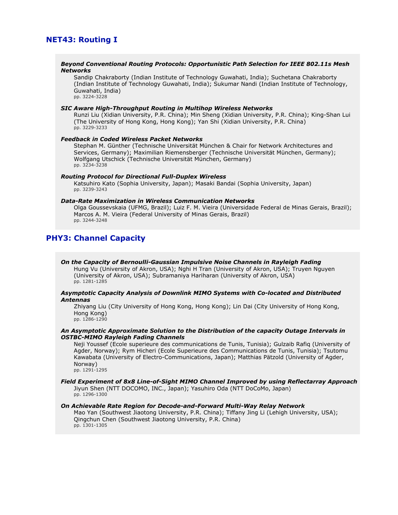# **NET43: Routing I**

#### *Beyond Conventional Routing Protocols: Opportunistic Path Selection for IEEE 802.11s Mesh Networks*

Sandip Chakraborty (Indian Institute of Technology Guwahati, India); Suchetana Chakraborty (Indian Institute of Technology Guwahati, India); Sukumar Nandi (Indian Institute of Technology, Guwahati, India) pp. 3224-3228

#### *SIC Aware High-Throughput Routing in Multihop Wireless Networks*

Runzi Liu (Xidian University, P.R. China); Min Sheng (Xidian University, P.R. China); King-Shan Lui (The University of Hong Kong, Hong Kong); Yan Shi (Xidian University, P.R. China) pp. 3229-3233

### *Feedback in Coded Wireless Packet Networks*

Stephan M. Günther (Technische Universität München & Chair for Network Architectures and Services, Germany); Maximilian Riemensberger (Technische Universität München, Germany); Wolfgang Utschick (Technische Universität München, Germany) pp. 3234-3238

#### *Routing Protocol for Directional Full-Duplex Wireless*

Katsuhiro Kato (Sophia University, Japan); Masaki Bandai (Sophia University, Japan) pp. 3239-3243

### *Data-Rate Maximization in Wireless Communication Networks*

Olga Goussevskaia (UFMG, Brazil); Luiz F. M. Vieira (Universidade Federal de Minas Gerais, Brazil); Marcos A. M. Vieira (Federal University of Minas Gerais, Brazil) pp. 3244-3248

# **PHY3: Channel Capacity**

*On the Capacity of Bernoulli-Gaussian Impulsive Noise Channels in Rayleigh Fading* Hung Vu (University of Akron, USA); Nghi H Tran (University of Akron, USA); Truyen Nguyen (University of Akron, USA); Subramaniya Hariharan (University of Akron, USA) pp. 1281-1285

### *Asymptotic Capacity Analysis of Downlink MIMO Systems with Co-located and Distributed Antennas*

Zhiyang Liu (City University of Hong Kong, Hong Kong); Lin Dai (City University of Hong Kong, Hong Kong) pp. 1286-1290

### *An Asymptotic Approximate Solution to the Distribution of the capacity Outage Intervals in OSTBC-MIMO Rayleigh Fading Channels*

Neji Youssef (Ecole superieure des communications de Tunis, Tunisia); Gulzaib Rafiq (University of Agder, Norway); Rym Hicheri (Ecole Superieure des Communications de Tunis, Tunisia); Tsutomu Kawabata (University of Electro-Communications, Japan); Matthias Pätzold (University of Agder, Norway)

pp. 1291-1295

#### *Field Experiment of 8x8 Line-of-Sight MIMO Channel Improved by using Reflectarray Approach* Jiyun Shen (NTT DOCOMO, INC., Japan); Yasuhiro Oda (NTT DoCoMo, Japan)

pp. 1296-1300

# *On Achievable Rate Region for Decode-and-Forward Multi-Way Relay Network*

Mao Yan (Southwest Jiaotong University, P.R. China); Tiffany Jing Li (Lehigh University, USA); Qingchun Chen (Southwest Jiaotong University, P.R. China) pp. 1301-1305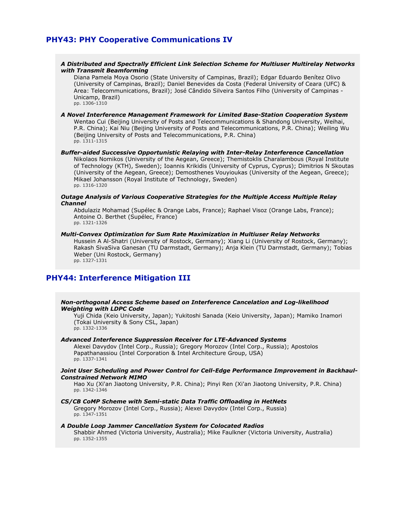# **PHY43: PHY Cooperative Communications IV**

# *A Distributed and Spectrally Efficient Link Selection Scheme for Multiuser Multirelay Networks with Transmit Beamforming*

Diana Pamela Moya Osorio (State University of Campinas, Brazil); Edgar Eduardo Benítez Olivo (University of Campinas, Brazil); Daniel Benevides da Costa (Federal University of Ceara (UFC) & Area: Telecommunications, Brazil); José Cândido Silveira Santos Filho (University of Campinas - Unicamp, Brazil) pp. 1306-1310

#### *A Novel Interference Management Framework for Limited Base-Station Cooperation System* Wentao Cui (Beijing University of Posts and Telecommunications & Shandong University, Weihai, P.R. China); Kai Niu (Beijing University of Posts and Telecommunications, P.R. China); Weiling Wu (Beijing University of Posts and Telecommunications, P.R. China) pp. 1311-1315

*Buffer-aided Successive Opportunistic Relaying with Inter-Relay Interference Cancellation* Nikolaos Nomikos (University of the Aegean, Greece); Themistoklis Charalambous (Royal Institute of Technology (KTH), Sweden); Ioannis Krikidis (University of Cyprus, Cyprus); Dimitrios N Skoutas (University of the Aegean, Greece); Demosthenes Vouyioukas (University of the Aegean, Greece); Mikael Johansson (Royal Institute of Technology, Sweden) pp. 1316-1320

# *Outage Analysis of Various Cooperative Strategies for the Multiple Access Multiple Relay Channel*

Abdulaziz Mohamad (Supélec & Orange Labs, France); Raphael Visoz (Orange Labs, France); Antoine O. Berthet (Supélec, France) pp. 1321-1326

#### *Multi-Convex Optimization for Sum Rate Maximization in Multiuser Relay Networks*

Hussein A Al-Shatri (University of Rostock, Germany); Xiang Li (University of Rostock, Germany); Rakash SivaSiva Ganesan (TU Darmstadt, Germany); Anja Klein (TU Darmstadt, Germany); Tobias Weber (Uni Rostock, Germany) pp. 1327-1331

# **PHY44: Interference Mitigation III**

# *Non-orthogonal Access Scheme based on Interference Cancelation and Log-likelihood Weighting with LDPC Code*

Yuji Chida (Keio University, Japan); Yukitoshi Sanada (Keio University, Japan); Mamiko Inamori (Tokai University & Sony CSL, Japan) pp. 1332-1336

# *Advanced Interference Suppression Receiver for LTE-Advanced Systems*

Alexei Davydov (Intel Corp., Russia); Gregory Morozov (Intel Corp., Russia); Apostolos Papathanassiou (Intel Corporation & Intel Architecture Group, USA) pp. 1337-1341

#### *Joint User Scheduling and Power Control for Cell-Edge Performance Improvement in Backhaul-Constrained Network MIMO*

Hao Xu (Xi'an Jiaotong University, P.R. China); Pinyi Ren (Xi'an Jiaotong University, P.R. China) pp. 1342-1346

#### *CS/CB CoMP Scheme with Semi-static Data Traffic Offloading in HetNets* Gregory Morozov (Intel Corp., Russia); Alexei Davydov (Intel Corp., Russia) pp. 1347-1351

#### *A Double Loop Jammer Cancellation System for Colocated Radios* Shabbir Ahmed (Victoria University, Australia); Mike Faulkner (Victoria University, Australia) pp. 1352-1355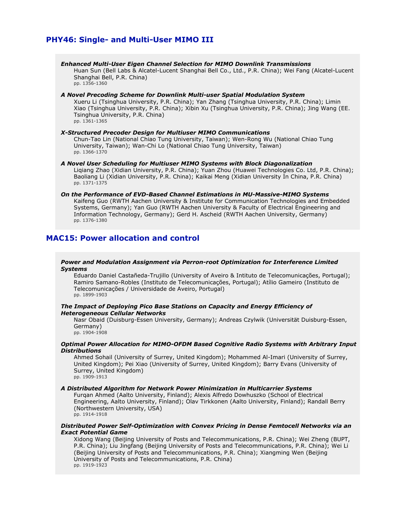# **PHY46: Single- and Multi-User MIMO III**

*Enhanced Multi-User Eigen Channel Selection for MIMO Downlink Transmissions* Huan Sun (Bell Labs & Alcatel-Lucent Shanghai Bell Co., Ltd., P.R. China); Wei Fang (Alcatel-Lucent Shanghai Bell, P.R. China) pp. 1356-1360

#### *A Novel Precoding Scheme for Downlink Multi-user Spatial Modulation System*

Xueru Li (Tsinghua University, P.R. China); Yan Zhang (Tsinghua University, P.R. China); Limin Xiao (Tsinghua University, P.R. China); Xibin Xu (Tsinghua University, P.R. China); Jing Wang (EE. Tsinghua University, P.R. China) pp. 1361-1365

#### *X-Structured Precoder Design for Multiuser MIMO Communications*

Chun-Tao Lin (National Chiao Tung University, Taiwan); Wen-Rong Wu (National Chiao Tung University, Taiwan); Wan-Chi Lo (National Chiao Tung University, Taiwan) pp. 1366-1370

*A Novel User Scheduling for Multiuser MIMO Systems with Block Diagonalization* Liqiang Zhao (Xidian University, P.R. China); Yuan Zhou (Huawei Technologies Co. Ltd, P.R. China); Baoliang Li (Xidian University, P.R. China); Kaikai Meng (Xidian University In China, P.R. China) pp. 1371-1375

#### *On the Performance of EVD-Based Channel Estimations in MU-Massive-MIMO Systems* Kaifeng Guo (RWTH Aachen University & Institute for Communication Technologies and Embedded Systems, Germany); Yan Guo (RWTH Aachen University & Faculty of Electrical Engineering and Information Technology, Germany); Gerd H. Ascheid (RWTH Aachen University, Germany) pp. 1376-1380

# **MAC15: Power allocation and control**

#### *Power and Modulation Assignment via Perron-root Optimization for Interference Limited Systems*

Eduardo Daniel Castañeda-Trujillo (University of Aveiro & Intituto de Telecomunicações, Portugal); Ramiro Samano-Robles (Instituto de Telecomunicações, Portugal); Atílio Gameiro (Instituto de Telecomunicações / Universidade de Aveiro, Portugal) pp. 1899-1903

#### *The Impact of Deploying Pico Base Stations on Capacity and Energy Efficiency of Heterogeneous Cellular Networks*

Nasr Obaid (Duisburg-Essen University, Germany); Andreas Czylwik (Universität Duisburg-Essen, Germany) pp. 1904-1908

#### *Optimal Power Allocation for MIMO-OFDM Based Cognitive Radio Systems with Arbitrary Input Distributions*

Ahmed Sohail (University of Surrey, United Kingdom); Mohammed Al-Imari (University of Surrey, United Kingdom); Pei Xiao (University of Surrey, United Kingdom); Barry Evans (University of Surrey, United Kingdom) pp. 1909-1913

#### *A Distributed Algorithm for Network Power Minimization in Multicarrier Systems*

Furqan Ahmed (Aalto University, Finland); Alexis Alfredo Dowhuszko (School of Electrical Engineering, Aalto University, Finland); Olav Tirkkonen (Aalto University, Finland); Randall Berry (Northwestern University, USA) pp. 1914-1918

# *Distributed Power Self-Optimization with Convex Pricing in Dense Femtocell Networks via an Exact Potential Game*

Xidong Wang (Beijing University of Posts and Telecommunications, P.R. China); Wei Zheng (BUPT, P.R. China); Liu Jingfang (Beijing University of Posts and Telecommunications, P.R. China); Wei Li (Beijing University of Posts and Telecommunications, P.R. China); Xiangming Wen (Beijing University of Posts and Telecommunications, P.R. China) pp. 1919-1923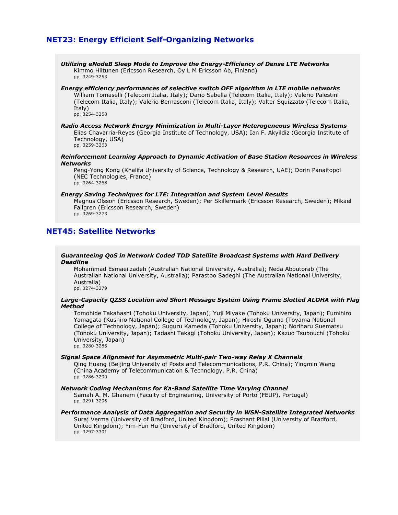# **NET23: Energy Efficient Self-Organizing Networks**

*Utilizing eNodeB Sleep Mode to Improve the Energy-Efficiency of Dense LTE Networks* Kimmo Hiltunen (Ericsson Research, Oy L M Ericsson Ab, Finland) pp. 3249-3253

# *Energy efficiency performances of selective switch OFF algorithm in LTE mobile networks*

William Tomaselli (Telecom Italia, Italy); Dario Sabella (Telecom Italia, Italy); Valerio Palestini (Telecom Italia, Italy); Valerio Bernasconi (Telecom Italia, Italy); Valter Squizzato (Telecom Italia, Italy)

pp. 3254-3258

#### *Radio Access Network Energy Minimization in Multi-Layer Heterogeneous Wireless Systems* Elias Chavarria-Reyes (Georgia Institute of Technology, USA); Ian F. Akyildiz (Georgia Institute of Technology, USA) pp. 3259-3263

### *Reinforcement Learning Approach to Dynamic Activation of Base Station Resources in Wireless Networks*

Peng-Yong Kong (Khalifa University of Science, Technology & Research, UAE); Dorin Panaitopol (NEC Technologies, France) pp. 3264-3268

#### *Energy Saving Techniques for LTE: Integration and System Level Results*

Magnus Olsson (Ericsson Research, Sweden); Per Skillermark (Ericsson Research, Sweden); Mikael Fallgren (Ericsson Research, Sweden) pp. 3269-3273

# **NET45: Satellite Networks**

#### *Guaranteeing QoS in Network Coded TDD Satellite Broadcast Systems with Hard Delivery Deadline*

Mohammad Esmaeilzadeh (Australian National University, Australia); Neda Aboutorab (The Australian National University, Australia); Parastoo Sadeghi (The Australian National University, Australia) pp. 3274-3279

#### *Large-Capacity QZSS Location and Short Message System Using Frame Slotted ALOHA with Flag Method*

Tomohide Takahashi (Tohoku University, Japan); Yuji Miyake (Tohoku University, Japan); Fumihiro Yamagata (Kushiro National College of Technology, Japan); Hiroshi Oguma (Toyama National College of Technology, Japan); Suguru Kameda (Tohoku University, Japan); Noriharu Suematsu (Tohoku University, Japan); Tadashi Takagi (Tohoku University, Japan); Kazuo Tsubouchi (Tohoku University, Japan) pp. 3280-3285

# *Signal Space Alignment for Asymmetric Multi-pair Two-way Relay X Channels*

Qing Huang (Beijing University of Posts and Telecommunications, P.R. China); Yingmin Wang (China Academy of Telecommunication & Technology, P.R. China) pp. 3286-3290

# *Network Coding Mechanisms for Ka-Band Satellite Time Varying Channel*

Samah A. M. Ghanem (Faculty of Engineering, University of Porto (FEUP), Portugal) pp. 3291-3296

#### *Performance Analysis of Data Aggregation and Security in WSN-Satellite Integrated Networks* Suraj Verma (University of Bradford, United Kingdom); Prashant Pillai (University of Bradford, United Kingdom); Yim-Fun Hu (University of Bradford, United Kingdom) pp. 3297-3301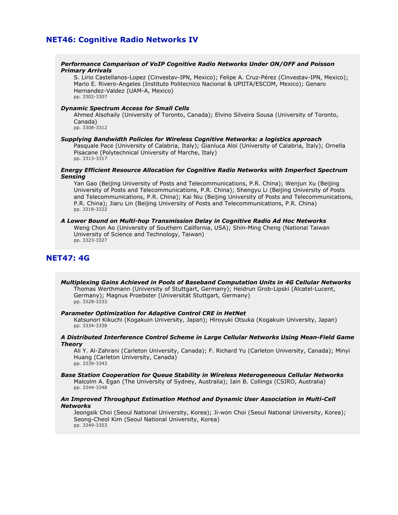# **NET46: Cognitive Radio Networks IV**

#### *Performance Comparison of VoIP Cognitive Radio Networks Under ON/OFF and Poisson Primary Arrivals*

S. Lirio Castellanos-Lopez (Cinvestav-IPN, Mexico); Felipe A. Cruz-Pérez (Cinvestav-IPN, Mexico); Mario E. Rivero-Angeles (Instituto Politecnico Nacional & UPIITA/ESCOM, Mexico); Genaro Hernandez-Valdez (UAM-A, Mexico) pp. 3302-3307

#### *Dynamic Spectrum Access for Small Cells*

Ahmed Alsohaily (University of Toronto, Canada); Elvino Silveira Sousa (University of Toronto, Canada)

pp. 3308-3312

# *Supplying Bandwidth Policies for Wireless Cognitive Networks: a logistics approach*

Pasquale Pace (University of Calabria, Italy); Gianluca Aloi (University of Calabria, Italy); Ornella Pisacane (Polytechnical University of Marche, Italy) pp. 3313-3317

# *Energy Efficient Resource Allocation for Cognitive Radio Networks with Imperfect Spectrum Sensing*

Yan Gao (Beijing University of Posts and Telecommunications, P.R. China); Wenjun Xu (Beijing University of Posts and Telecommunications, P.R. China); Shengyu Li (Beijing University of Posts and Telecommunications, P.R. China); Kai Niu (Beijing University of Posts and Telecommunications, P.R. China); Jiaru Lin (Beijing University of Posts and Telecommunications, P.R. China) pp. 3318-3322

#### *A Lower Bound on Multi-hop Transmission Delay in Cognitive Radio Ad Hoc Networks*

Weng Chon Ao (University of Southern California, USA); Shin-Ming Cheng (National Taiwan University of Science and Technology, Taiwan) pp. 3323-3327

# **NET47: 4G**

*Multiplexing Gains Achieved in Pools of Baseband Computation Units in 4G Cellular Networks* Thomas Werthmann (University of Stuttgart, Germany); Heidrun Grob-Lipski (Alcatel-Lucent, Germany); Magnus Proebster (Universität Stuttgart, Germany) pp. 3328-3333

# *Parameter Optimization for Adaptive Control CRE in HetNet*

Katsunori Kikuchi (Kogakuin University, Japan); Hiroyuki Otsuka (Kogakuin University, Japan) pp. 3334-3338

#### *A Distributed Interference Control Scheme in Large Cellular Networks Using Mean-Field Game Theory*

Ali Y. Al-Zahrani (Carleton University, Canada); F. Richard Yu (Carleton University, Canada); Minyi Huang (Carleton University, Canada) pp. 3339-3343

# *Base Station Cooperation for Queue Stability in Wireless Heterogeneous Cellular Networks*

Malcolm A. Egan (The University of Sydney, Australia); Iain B. Collings (CSIRO, Australia) pp. 3344-3348

#### *An Improved Throughput Estimation Method and Dynamic User Association in Multi-Cell Networks*

Jeongsik Choi (Seoul National University, Korea); Ji-won Choi (Seoul National University, Korea); Seong-Cheol Kim (Seoul National University, Korea) pp. 3349-3353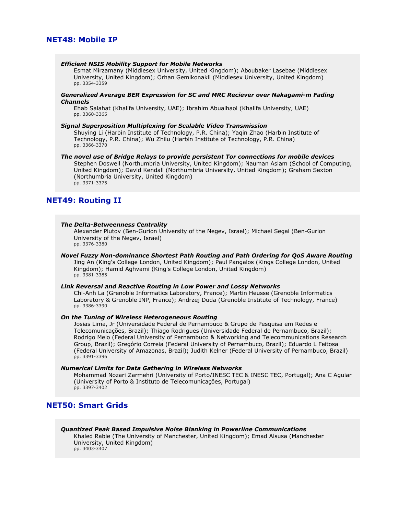# **NET48: Mobile IP**

#### *Efficient NSIS Mobility Support for Mobile Networks*

Esmat Mirzamany (Middlesex University, United Kingdom); Aboubaker Lasebae (Middlesex University, United Kingdom); Orhan Gemikonakli (Middlesex University, United Kingdom) pp. 3354-3359

### *Generalized Average BER Expression for SC and MRC Reciever over Nakagami-m Fading Channels*

Ehab Salahat (Khalifa University, UAE); Ibrahim Abualhaol (Khalifa University, UAE) pp. 3360-3365

#### *Signal Superposition Multiplexing for Scalable Video Transmission*

Shuying Li (Harbin Institute of Technology, P.R. China); Yaqin Zhao (Harbin Institute of Technology, P.R. China); Wu Zhilu (Harbin Institute of Technology, P.R. China) pp. 3366-3370

#### *The novel use of Bridge Relays to provide persistent Tor connections for mobile devices* Stephen Doswell (Northumbria University, United Kingdom); Nauman Aslam (School of Computing, United Kingdom); David Kendall (Northumbria University, United Kingdom); Graham Sexton (Northumbria University, United Kingdom) pp. 3371-3375

# **NET49: Routing II**

# *The Delta-Betweenness Centrality*

Alexander Plutov (Ben-Gurion University of the Negev, Israel); Michael Segal (Ben-Gurion University of the Negev, Israel) pp. 3376-3380

#### *Novel Fuzzy Non-dominance Shortest Path Routing and Path Ordering for QoS Aware Routing*

Jing An (King's College London, United Kingdom); Paul Pangalos (Kings College London, United Kingdom); Hamid Aghvami (King's College London, United Kingdom) pp. 3381-3385

#### *Link Reversal and Reactive Routing in Low Power and Lossy Networks*

Chi-Anh La (Grenoble Informatics Laboratory, France); Martin Heusse (Grenoble Informatics Laboratory & Grenoble INP, France); Andrzej Duda (Grenoble Institute of Technology, France) pp. 3386-3390

# *On the Tuning of Wireless Heterogeneous Routing*

Josias Lima, Jr (Universidade Federal de Pernambuco & Grupo de Pesquisa em Redes e Telecomunicações, Brazil); Thiago Rodrigues (Universidade Federal de Pernambuco, Brazil); Rodrigo Melo (Federal University of Pernambuco & Networking and Telecommunications Research Group, Brazil); Gregório Correia (Federal University of Pernambuco, Brazil); Eduardo L Feitosa (Federal University of Amazonas, Brazil); Judith Kelner (Federal University of Pernambuco, Brazil) pp. 3391-3396

### *Numerical Limits for Data Gathering in Wireless Networks*

Mohammad Nozari Zarmehri (University of Porto/INESC TEC & INESC TEC, Portugal); Ana C Aguiar (University of Porto & Instituto de Telecomunicações, Portugal) pp. 3397-3402

# **NET50: Smart Grids**

# *Quantized Peak Based Impulsive Noise Blanking in Powerline Communications*

Khaled Rabie (The University of Manchester, United Kingdom); Emad Alsusa (Manchester University, United Kingdom) pp. 3403-3407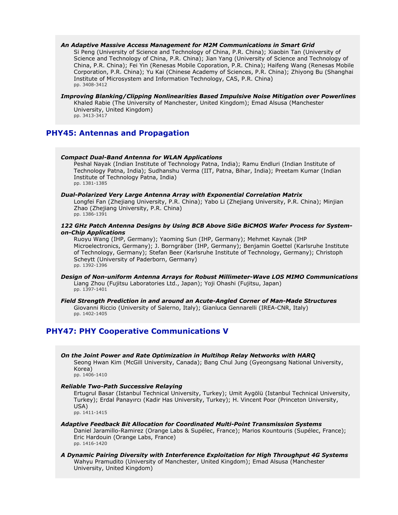# *An Adaptive Massive Access Management for M2M Communications in Smart Grid*

Si Peng (University of Science and Technology of China, P.R. China); Xiaobin Tan (University of Science and Technology of China, P.R. China); Jian Yang (University of Science and Technology of China, P.R. China); Fei Yin (Renesas Mobile Coporation, P.R. China); Haifeng Wang (Renesas Mobile Corporation, P.R. China); Yu Kai (Chinese Academy of Sciences, P.R. China); Zhiyong Bu (Shanghai Institute of Microsystem and Information Technology, CAS, P.R. China) pp. 3408-3412

#### *Improving Blanking/Clipping Nonlinearities Based Impulsive Noise Mitigation over Powerlines* Khaled Rabie (The University of Manchester, United Kingdom); Emad Alsusa (Manchester

University, United Kingdom) pp. 3413-3417

# **PHY45: Antennas and Propagation**

#### *Compact Dual-Band Antenna for WLAN Applications*

Peshal Nayak (Indian Institute of Technology Patna, India); Ramu Endluri (Indian Institute of Technology Patna, India); Sudhanshu Verma (IIT, Patna, Bihar, India); Preetam Kumar (Indian Institute of Technology Patna, India) pp. 1381-1385

#### *Dual-Polarized Very Large Antenna Array with Exponential Correlation Matrix*

Longfei Fan (Zhejiang University, P.R. China); Yabo Li (Zhejiang University, P.R. China); Minjian Zhao (Zhejiang University, P.R. China) pp. 1386-1391

# *122 GHz Patch Antenna Designs by Using BCB Above SiGe BiCMOS Wafer Process for Systemon-Chip Applications*

Ruoyu Wang (IHP, Germany); Yaoming Sun (IHP, Germany); Mehmet Kaynak (IHP Microelectronics, Germany); J. Borngräber (IHP, Germany); Benjamin Goettel (Karlsruhe Institute of Technology, Germany); Stefan Beer (Karlsruhe Institute of Technology, Germany); Christoph Scheytt (University of Paderborn, Germany) pp. 1392-1396

#### *Design of Non-uniform Antenna Arrays for Robust Millimeter-Wave LOS MIMO Communications* Liang Zhou (Fujitsu Laboratories Ltd., Japan); Yoji Ohashi (Fujitsu, Japan) pp. 1397-1401

*Field Strength Prediction in and around an Acute-Angled Corner of Man-Made Structures* Giovanni Riccio (University of Salerno, Italy); Gianluca Gennarelli (IREA-CNR, Italy) pp. 1402-1405

# **PHY47: PHY Cooperative Communications V**

*On the Joint Power and Rate Optimization in Multihop Relay Networks with HARQ* Seong Hwan Kim (McGill University, Canada); Bang Chul Jung (Gyeongsang National University, Korea) pp. 1406-1410

### *Reliable Two-Path Successive Relaying*

Ertugrul Basar (Istanbul Technical University, Turkey); Umit Aygölü (Istanbul Technical University, Turkey); Erdal Panayırcı (Kadir Has University, Turkey); H. Vincent Poor (Princeton University, USA) pp. 1411-1415

#### *Adaptive Feedback Bit Allocation for Coordinated Multi-Point Transmission Systems* Daniel Jaramillo-Ramirez (Orange Labs & Supélec, France); Marios Kountouris (Supélec, France); Eric Hardouin (Orange Labs, France) pp. 1416-1420

*A Dynamic Pairing Diversity with Interference Exploitation for High Throughput 4G Systems* Wahyu Pramudito (University of Manchester, United Kingdom); Emad Alsusa (Manchester University, United Kingdom)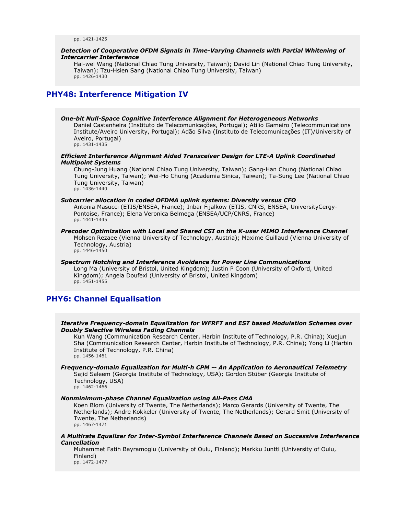pp. 1421-1425

# *Detection of Cooperative OFDM Signals in Time-Varying Channels with Partial Whitening of Intercarrier Interference*

Hai-wei Wang (National Chiao Tung University, Taiwan); David Lin (National Chiao Tung University, Taiwan); Tzu-Hsien Sang (National Chiao Tung University, Taiwan) pp. 1426-1430

# **PHY48: Interference Mitigation IV**

# *One-bit Null-Space Cognitive Interference Alignment for Heterogeneous Networks*

Daniel Castanheira (Instituto de Telecomunicações, Portugal); Atilio Gameiro (Telecommunications Institute/Aveiro University, Portugal); Adão Silva (Instituto de Telecomunicações (IT)/University of Aveiro, Portugal) pp. 1431-1435

# *Efficient Interference Alignment Aided Transceiver Design for LTE-A Uplink Coordinated Multipoint Systems*

Chung-Jung Huang (National Chiao Tung University, Taiwan); Gang-Han Chung (National Chiao Tung University, Taiwan); Wei-Ho Chung (Academia Sinica, Taiwan); Ta-Sung Lee (National Chiao Tung University, Taiwan) pp. 1436-1440

# *Subcarrier allocation in coded OFDMA uplink systems: Diversity versus CFO*

Antonia Masucci (ETIS/ENSEA, France); Inbar Fijalkow (ETIS, CNRS, ENSEA, UniversityCergy-Pontoise, France); Elena Veronica Belmega (ENSEA/UCP/CNRS, France) pp. 1441-1445

#### *Precoder Optimization with Local and Shared CSI on the K-user MIMO Interference Channel* Mohsen Rezaee (Vienna University of Technology, Austria); Maxime Guillaud (Vienna University of Technology, Austria) pp. 1446-1450

#### *Spectrum Notching and Interference Avoidance for Power Line Communications* Long Ma (University of Bristol, United Kingdom); Justin P Coon (University of Oxford, United Kingdom); Angela Doufexi (University of Bristol, United Kingdom) pp. 1451-1455

# **PHY6: Channel Equalisation**

# *Iterative Frequency-domain Equalization for WFRFT and EST based Modulation Schemes over Doubly Selective Wireless Fading Channels*

Kun Wang (Communication Research Center, Harbin Institute of Technology, P.R. China); Xuejun Sha (Communication Research Center, Harbin Institute of Technology, P.R. China); Yong Li (Harbin Institute of Technology, P.R. China) pp. 1456-1461

# *Frequency-domain Equalization for Multi-h CPM -- An Application to Aeronautical Telemetry*

Sajid Saleem (Georgia Institute of Technology, USA); Gordon Stüber (Georgia Institute of Technology, USA) pp. 1462-1466

# *Nonminimum-phase Channel Equalization using All-Pass CMA*

Koen Blom (University of Twente, The Netherlands); Marco Gerards (University of Twente, The Netherlands); Andre Kokkeler (University of Twente, The Netherlands); Gerard Smit (University of Twente, The Netherlands) pp. 1467-1471

*A Multirate Equalizer for Inter-Symbol Interference Channels Based on Successive Interference Cancellation*

Muhammet Fatih Bayramoglu (University of Oulu, Finland); Markku Juntti (University of Oulu, Finland) pp. 1472-1477